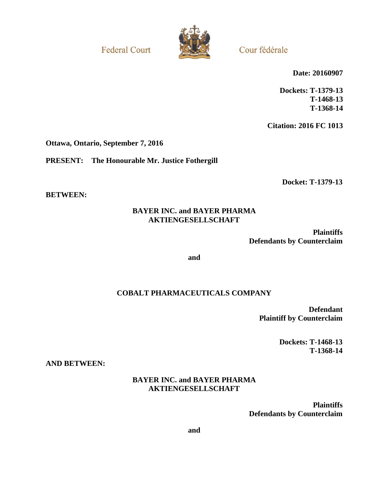**Federal Court** 



Cour fédérale

**Date: 20160907**

**Dockets: T-1379-13 T-1468-13 T-1368-14**

**Citation: 2016 FC 1013**

**Ottawa, Ontario, September 7, 2016**

**PRESENT: The Honourable Mr. Justice Fothergill**

**Docket: T-1379-13**

**BETWEEN:**

# **BAYER INC. and BAYER PHARMA AKTIENGESELLSCHAFT**

**Plaintiffs Defendants by Counterclaim**

**and**

# **COBALT PHARMACEUTICALS COMPANY**

**Defendant Plaintiff by Counterclaim**

> **Dockets: T-1468-13 T-1368-14**

**AND BETWEEN:**

**BAYER INC. and BAYER PHARMA AKTIENGESELLSCHAFT**

> **Plaintiffs Defendants by Counterclaim**

**and**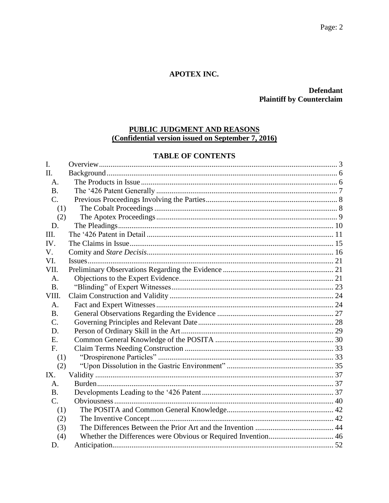# **APOTEX INC.**

**Defendant Plaintiff by Counterclaim** 

# **PUBLIC JUDGMENT AND REASONS**<br>(Confidential version issued on September 7, 2016)

# **TABLE OF CONTENTS**

| I.             |  |
|----------------|--|
| II.            |  |
| $\mathsf{A}$ . |  |
| <b>B.</b>      |  |
| $C_{\cdot}$    |  |
| (1)            |  |
| (2)            |  |
| D.             |  |
| III.           |  |
| IV.            |  |
| V.             |  |
| VI.            |  |
| VII.           |  |
| A.             |  |
| <b>B.</b>      |  |
| VIII.          |  |
| A.             |  |
| <b>B.</b>      |  |
| C.             |  |
| D.             |  |
| Ε.             |  |
| F.             |  |
| (1)            |  |
| (2)            |  |
| IX.            |  |
| A.             |  |
| <b>B.</b>      |  |
| C.             |  |
| (1)            |  |
| (2)            |  |
| (3)            |  |
| (4)            |  |
| D.             |  |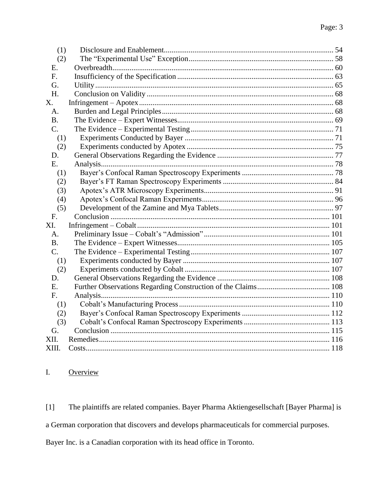| (1)             |  |
|-----------------|--|
| (2)             |  |
| Е.              |  |
| F.              |  |
| G.              |  |
| H.              |  |
| X.              |  |
| A.              |  |
| <b>B.</b>       |  |
| $C$ .           |  |
| (1)             |  |
| (2)             |  |
| D.              |  |
| E.              |  |
| (1)             |  |
| (2)             |  |
| (3)             |  |
| (4)             |  |
| (5)             |  |
| $F_{\rm c}$     |  |
| XI.             |  |
| A.              |  |
| <b>B.</b>       |  |
| $\mathcal{C}$ . |  |
| (1)             |  |
| (2)             |  |
| D.              |  |
| Е.              |  |
| F.              |  |
| (1)             |  |
| (2)             |  |
| (3)             |  |
| G.              |  |
| XII.            |  |
| XIII.           |  |

#### <span id="page-2-0"></span> $\mathbf{I}.$ Overview

 $[1]$ The plaintiffs are related companies. Bayer Pharma Aktiengesellschaft [Bayer Pharma] is a German corporation that discovers and develops pharmaceuticals for commercial purposes. Bayer Inc. is a Canadian corporation with its head office in Toronto.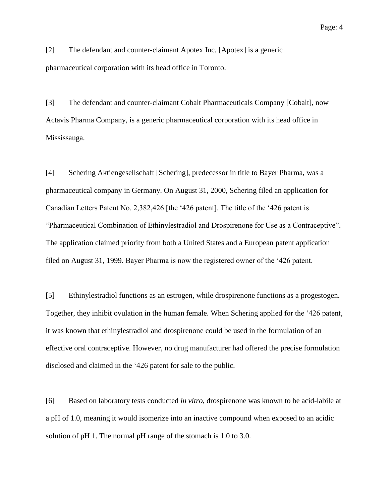[2] The defendant and counter-claimant Apotex Inc. [Apotex] is a generic pharmaceutical corporation with its head office in Toronto.

[3] The defendant and counter-claimant Cobalt Pharmaceuticals Company [Cobalt], now Actavis Pharma Company, is a generic pharmaceutical corporation with its head office in Mississauga.

[4] Schering Aktiengesellschaft [Schering], predecessor in title to Bayer Pharma, was a pharmaceutical company in Germany. On August 31, 2000, Schering filed an application for Canadian Letters Patent No. 2,382,426 [the '426 patent]. The title of the '426 patent is "Pharmaceutical Combination of Ethinylestradiol and Drospirenone for Use as a Contraceptive". The application claimed priority from both a United States and a European patent application filed on August 31, 1999. Bayer Pharma is now the registered owner of the '426 patent.

[5] Ethinylestradiol functions as an estrogen, while drospirenone functions as a progestogen. Together, they inhibit ovulation in the human female. When Schering applied for the '426 patent, it was known that ethinylestradiol and drospirenone could be used in the formulation of an effective oral contraceptive. However, no drug manufacturer had offered the precise formulation disclosed and claimed in the '426 patent for sale to the public.

[6] Based on laboratory tests conducted *in vitro*, drospirenone was known to be acid-labile at a pH of 1.0, meaning it would isomerize into an inactive compound when exposed to an acidic solution of pH 1. The normal pH range of the stomach is 1.0 to 3.0.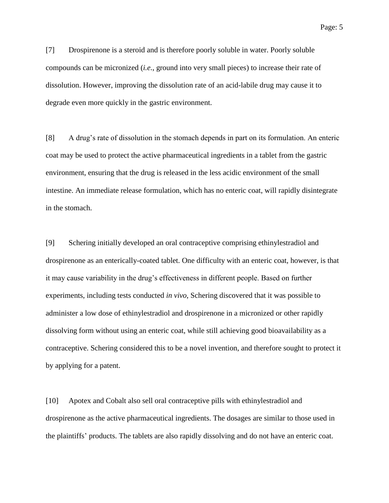[7] Drospirenone is a steroid and is therefore poorly soluble in water. Poorly soluble compounds can be micronized (*i.e.*, ground into very small pieces) to increase their rate of dissolution. However, improving the dissolution rate of an acid-labile drug may cause it to degrade even more quickly in the gastric environment.

[8] A drug's rate of dissolution in the stomach depends in part on its formulation. An enteric coat may be used to protect the active pharmaceutical ingredients in a tablet from the gastric environment, ensuring that the drug is released in the less acidic environment of the small intestine. An immediate release formulation, which has no enteric coat, will rapidly disintegrate in the stomach.

[9] Schering initially developed an oral contraceptive comprising ethinylestradiol and drospirenone as an enterically-coated tablet. One difficulty with an enteric coat, however, is that it may cause variability in the drug's effectiveness in different people. Based on further experiments, including tests conducted *in vivo*, Schering discovered that it was possible to administer a low dose of ethinylestradiol and drospirenone in a micronized or other rapidly dissolving form without using an enteric coat, while still achieving good bioavailability as a contraceptive. Schering considered this to be a novel invention, and therefore sought to protect it by applying for a patent.

[10] Apotex and Cobalt also sell oral contraceptive pills with ethinylestradiol and drospirenone as the active pharmaceutical ingredients. The dosages are similar to those used in the plaintiffs' products. The tablets are also rapidly dissolving and do not have an enteric coat.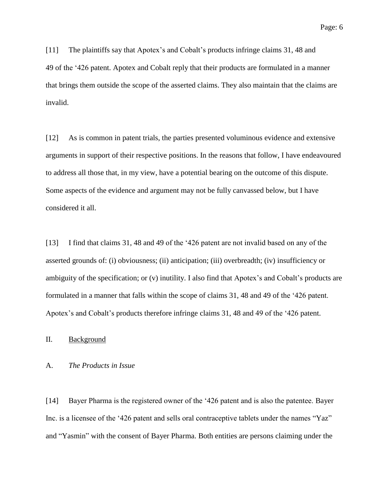[11] The plaintiffs say that Apotex's and Cobalt's products infringe claims 31, 48 and 49 of the '426 patent. Apotex and Cobalt reply that their products are formulated in a manner that brings them outside the scope of the asserted claims. They also maintain that the claims are invalid.

[12] As is common in patent trials, the parties presented voluminous evidence and extensive arguments in support of their respective positions. In the reasons that follow, I have endeavoured to address all those that, in my view, have a potential bearing on the outcome of this dispute. Some aspects of the evidence and argument may not be fully canvassed below, but I have considered it all.

[13] I find that claims 31, 48 and 49 of the '426 patent are not invalid based on any of the asserted grounds of: (i) obviousness; (ii) anticipation; (iii) overbreadth; (iv) insufficiency or ambiguity of the specification; or (v) inutility. I also find that Apotex's and Cobalt's products are formulated in a manner that falls within the scope of claims 31, 48 and 49 of the '426 patent. Apotex's and Cobalt's products therefore infringe claims 31, 48 and 49 of the '426 patent.

<span id="page-5-0"></span>II. Background

#### <span id="page-5-1"></span>A. *The Products in Issue*

[14] Bayer Pharma is the registered owner of the '426 patent and is also the patentee. Bayer Inc. is a licensee of the '426 patent and sells oral contraceptive tablets under the names "Yaz" and "Yasmin" with the consent of Bayer Pharma. Both entities are persons claiming under the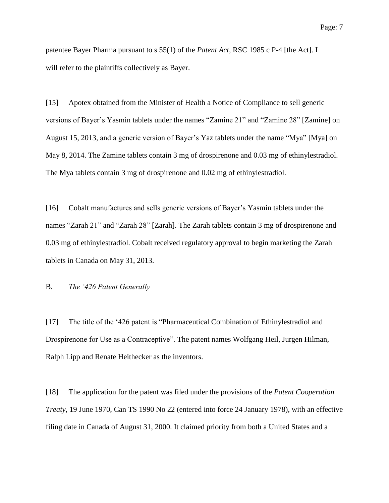patentee Bayer Pharma pursuant to s 55(1) of the *Patent Act*, RSC 1985 c P-4 [the Act]. I will refer to the plaintiffs collectively as Bayer.

[15] Apotex obtained from the Minister of Health a Notice of Compliance to sell generic versions of Bayer's Yasmin tablets under the names "Zamine 21" and "Zamine 28" [Zamine] on August 15, 2013, and a generic version of Bayer's Yaz tablets under the name "Mya" [Mya] on May 8, 2014. The Zamine tablets contain 3 mg of drospirenone and 0.03 mg of ethinylestradiol. The Mya tablets contain 3 mg of drospirenone and 0.02 mg of ethinylestradiol.

[16] Cobalt manufactures and sells generic versions of Bayer's Yasmin tablets under the names "Zarah 21" and "Zarah 28" [Zarah]. The Zarah tablets contain 3 mg of drospirenone and 0.03 mg of ethinylestradiol. Cobalt received regulatory approval to begin marketing the Zarah tablets in Canada on May 31, 2013.

<span id="page-6-0"></span>B. *The '426 Patent Generally*

[17] The title of the '426 patent is "Pharmaceutical Combination of Ethinylestradiol and Drospirenone for Use as a Contraceptive". The patent names Wolfgang Heil, Jurgen Hilman, Ralph Lipp and Renate Heithecker as the inventors.

[18] The application for the patent was filed under the provisions of the *Patent Cooperation Treaty*, 19 June 1970, Can TS 1990 No 22 (entered into force 24 January 1978), with an effective filing date in Canada of August 31, 2000. It claimed priority from both a United States and a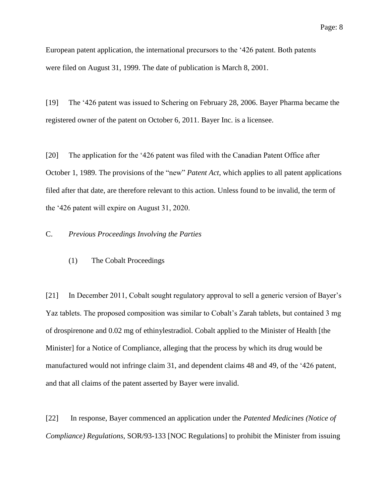European patent application, the international precursors to the '426 patent. Both patents were filed on August 31, 1999. The date of publication is March 8, 2001.

[19] The '426 patent was issued to Schering on February 28, 2006. Bayer Pharma became the registered owner of the patent on October 6, 2011. Bayer Inc. is a licensee.

[20] The application for the '426 patent was filed with the Canadian Patent Office after October 1, 1989. The provisions of the "new" *Patent Act*, which applies to all patent applications filed after that date, are therefore relevant to this action. Unless found to be invalid, the term of the '426 patent will expire on August 31, 2020.

# <span id="page-7-1"></span><span id="page-7-0"></span>C. *Previous Proceedings Involving the Parties*

(1) The Cobalt Proceedings

[21] In December 2011, Cobalt sought regulatory approval to sell a generic version of Bayer's Yaz tablets. The proposed composition was similar to Cobalt's Zarah tablets, but contained 3 mg of drospirenone and 0.02 mg of ethinylestradiol. Cobalt applied to the Minister of Health [the Minister] for a Notice of Compliance, alleging that the process by which its drug would be manufactured would not infringe claim 31, and dependent claims 48 and 49, of the '426 patent, and that all claims of the patent asserted by Bayer were invalid.

[22] In response, Bayer commenced an application under the *Patented Medicines (Notice of Compliance) Regulations*, SOR/93-133 [NOC Regulations] to prohibit the Minister from issuing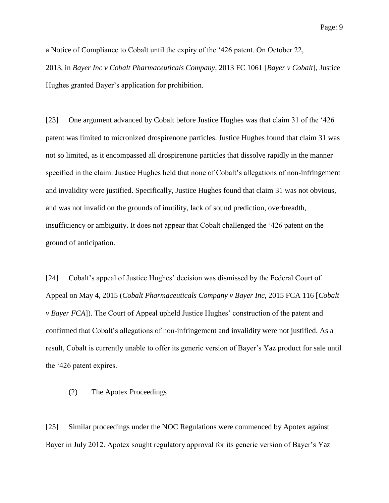a Notice of Compliance to Cobalt until the expiry of the '426 patent. On October 22, 2013, in *Bayer Inc v Cobalt Pharmaceuticals Company*, 2013 FC 1061 [*Bayer v Cobalt*], Justice Hughes granted Bayer's application for prohibition.

[23] One argument advanced by Cobalt before Justice Hughes was that claim 31 of the '426 patent was limited to micronized drospirenone particles. Justice Hughes found that claim 31 was not so limited, as it encompassed all drospirenone particles that dissolve rapidly in the manner specified in the claim. Justice Hughes held that none of Cobalt's allegations of non-infringement and invalidity were justified. Specifically, Justice Hughes found that claim 31 was not obvious, and was not invalid on the grounds of inutility, lack of sound prediction, overbreadth, insufficiency or ambiguity. It does not appear that Cobalt challenged the '426 patent on the ground of anticipation.

[24] Cobalt's appeal of Justice Hughes' decision was dismissed by the Federal Court of Appeal on May 4, 2015 (*Cobalt Pharmaceuticals Company v Bayer Inc*, 2015 FCA 116 [*Cobalt v Bayer FCA*]). The Court of Appeal upheld Justice Hughes' construction of the patent and confirmed that Cobalt's allegations of non-infringement and invalidity were not justified. As a result, Cobalt is currently unable to offer its generic version of Bayer's Yaz product for sale until the '426 patent expires.

<span id="page-8-0"></span>(2) The Apotex Proceedings

[25] Similar proceedings under the NOC Regulations were commenced by Apotex against Bayer in July 2012. Apotex sought regulatory approval for its generic version of Bayer's Yaz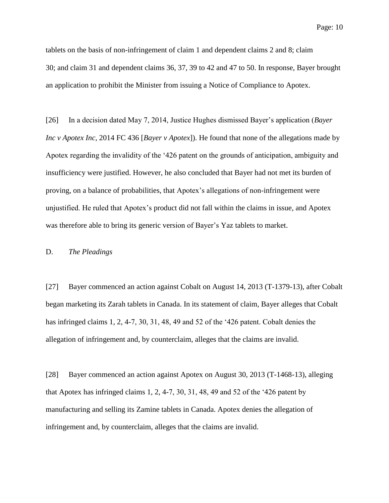tablets on the basis of non-infringement of claim 1 and dependent claims 2 and 8; claim 30; and claim 31 and dependent claims 36, 37, 39 to 42 and 47 to 50. In response, Bayer brought an application to prohibit the Minister from issuing a Notice of Compliance to Apotex.

[26] In a decision dated May 7, 2014, Justice Hughes dismissed Bayer's application (*Bayer Inc v Apotex Inc*, 2014 FC 436 [*Bayer v Apotex*]). He found that none of the allegations made by Apotex regarding the invalidity of the '426 patent on the grounds of anticipation, ambiguity and insufficiency were justified. However, he also concluded that Bayer had not met its burden of proving, on a balance of probabilities, that Apotex's allegations of non-infringement were unjustified. He ruled that Apotex's product did not fall within the claims in issue, and Apotex was therefore able to bring its generic version of Bayer's Yaz tablets to market.

#### <span id="page-9-0"></span>D. *The Pleadings*

[27] Bayer commenced an action against Cobalt on August 14, 2013 (T-1379-13), after Cobalt began marketing its Zarah tablets in Canada. In its statement of claim, Bayer alleges that Cobalt has infringed claims 1, 2, 4-7, 30, 31, 48, 49 and 52 of the '426 patent. Cobalt denies the allegation of infringement and, by counterclaim, alleges that the claims are invalid.

[28] Bayer commenced an action against Apotex on August 30, 2013 (T-1468-13), alleging that Apotex has infringed claims 1, 2, 4-7, 30, 31, 48, 49 and 52 of the '426 patent by manufacturing and selling its Zamine tablets in Canada. Apotex denies the allegation of infringement and, by counterclaim, alleges that the claims are invalid.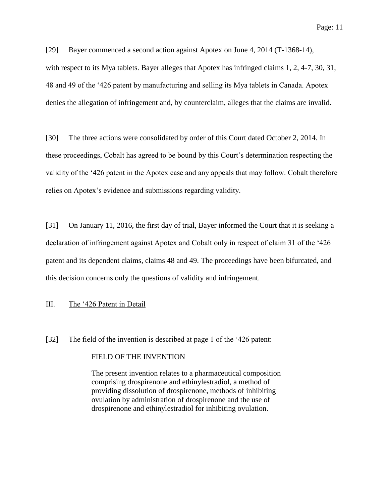[29] Bayer commenced a second action against Apotex on June 4, 2014 (T-1368-14), with respect to its Mya tablets. Bayer alleges that Apotex has infringed claims 1, 2, 4-7, 30, 31, 48 and 49 of the '426 patent by manufacturing and selling its Mya tablets in Canada. Apotex denies the allegation of infringement and, by counterclaim, alleges that the claims are invalid.

[30] The three actions were consolidated by order of this Court dated October 2, 2014. In these proceedings, Cobalt has agreed to be bound by this Court's determination respecting the validity of the '426 patent in the Apotex case and any appeals that may follow. Cobalt therefore relies on Apotex's evidence and submissions regarding validity.

[31] On January 11, 2016, the first day of trial, Bayer informed the Court that it is seeking a declaration of infringement against Apotex and Cobalt only in respect of claim 31 of the '426 patent and its dependent claims, claims 48 and 49. The proceedings have been bifurcated, and this decision concerns only the questions of validity and infringement.

# <span id="page-10-0"></span>III. The '426 Patent in Detail

[32] The field of the invention is described at page 1 of the '426 patent:

# FIELD OF THE INVENTION

The present invention relates to a pharmaceutical composition comprising drospirenone and ethinylestradiol, a method of providing dissolution of drospirenone, methods of inhibiting ovulation by administration of drospirenone and the use of drospirenone and ethinylestradiol for inhibiting ovulation.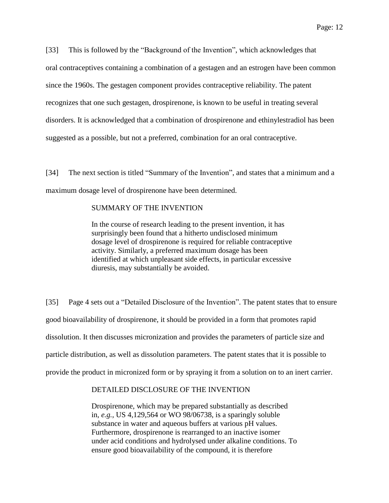since the 1960s. The gestagen component provides contraceptive reliability. The patent recognizes that one such gestagen, drospirenone, is known to be useful in treating several disorders. It is acknowledged that a combination of drospirenone and ethinylestradiol has been suggested as a possible, but not a preferred, combination for an oral contraceptive.

[34] The next section is titled "Summary of the Invention", and states that a minimum and a maximum dosage level of drospirenone have been determined.

# SUMMARY OF THE INVENTION

In the course of research leading to the present invention, it has surprisingly been found that a hitherto undisclosed minimum dosage level of drospirenone is required for reliable contraceptive activity. Similarly, a preferred maximum dosage has been identified at which unpleasant side effects, in particular excessive diuresis, may substantially be avoided.

[35] Page 4 sets out a "Detailed Disclosure of the Invention". The patent states that to ensure good bioavailability of drospirenone, it should be provided in a form that promotes rapid dissolution. It then discusses micronization and provides the parameters of particle size and particle distribution, as well as dissolution parameters. The patent states that it is possible to provide the product in micronized form or by spraying it from a solution on to an inert carrier.

# DETAILED DISCLOSURE OF THE INVENTION

Drospirenone, which may be prepared substantially as described in, *e.g.*, US 4,129,564 or WO 98/06738, is a sparingly soluble substance in water and aqueous buffers at various pH values. Furthermore, drospirenone is rearranged to an inactive isomer under acid conditions and hydrolysed under alkaline conditions. To ensure good bioavailability of the compound, it is therefore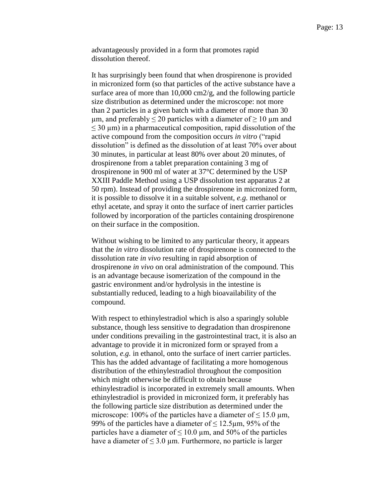advantageously provided in a form that promotes rapid dissolution thereof.

It has surprisingly been found that when drospirenone is provided in micronized form (so that particles of the active substance have a surface area of more than 10,000 cm2/g, and the following particle size distribution as determined under the microscope: not more than 2 particles in a given batch with a diameter of more than 30  $\mu$ m, and preferably  $\leq$  20 particles with a diameter of  $\geq$  10  $\mu$ m and  $\leq$  30  $\mu$ m) in a pharmaceutical composition, rapid dissolution of the active compound from the composition occurs *in vitro* ("rapid dissolution" is defined as the dissolution of at least 70% over about 30 minutes, in particular at least 80% over about 20 minutes, of drospirenone from a tablet preparation containing 3 mg of drospirenone in 900 ml of water at 37°C determined by the USP XXIII Paddle Method using a USP dissolution test apparatus 2 at 50 rpm). Instead of providing the drospirenone in micronized form, it is possible to dissolve it in a suitable solvent, *e.g.* methanol or ethyl acetate, and spray it onto the surface of inert carrier particles followed by incorporation of the particles containing drospirenone on their surface in the composition.

Without wishing to be limited to any particular theory, it appears that the *in vitro* dissolution rate of drospirenone is connected to the dissolution rate *in vivo* resulting in rapid absorption of drospirenone *in vivo* on oral administration of the compound. This is an advantage because isomerization of the compound in the gastric environment and/or hydrolysis in the intestine is substantially reduced, leading to a high bioavailability of the compound.

With respect to ethinylestradiol which is also a sparingly soluble substance, though less sensitive to degradation than drospirenone under conditions prevailing in the gastrointestinal tract, it is also an advantage to provide it in micronized form or sprayed from a solution, *e.g.* in ethanol, onto the surface of inert carrier particles. This has the added advantage of facilitating a more homogenous distribution of the ethinylestradiol throughout the composition which might otherwise be difficult to obtain because ethinylestradiol is incorporated in extremely small amounts. When ethinylestradiol is provided in micronized form, it preferably has the following particle size distribution as determined under the microscope: 100% of the particles have a diameter of  $\leq 15.0$  µm, 99% of the particles have a diameter of  $\leq 12.5$ um, 95% of the particles have a diameter of  $\leq 10.0 \,\mu$ m, and 50% of the particles have a diameter of  $\leq 3.0 \mu$ m. Furthermore, no particle is larger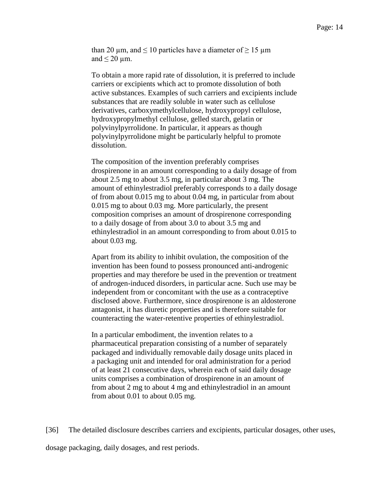than 20  $\mu$ m, and  $\leq 10$  particles have a diameter of  $\geq 15 \mu$ m and  $\leq 20 \mu m$ .

To obtain a more rapid rate of dissolution, it is preferred to include carriers or excipients which act to promote dissolution of both active substances. Examples of such carriers and excipients include substances that are readily soluble in water such as cellulose derivatives, carboxymethylcellulose, hydroxypropyl cellulose, hydroxypropylmethyl cellulose, gelled starch, gelatin or polyvinylpyrrolidone. In particular, it appears as though polyvinylpyrrolidone might be particularly helpful to promote dissolution.

The composition of the invention preferably comprises drospirenone in an amount corresponding to a daily dosage of from about 2.5 mg to about 3.5 mg, in particular about 3 mg. The amount of ethinylestradiol preferably corresponds to a daily dosage of from about 0.015 mg to about 0.04 mg, in particular from about 0.015 mg to about 0.03 mg. More particularly, the present composition comprises an amount of drospirenone corresponding to a daily dosage of from about 3.0 to about 3.5 mg and ethinylestradiol in an amount corresponding to from about 0.015 to about 0.03 mg.

Apart from its ability to inhibit ovulation, the composition of the invention has been found to possess pronounced anti-androgenic properties and may therefore be used in the prevention or treatment of androgen-induced disorders, in particular acne. Such use may be independent from or concomitant with the use as a contraceptive disclosed above. Furthermore, since drospirenone is an aldosterone antagonist, it has diuretic properties and is therefore suitable for counteracting the water-retentive properties of ethinylestradiol.

In a particular embodiment, the invention relates to a pharmaceutical preparation consisting of a number of separately packaged and individually removable daily dosage units placed in a packaging unit and intended for oral administration for a period of at least 21 consecutive days, wherein each of said daily dosage units comprises a combination of drospirenone in an amount of from about 2 mg to about 4 mg and ethinylestradiol in an amount from about 0.01 to about 0.05 mg.

[36] The detailed disclosure describes carriers and excipients, particular dosages, other uses, dosage packaging, daily dosages, and rest periods.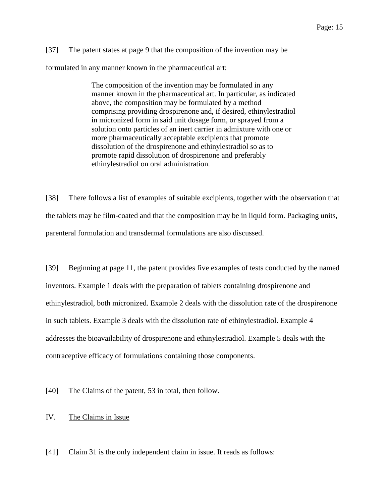[37] The patent states at page 9 that the composition of the invention may be

formulated in any manner known in the pharmaceutical art:

The composition of the invention may be formulated in any manner known in the pharmaceutical art. In particular, as indicated above, the composition may be formulated by a method comprising providing drospirenone and, if desired, ethinylestradiol in micronized form in said unit dosage form, or sprayed from a solution onto particles of an inert carrier in admixture with one or more pharmaceutically acceptable excipients that promote dissolution of the drospirenone and ethinylestradiol so as to promote rapid dissolution of drospirenone and preferably ethinylestradiol on oral administration.

[38] There follows a list of examples of suitable excipients, together with the observation that the tablets may be film-coated and that the composition may be in liquid form. Packaging units, parenteral formulation and transdermal formulations are also discussed.

[39] Beginning at page 11, the patent provides five examples of tests conducted by the named inventors. Example 1 deals with the preparation of tablets containing drospirenone and ethinylestradiol, both micronized. Example 2 deals with the dissolution rate of the drospirenone in such tablets. Example 3 deals with the dissolution rate of ethinylestradiol. Example 4 addresses the bioavailability of drospirenone and ethinylestradiol. Example 5 deals with the contraceptive efficacy of formulations containing those components.

[40] The Claims of the patent, 53 in total, then follow.

# <span id="page-14-0"></span>IV. The Claims in Issue

[41] Claim 31 is the only independent claim in issue. It reads as follows: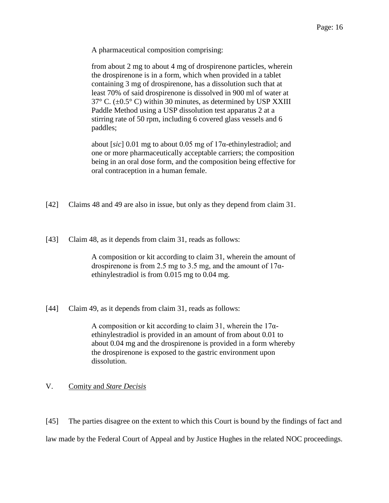A pharmaceutical composition comprising:

from about 2 mg to about 4 mg of drospirenone particles, wherein the drospirenone is in a form, which when provided in a tablet containing 3 mg of drospirenone, has a dissolution such that at least 70% of said drospirenone is dissolved in 900 ml of water at  $37^{\circ}$  C. ( $\pm 0.5^{\circ}$  C) within 30 minutes, as determined by USP XXIII Paddle Method using a USP dissolution test apparatus 2 at a stirring rate of 50 rpm, including 6 covered glass vessels and 6 paddles;

about [*sic*] 0.01 mg to about 0.05 mg of 17α-ethinylestradiol; and one or more pharmaceutically acceptable carriers; the composition being in an oral dose form, and the composition being effective for oral contraception in a human female.

- [42] Claims 48 and 49 are also in issue, but only as they depend from claim 31.
- [43] Claim 48, as it depends from claim 31, reads as follows:

A composition or kit according to claim 31, wherein the amount of drospirenone is from 2.5 mg to 3.5 mg, and the amount of  $17\alpha$ ethinylestradiol is from 0.015 mg to 0.04 mg.

[44] Claim 49, as it depends from claim 31, reads as follows:

A composition or kit according to claim 31, wherein the  $17\alpha$ ethinylestradiol is provided in an amount of from about 0.01 to about 0.04 mg and the drospirenone is provided in a form whereby the drospirenone is exposed to the gastric environment upon dissolution.

#### <span id="page-15-0"></span>V. Comity and *Stare Decisis*

[45] The parties disagree on the extent to which this Court is bound by the findings of fact and law made by the Federal Court of Appeal and by Justice Hughes in the related NOC proceedings.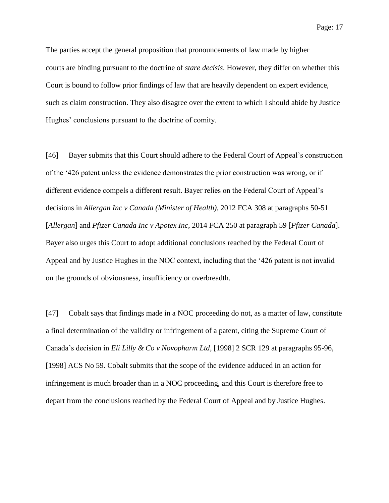The parties accept the general proposition that pronouncements of law made by higher courts are binding pursuant to the doctrine of *stare decisis*. However, they differ on whether this Court is bound to follow prior findings of law that are heavily dependent on expert evidence, such as claim construction. They also disagree over the extent to which I should abide by Justice Hughes' conclusions pursuant to the doctrine of comity.

[46] Bayer submits that this Court should adhere to the Federal Court of Appeal's construction of the '426 patent unless the evidence demonstrates the prior construction was wrong, or if different evidence compels a different result. Bayer relies on the Federal Court of Appeal's decisions in *Allergan Inc v Canada (Minister of Health)*, 2012 FCA 308 at paragraphs 50-51 [*Allergan*] and *Pfizer Canada Inc v Apotex Inc*, 2014 FCA 250 at paragraph 59 [*Pfizer Canada*]. Bayer also urges this Court to adopt additional conclusions reached by the Federal Court of Appeal and by Justice Hughes in the NOC context, including that the '426 patent is not invalid on the grounds of obviousness, insufficiency or overbreadth.

[47] Cobalt says that findings made in a NOC proceeding do not, as a matter of law, constitute a final determination of the validity or infringement of a patent, citing the Supreme Court of Canada's decision in *Eli Lilly & Co v Novopharm Ltd*, [1998] 2 SCR 129 at paragraphs 95-96, [1998] ACS No 59. Cobalt submits that the scope of the evidence adduced in an action for infringement is much broader than in a NOC proceeding, and this Court is therefore free to depart from the conclusions reached by the Federal Court of Appeal and by Justice Hughes.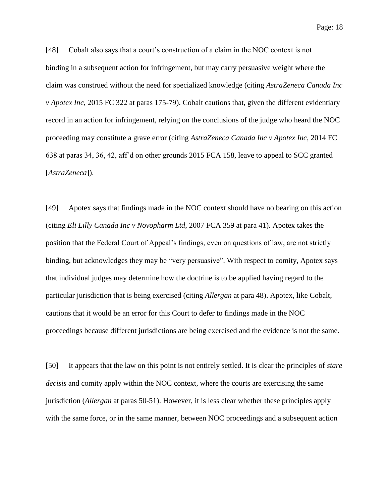[48] Cobalt also says that a court's construction of a claim in the NOC context is not binding in a subsequent action for infringement, but may carry persuasive weight where the claim was construed without the need for specialized knowledge (citing *AstraZeneca Canada Inc v Apotex Inc*, 2015 FC 322 at paras 175-79). Cobalt cautions that, given the different evidentiary record in an action for infringement, relying on the conclusions of the judge who heard the NOC proceeding may constitute a grave error (citing *AstraZeneca Canada Inc v Apotex Inc*, 2014 FC 638 at paras 34, 36, 42, aff'd on other grounds 2015 FCA 158, leave to appeal to SCC granted [*AstraZeneca*]).

[49] Apotex says that findings made in the NOC context should have no bearing on this action (citing *Eli Lilly Canada Inc v Novopharm Ltd*, 2007 FCA 359 at para 41). Apotex takes the position that the Federal Court of Appeal's findings, even on questions of law, are not strictly binding, but acknowledges they may be "very persuasive". With respect to comity, Apotex says that individual judges may determine how the doctrine is to be applied having regard to the particular jurisdiction that is being exercised (citing *Allergan* at para 48). Apotex, like Cobalt, cautions that it would be an error for this Court to defer to findings made in the NOC proceedings because different jurisdictions are being exercised and the evidence is not the same.

[50] It appears that the law on this point is not entirely settled. It is clear the principles of *stare decisis* and comity apply within the NOC context, where the courts are exercising the same jurisdiction (*Allergan* at paras 50-51). However, it is less clear whether these principles apply with the same force, or in the same manner, between NOC proceedings and a subsequent action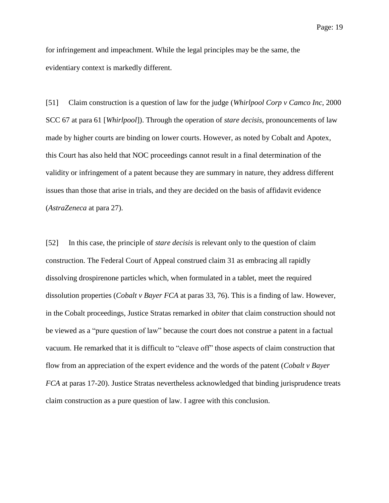for infringement and impeachment. While the legal principles may be the same, the evidentiary context is markedly different.

[51] Claim construction is a question of law for the judge (*Whirlpool Corp v Camco Inc*, 2000 SCC 67 at para 61 [*Whirlpool*]). Through the operation of *stare decisis*, pronouncements of law made by higher courts are binding on lower courts. However, as noted by Cobalt and Apotex, this Court has also held that NOC proceedings cannot result in a final determination of the validity or infringement of a patent because they are summary in nature, they address different issues than those that arise in trials, and they are decided on the basis of affidavit evidence (*AstraZeneca* at para 27).

[52] In this case, the principle of *stare decisis* is relevant only to the question of claim construction. The Federal Court of Appeal construed claim 31 as embracing all rapidly dissolving drospirenone particles which, when formulated in a tablet, meet the required dissolution properties (*Cobalt v Bayer FCA* at paras 33, 76). This is a finding of law. However, in the Cobalt proceedings, Justice Stratas remarked in *obiter* that claim construction should not be viewed as a "pure question of law" because the court does not construe a patent in a factual vacuum. He remarked that it is difficult to "cleave off" those aspects of claim construction that flow from an appreciation of the expert evidence and the words of the patent (*Cobalt v Bayer FCA* at paras 17-20). Justice Stratas nevertheless acknowledged that binding jurisprudence treats claim construction as a pure question of law. I agree with this conclusion.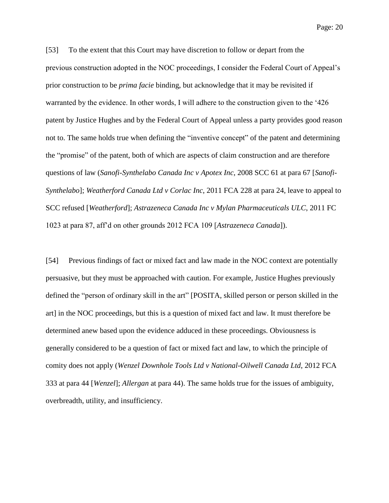[53] To the extent that this Court may have discretion to follow or depart from the previous construction adopted in the NOC proceedings, I consider the Federal Court of Appeal's prior construction to be *prima facie* binding, but acknowledge that it may be revisited if warranted by the evidence. In other words, I will adhere to the construction given to the '426 patent by Justice Hughes and by the Federal Court of Appeal unless a party provides good reason not to. The same holds true when defining the "inventive concept" of the patent and determining the "promise" of the patent, both of which are aspects of claim construction and are therefore questions of law (*Sanofi-Synthelabo Canada Inc v Apotex Inc*, 2008 SCC 61 at para 67 [*Sanofi-Synthelabo*]; *Weatherford Canada Ltd v Corlac Inc*, 2011 FCA 228 at para 24, leave to appeal to SCC refused [*Weatherford*]; *Astrazeneca Canada Inc v Mylan Pharmaceuticals ULC*, 2011 FC 1023 at para 87, aff'd on other grounds 2012 FCA 109 [*Astrazeneca Canada*]).

[54] Previous findings of fact or mixed fact and law made in the NOC context are potentially persuasive, but they must be approached with caution. For example, Justice Hughes previously defined the "person of ordinary skill in the art" [POSITA, skilled person or person skilled in the art] in the NOC proceedings, but this is a question of mixed fact and law. It must therefore be determined anew based upon the evidence adduced in these proceedings. Obviousness is generally considered to be a question of fact or mixed fact and law, to which the principle of comity does not apply (*Wenzel Downhole Tools Ltd v National-Oilwell Canada Ltd*, 2012 FCA 333 at para 44 [*Wenzel*]; *Allergan* at para 44). The same holds true for the issues of ambiguity, overbreadth, utility, and insufficiency.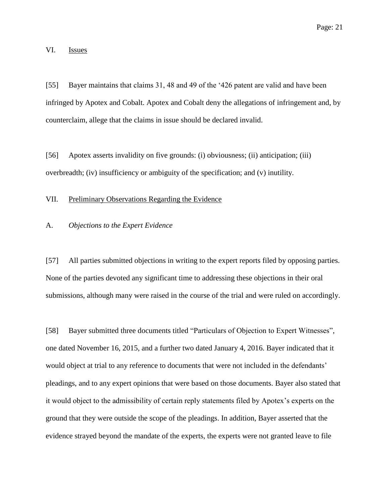#### <span id="page-20-0"></span>VI. Issues

[55] Bayer maintains that claims 31, 48 and 49 of the '426 patent are valid and have been infringed by Apotex and Cobalt. Apotex and Cobalt deny the allegations of infringement and, by counterclaim, allege that the claims in issue should be declared invalid.

[56] Apotex asserts invalidity on five grounds: (i) obviousness; (ii) anticipation; (iii) overbreadth; (iv) insufficiency or ambiguity of the specification; and (v) inutility.

<span id="page-20-1"></span>VII. Preliminary Observations Regarding the Evidence

#### <span id="page-20-2"></span>A. *Objections to the Expert Evidence*

[57] All parties submitted objections in writing to the expert reports filed by opposing parties. None of the parties devoted any significant time to addressing these objections in their oral submissions, although many were raised in the course of the trial and were ruled on accordingly.

[58] Bayer submitted three documents titled "Particulars of Objection to Expert Witnesses", one dated November 16, 2015, and a further two dated January 4, 2016. Bayer indicated that it would object at trial to any reference to documents that were not included in the defendants' pleadings, and to any expert opinions that were based on those documents. Bayer also stated that it would object to the admissibility of certain reply statements filed by Apotex's experts on the ground that they were outside the scope of the pleadings. In addition, Bayer asserted that the evidence strayed beyond the mandate of the experts, the experts were not granted leave to file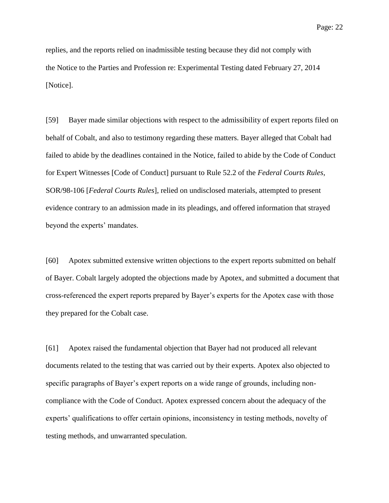replies, and the reports relied on inadmissible testing because they did not comply with the Notice to the Parties and Profession re: Experimental Testing dated February 27, 2014 [Notice].

[59] Bayer made similar objections with respect to the admissibility of expert reports filed on behalf of Cobalt, and also to testimony regarding these matters. Bayer alleged that Cobalt had failed to abide by the deadlines contained in the Notice, failed to abide by the Code of Conduct for Expert Witnesses [Code of Conduct] pursuant to Rule 52.2 of the *Federal Courts Rules*, SOR/98-106 [*Federal Courts Rules*], relied on undisclosed materials, attempted to present evidence contrary to an admission made in its pleadings, and offered information that strayed beyond the experts' mandates.

[60] Apotex submitted extensive written objections to the expert reports submitted on behalf of Bayer. Cobalt largely adopted the objections made by Apotex, and submitted a document that cross-referenced the expert reports prepared by Bayer's experts for the Apotex case with those they prepared for the Cobalt case.

[61] Apotex raised the fundamental objection that Bayer had not produced all relevant documents related to the testing that was carried out by their experts. Apotex also objected to specific paragraphs of Bayer's expert reports on a wide range of grounds, including noncompliance with the Code of Conduct. Apotex expressed concern about the adequacy of the experts' qualifications to offer certain opinions, inconsistency in testing methods, novelty of testing methods, and unwarranted speculation.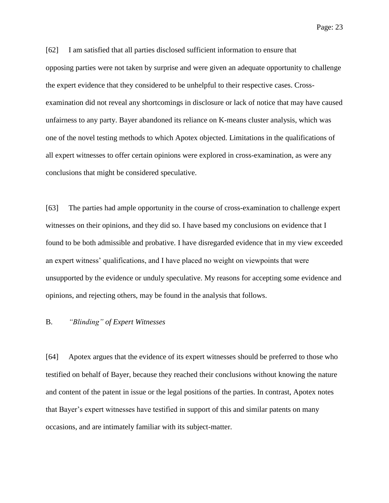[62] I am satisfied that all parties disclosed sufficient information to ensure that opposing parties were not taken by surprise and were given an adequate opportunity to challenge the expert evidence that they considered to be unhelpful to their respective cases. Crossexamination did not reveal any shortcomings in disclosure or lack of notice that may have caused unfairness to any party. Bayer abandoned its reliance on K-means cluster analysis, which was one of the novel testing methods to which Apotex objected. Limitations in the qualifications of all expert witnesses to offer certain opinions were explored in cross-examination, as were any conclusions that might be considered speculative.

[63] The parties had ample opportunity in the course of cross-examination to challenge expert witnesses on their opinions, and they did so. I have based my conclusions on evidence that I found to be both admissible and probative. I have disregarded evidence that in my view exceeded an expert witness' qualifications, and I have placed no weight on viewpoints that were unsupported by the evidence or unduly speculative. My reasons for accepting some evidence and opinions, and rejecting others, may be found in the analysis that follows.

### <span id="page-22-0"></span>B. *"Blinding" of Expert Witnesses*

[64] Apotex argues that the evidence of its expert witnesses should be preferred to those who testified on behalf of Bayer, because they reached their conclusions without knowing the nature and content of the patent in issue or the legal positions of the parties. In contrast, Apotex notes that Bayer's expert witnesses have testified in support of this and similar patents on many occasions, and are intimately familiar with its subject-matter.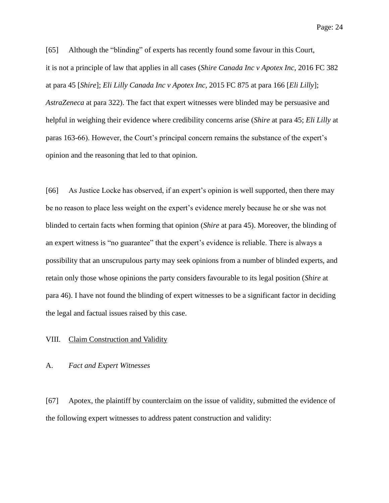[65] Although the "blinding" of experts has recently found some favour in this Court, it is not a principle of law that applies in all cases (*Shire Canada Inc v Apotex Inc*, 2016 FC 382 at para 45 [*Shire*]; *Eli Lilly Canada Inc v Apotex Inc*, 2015 FC 875 at para 166 [*Eli Lilly*]; *AstraZeneca* at para 322). The fact that expert witnesses were blinded may be persuasive and helpful in weighing their evidence where credibility concerns arise (*Shire* at para 45; *Eli Lilly* at paras 163-66). However, the Court's principal concern remains the substance of the expert's opinion and the reasoning that led to that opinion.

[66] As Justice Locke has observed, if an expert's opinion is well supported, then there may be no reason to place less weight on the expert's evidence merely because he or she was not blinded to certain facts when forming that opinion (*Shire* at para 45). Moreover, the blinding of an expert witness is "no guarantee" that the expert's evidence is reliable. There is always a possibility that an unscrupulous party may seek opinions from a number of blinded experts, and retain only those whose opinions the party considers favourable to its legal position (*Shire* at para 46). I have not found the blinding of expert witnesses to be a significant factor in deciding the legal and factual issues raised by this case.

# <span id="page-23-0"></span>VIII. Claim Construction and Validity

#### <span id="page-23-1"></span>A. *Fact and Expert Witnesses*

[67] Apotex, the plaintiff by counterclaim on the issue of validity, submitted the evidence of the following expert witnesses to address patent construction and validity: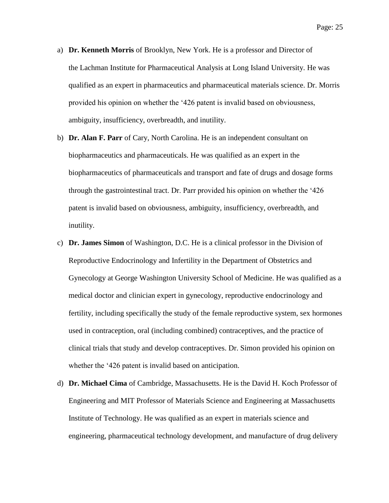- a) **Dr. Kenneth Morris** of Brooklyn, New York. He is a professor and Director of the Lachman Institute for Pharmaceutical Analysis at Long Island University. He was qualified as an expert in pharmaceutics and pharmaceutical materials science. Dr. Morris provided his opinion on whether the '426 patent is invalid based on obviousness, ambiguity, insufficiency, overbreadth, and inutility.
- b) **Dr. Alan F. Parr** of Cary, North Carolina. He is an independent consultant on biopharmaceutics and pharmaceuticals. He was qualified as an expert in the biopharmaceutics of pharmaceuticals and transport and fate of drugs and dosage forms through the gastrointestinal tract. Dr. Parr provided his opinion on whether the '426 patent is invalid based on obviousness, ambiguity, insufficiency, overbreadth, and inutility.
- c) **Dr. James Simon** of Washington, D.C. He is a clinical professor in the Division of Reproductive Endocrinology and Infertility in the Department of Obstetrics and Gynecology at George Washington University School of Medicine. He was qualified as a medical doctor and clinician expert in gynecology, reproductive endocrinology and fertility, including specifically the study of the female reproductive system, sex hormones used in contraception, oral (including combined) contraceptives, and the practice of clinical trials that study and develop contraceptives. Dr. Simon provided his opinion on whether the '426 patent is invalid based on anticipation.
- d) **Dr. Michael Cima** of Cambridge, Massachusetts. He is the David H. Koch Professor of Engineering and MIT Professor of Materials Science and Engineering at Massachusetts Institute of Technology. He was qualified as an expert in materials science and engineering, pharmaceutical technology development, and manufacture of drug delivery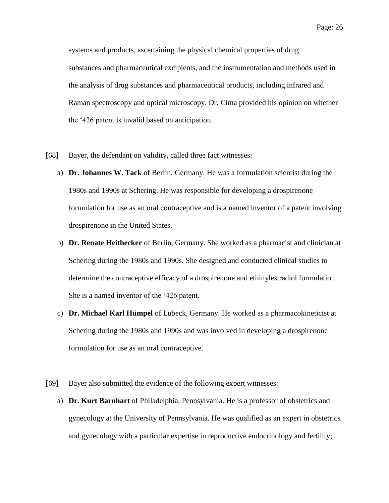systems and products, ascertaining the physical chemical properties of drug substances and pharmaceutical excipients, and the instrumentation and methods used in the analysis of drug substances and pharmaceutical products, including infrared and Raman spectroscopy and optical microscopy. Dr. Cima provided his opinion on whether the '426 patent is invalid based on anticipation.

- [68] Bayer, the defendant on validity, called three fact witnesses:
	- a) **Dr. Johannes W. Tack** of Berlin, Germany. He was a formulation scientist during the 1980s and 1990s at Schering. He was responsible for developing a drospirenone formulation for use as an oral contraceptive and is a named inventor of a patent involving drospirenone in the United States.
	- b) **Dr. Renate Heithecker** of Berlin, Germany. She worked as a pharmacist and clinician at Schering during the 1980s and 1990s. She designed and conducted clinical studies to determine the contraceptive efficacy of a drospirenone and ethinylestradiol formulation. She is a named inventor of the '426 patent.
	- c) **Dr. Michael Karl Hümpel** of Lubeck, Germany. He worked as a pharmacokineticist at Schering during the 1980s and 1990s and was involved in developing a drospirenone formulation for use as an oral contraceptive.
- [69] Bayer also submitted the evidence of the following expert witnesses:
	- a) **Dr. Kurt Barnhart** of Philadelphia, Pennsylvania. He is a professor of obstetrics and gynecology at the University of Pennsylvania. He was qualified as an expert in obstetrics and gynecology with a particular expertise in reproductive endocrinology and fertility;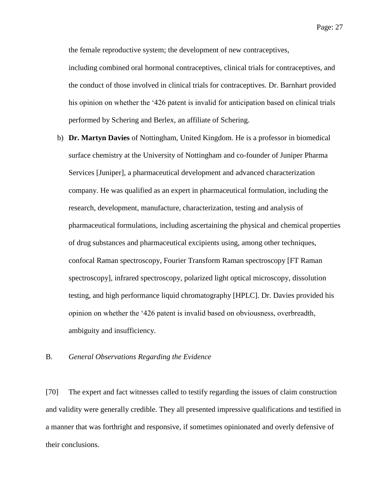the female reproductive system; the development of new contraceptives,

including combined oral hormonal contraceptives, clinical trials for contraceptives, and the conduct of those involved in clinical trials for contraceptives. Dr. Barnhart provided his opinion on whether the '426 patent is invalid for anticipation based on clinical trials performed by Schering and Berlex, an affiliate of Schering.

b) **Dr. Martyn Davies** of Nottingham, United Kingdom. He is a professor in biomedical surface chemistry at the University of Nottingham and co-founder of Juniper Pharma Services [Juniper], a pharmaceutical development and advanced characterization company. He was qualified as an expert in pharmaceutical formulation, including the research, development, manufacture, characterization, testing and analysis of pharmaceutical formulations, including ascertaining the physical and chemical properties of drug substances and pharmaceutical excipients using, among other techniques, confocal Raman spectroscopy, Fourier Transform Raman spectroscopy [FT Raman spectroscopy], infrared spectroscopy, polarized light optical microscopy, dissolution testing, and high performance liquid chromatography [HPLC]. Dr. Davies provided his opinion on whether the '426 patent is invalid based on obviousness, overbreadth, ambiguity and insufficiency.

#### <span id="page-26-0"></span>B. *General Observations Regarding the Evidence*

[70] The expert and fact witnesses called to testify regarding the issues of claim construction and validity were generally credible. They all presented impressive qualifications and testified in a manner that was forthright and responsive, if sometimes opinionated and overly defensive of their conclusions.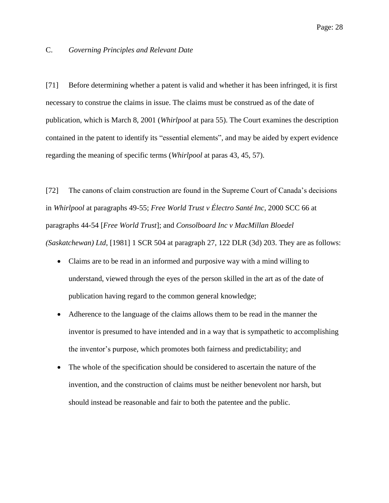# <span id="page-27-0"></span>C. *Governing Principles and Relevant Date*

[71] Before determining whether a patent is valid and whether it has been infringed, it is first necessary to construe the claims in issue. The claims must be construed as of the date of publication, which is March 8, 2001 (*Whirlpool* at para 55). The Court examines the description contained in the patent to identify its "essential elements", and may be aided by expert evidence regarding the meaning of specific terms (*Whirlpool* at paras 43, 45, 57).

[72] The canons of claim construction are found in the Supreme Court of Canada's decisions in *Whirlpool* at paragraphs 49-55; *Free World Trust v Électro Santé Inc*, 2000 SCC 66 at paragraphs 44-54 [*Free World Trust*]; and *Consolboard Inc v MacMillan Bloedel (Saskatchewan) Ltd*, [1981] 1 SCR 504 at paragraph 27, 122 DLR (3d) 203. They are as follows:

- Claims are to be read in an informed and purposive way with a mind willing to understand, viewed through the eyes of the person skilled in the art as of the date of publication having regard to the common general knowledge;
- Adherence to the language of the claims allows them to be read in the manner the inventor is presumed to have intended and in a way that is sympathetic to accomplishing the inventor's purpose, which promotes both fairness and predictability; and
- The whole of the specification should be considered to ascertain the nature of the invention, and the construction of claims must be neither benevolent nor harsh, but should instead be reasonable and fair to both the patentee and the public.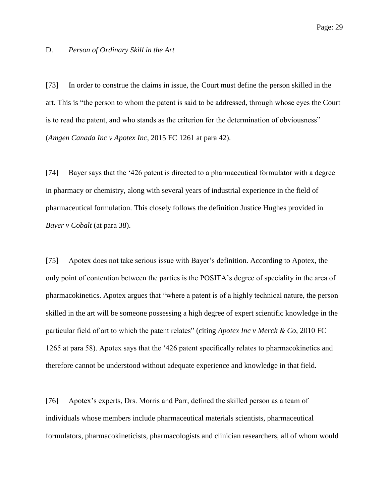#### <span id="page-28-0"></span>D. *Person of Ordinary Skill in the Art*

[73] In order to construe the claims in issue, the Court must define the person skilled in the art. This is "the person to whom the patent is said to be addressed, through whose eyes the Court is to read the patent, and who stands as the criterion for the determination of obviousness" (*Amgen Canada Inc v Apotex Inc*, 2015 FC 1261 at para 42).

[74] Bayer says that the '426 patent is directed to a pharmaceutical formulator with a degree in pharmacy or chemistry, along with several years of industrial experience in the field of pharmaceutical formulation. This closely follows the definition Justice Hughes provided in *Bayer v Cobalt* (at para 38).

[75] Apotex does not take serious issue with Bayer's definition. According to Apotex, the only point of contention between the parties is the POSITA's degree of speciality in the area of pharmacokinetics. Apotex argues that "where a patent is of a highly technical nature, the person skilled in the art will be someone possessing a high degree of expert scientific knowledge in the particular field of art to which the patent relates" (citing *Apotex Inc v Merck & Co*, 2010 FC 1265 at para 58). Apotex says that the '426 patent specifically relates to pharmacokinetics and therefore cannot be understood without adequate experience and knowledge in that field.

[76] Apotex's experts, Drs. Morris and Parr, defined the skilled person as a team of individuals whose members include pharmaceutical materials scientists, pharmaceutical formulators, pharmacokineticists, pharmacologists and clinician researchers, all of whom would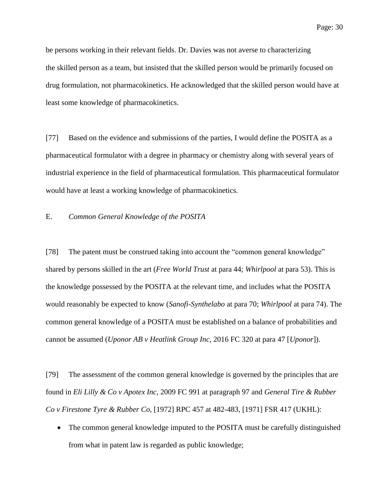be persons working in their relevant fields. Dr. Davies was not averse to characterizing the skilled person as a team, but insisted that the skilled person would be primarily focused on drug formulation, not pharmacokinetics. He acknowledged that the skilled person would have at least some knowledge of pharmacokinetics.

[77] Based on the evidence and submissions of the parties, I would define the POSITA as a pharmaceutical formulator with a degree in pharmacy or chemistry along with several years of industrial experience in the field of pharmaceutical formulation. This pharmaceutical formulator would have at least a working knowledge of pharmacokinetics.

## <span id="page-29-0"></span>E. *Common General Knowledge of the POSITA*

[78] The patent must be construed taking into account the "common general knowledge" shared by persons skilled in the art (*Free World Trust* at para 44; *Whirlpool* at para 53). This is the knowledge possessed by the POSITA at the relevant time, and includes what the POSITA would reasonably be expected to know (*Sanofi-Synthelabo* at para 70; *Whirlpool* at para 74). The common general knowledge of a POSITA must be established on a balance of probabilities and cannot be assumed (*Uponor AB v Heatlink Group Inc*, 2016 FC 320 at para 47 [*Uponor*]).

[79] The assessment of the common general knowledge is governed by the principles that are found in *Eli Lilly & Co v Apotex Inc*, 2009 FC 991 at paragraph 97 and *General Tire & Rubber Co v Firestone Tyre & Rubber Co*, [1972] RPC 457 at 482-483, [1971] FSR 417 (UKHL):

• The common general knowledge imputed to the POSITA must be carefully distinguished from what in patent law is regarded as public knowledge;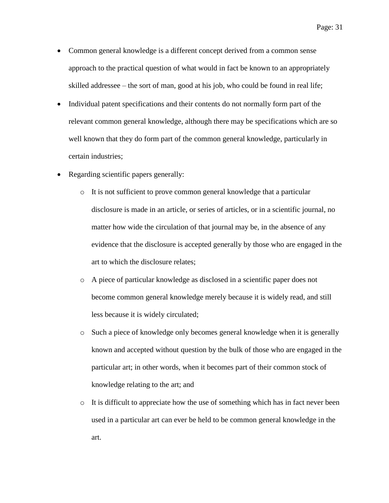- Common general knowledge is a different concept derived from a common sense approach to the practical question of what would in fact be known to an appropriately skilled addressee – the sort of man, good at his job, who could be found in real life;
- Individual patent specifications and their contents do not normally form part of the relevant common general knowledge, although there may be specifications which are so well known that they do form part of the common general knowledge, particularly in certain industries;
- Regarding scientific papers generally:
	- o It is not sufficient to prove common general knowledge that a particular disclosure is made in an article, or series of articles, or in a scientific journal, no matter how wide the circulation of that journal may be, in the absence of any evidence that the disclosure is accepted generally by those who are engaged in the art to which the disclosure relates;
	- o A piece of particular knowledge as disclosed in a scientific paper does not become common general knowledge merely because it is widely read, and still less because it is widely circulated;
	- o Such a piece of knowledge only becomes general knowledge when it is generally known and accepted without question by the bulk of those who are engaged in the particular art; in other words, when it becomes part of their common stock of knowledge relating to the art; and
	- o It is difficult to appreciate how the use of something which has in fact never been used in a particular art can ever be held to be common general knowledge in the art.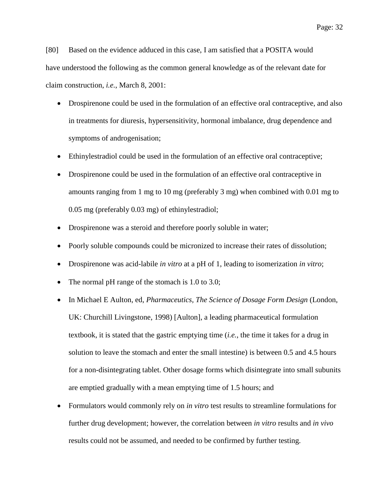[80] Based on the evidence adduced in this case, I am satisfied that a POSITA would have understood the following as the common general knowledge as of the relevant date for claim construction, *i.e.*, March 8, 2001:

- Drospirenone could be used in the formulation of an effective oral contraceptive, and also in treatments for diuresis, hypersensitivity, hormonal imbalance, drug dependence and symptoms of androgenisation;
- Ethinylestradiol could be used in the formulation of an effective oral contraceptive;
- Drospirenone could be used in the formulation of an effective oral contraceptive in amounts ranging from 1 mg to 10 mg (preferably 3 mg) when combined with 0.01 mg to 0.05 mg (preferably 0.03 mg) of ethinylestradiol;
- Drospirenone was a steroid and therefore poorly soluble in water;
- Poorly soluble compounds could be micronized to increase their rates of dissolution;
- Drospirenone was acid-labile *in vitro* at a pH of 1, leading to isomerization *in vitro*;
- The normal pH range of the stomach is 1.0 to 3.0;
- In Michael E Aulton, ed, *Pharmaceutics, The Science of Dosage Form Design* (London, UK: Churchill Livingstone, 1998) [Aulton], a leading pharmaceutical formulation textbook, it is stated that the gastric emptying time (*i.e.*, the time it takes for a drug in solution to leave the stomach and enter the small intestine) is between 0.5 and 4.5 hours for a non-disintegrating tablet. Other dosage forms which disintegrate into small subunits are emptied gradually with a mean emptying time of 1.5 hours; and
- Formulators would commonly rely on *in vitro* test results to streamline formulations for further drug development; however, the correlation between *in vitro* results and *in vivo* results could not be assumed, and needed to be confirmed by further testing.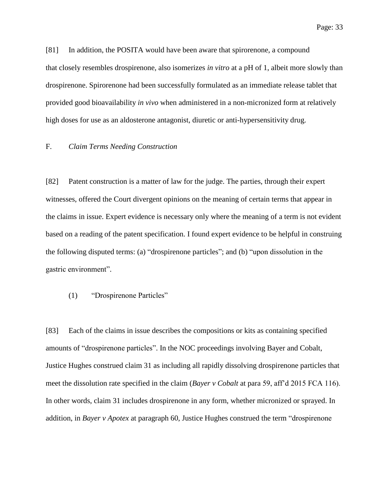[81] In addition, the POSITA would have been aware that spirorenone, a compound that closely resembles drospirenone, also isomerizes *in vitro* at a pH of 1, albeit more slowly than drospirenone. Spirorenone had been successfully formulated as an immediate release tablet that provided good bioavailability *in vivo* when administered in a non-micronized form at relatively high doses for use as an aldosterone antagonist, diuretic or anti-hypersensitivity drug.

#### <span id="page-32-0"></span>F. *Claim Terms Needing Construction*

[82] Patent construction is a matter of law for the judge. The parties, through their expert witnesses, offered the Court divergent opinions on the meaning of certain terms that appear in the claims in issue. Expert evidence is necessary only where the meaning of a term is not evident based on a reading of the patent specification. I found expert evidence to be helpful in construing the following disputed terms: (a) "drospirenone particles"; and (b) "upon dissolution in the gastric environment".

#### <span id="page-32-1"></span>(1) "Drospirenone Particles"

[83] Each of the claims in issue describes the compositions or kits as containing specified amounts of "drospirenone particles". In the NOC proceedings involving Bayer and Cobalt, Justice Hughes construed claim 31 as including all rapidly dissolving drospirenone particles that meet the dissolution rate specified in the claim (*Bayer v Cobalt* at para 59, aff'd 2015 FCA 116). In other words, claim 31 includes drospirenone in any form, whether micronized or sprayed. In addition, in *Bayer v Apotex* at paragraph 60, Justice Hughes construed the term "drospirenone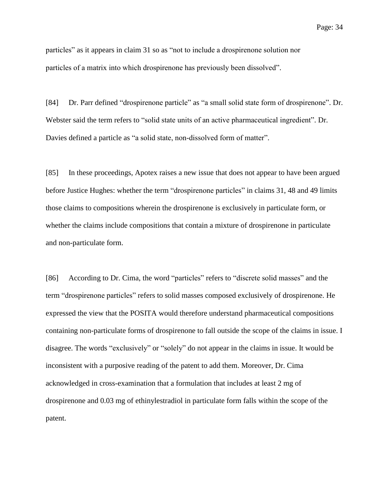particles" as it appears in claim 31 so as "not to include a drospirenone solution nor particles of a matrix into which drospirenone has previously been dissolved".

[84] Dr. Parr defined "drospirenone particle" as "a small solid state form of drospirenone". Dr. Webster said the term refers to "solid state units of an active pharmaceutical ingredient". Dr. Davies defined a particle as "a solid state, non-dissolved form of matter".

[85] In these proceedings, Apotex raises a new issue that does not appear to have been argued before Justice Hughes: whether the term "drospirenone particles" in claims 31, 48 and 49 limits those claims to compositions wherein the drospirenone is exclusively in particulate form, or whether the claims include compositions that contain a mixture of drospirenone in particulate and non-particulate form.

[86] According to Dr. Cima, the word "particles" refers to "discrete solid masses" and the term "drospirenone particles" refers to solid masses composed exclusively of drospirenone. He expressed the view that the POSITA would therefore understand pharmaceutical compositions containing non-particulate forms of drospirenone to fall outside the scope of the claims in issue. I disagree. The words "exclusively" or "solely" do not appear in the claims in issue. It would be inconsistent with a purposive reading of the patent to add them. Moreover, Dr. Cima acknowledged in cross-examination that a formulation that includes at least 2 mg of drospirenone and 0.03 mg of ethinylestradiol in particulate form falls within the scope of the patent.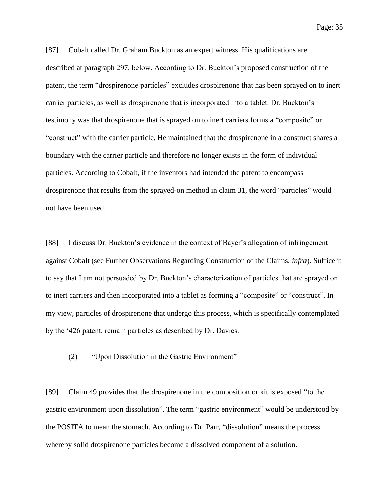[87] Cobalt called Dr. Graham Buckton as an expert witness. His qualifications are described at paragraph 297, below. According to Dr. Buckton's proposed construction of the patent, the term "drospirenone particles" excludes drospirenone that has been sprayed on to inert carrier particles, as well as drospirenone that is incorporated into a tablet. Dr. Buckton's testimony was that drospirenone that is sprayed on to inert carriers forms a "composite" or "construct" with the carrier particle. He maintained that the drospirenone in a construct shares a boundary with the carrier particle and therefore no longer exists in the form of individual particles. According to Cobalt, if the inventors had intended the patent to encompass drospirenone that results from the sprayed-on method in claim 31, the word "particles" would not have been used.

[88] I discuss Dr. Buckton's evidence in the context of Bayer's allegation of infringement against Cobalt (see Further Observations Regarding Construction of the Claims, *infra*). Suffice it to say that I am not persuaded by Dr. Buckton's characterization of particles that are sprayed on to inert carriers and then incorporated into a tablet as forming a "composite" or "construct". In my view, particles of drospirenone that undergo this process, which is specifically contemplated by the '426 patent, remain particles as described by Dr. Davies.

<span id="page-34-0"></span>(2) "Upon Dissolution in the Gastric Environment"

[89] Claim 49 provides that the drospirenone in the composition or kit is exposed "to the gastric environment upon dissolution". The term "gastric environment" would be understood by the POSITA to mean the stomach. According to Dr. Parr, "dissolution" means the process whereby solid drospirenone particles become a dissolved component of a solution.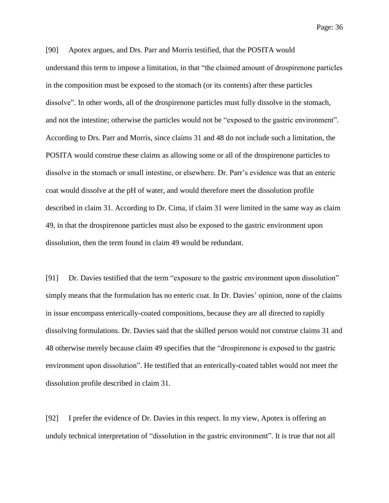[90] Apotex argues, and Drs. Parr and Morris testified, that the POSITA would understand this term to impose a limitation, in that "the claimed amount of drospirenone particles in the composition must be exposed to the stomach (or its contents) after these particles dissolve". In other words, all of the drospirenone particles must fully dissolve in the stomach, and not the intestine; otherwise the particles would not be "exposed to the gastric environment". According to Drs. Parr and Morris, since claims 31 and 48 do not include such a limitation, the POSITA would construe these claims as allowing some or all of the drospirenone particles to dissolve in the stomach or small intestine, or elsewhere. Dr. Parr's evidence was that an enteric coat would dissolve at the pH of water, and would therefore meet the dissolution profile described in claim 31. According to Dr. Cima, if claim 31 were limited in the same way as claim 49, in that the drospirenone particles must also be exposed to the gastric environment upon dissolution, then the term found in claim 49 would be redundant.

[91] Dr. Davies testified that the term "exposure to the gastric environment upon dissolution" simply means that the formulation has no enteric coat. In Dr. Davies' opinion, none of the claims in issue encompass enterically-coated compositions, because they are all directed to rapidly dissolving formulations. Dr. Davies said that the skilled person would not construe claims 31 and 48 otherwise merely because claim 49 specifies that the "drospirenone is exposed to the gastric environment upon dissolution". He testified that an enterically-coated tablet would not meet the dissolution profile described in claim 31.

[92] I prefer the evidence of Dr. Davies in this respect. In my view, Apotex is offering an unduly technical interpretation of "dissolution in the gastric environment". It is true that not all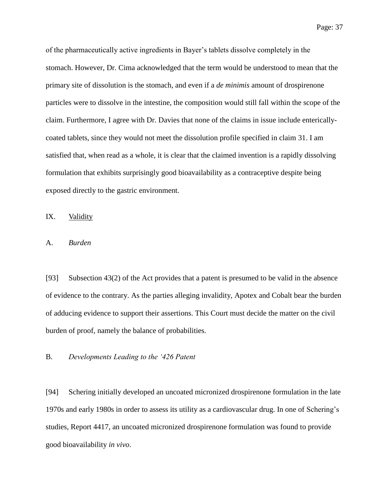of the pharmaceutically active ingredients in Bayer's tablets dissolve completely in the stomach. However, Dr. Cima acknowledged that the term would be understood to mean that the primary site of dissolution is the stomach, and even if a *de minimis* amount of drospirenone particles were to dissolve in the intestine, the composition would still fall within the scope of the claim. Furthermore, I agree with Dr. Davies that none of the claims in issue include entericallycoated tablets, since they would not meet the dissolution profile specified in claim 31. I am satisfied that, when read as a whole, it is clear that the claimed invention is a rapidly dissolving formulation that exhibits surprisingly good bioavailability as a contraceptive despite being exposed directly to the gastric environment.

IX. Validity

A. *Burden*

[93] Subsection 43(2) of the Act provides that a patent is presumed to be valid in the absence of evidence to the contrary. As the parties alleging invalidity, Apotex and Cobalt bear the burden of adducing evidence to support their assertions. This Court must decide the matter on the civil burden of proof, namely the balance of probabilities.

B. *Developments Leading to the '426 Patent*

[94] Schering initially developed an uncoated micronized drospirenone formulation in the late 1970s and early 1980s in order to assess its utility as a cardiovascular drug. In one of Schering's studies, Report 4417, an uncoated micronized drospirenone formulation was found to provide good bioavailability *in vivo*.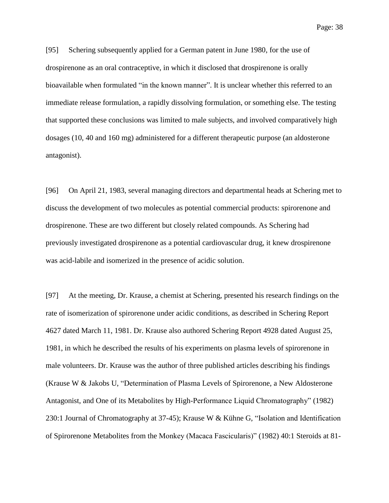[95] Schering subsequently applied for a German patent in June 1980, for the use of drospirenone as an oral contraceptive, in which it disclosed that drospirenone is orally bioavailable when formulated "in the known manner". It is unclear whether this referred to an immediate release formulation, a rapidly dissolving formulation, or something else. The testing that supported these conclusions was limited to male subjects, and involved comparatively high dosages (10, 40 and 160 mg) administered for a different therapeutic purpose (an aldosterone antagonist).

[96] On April 21, 1983, several managing directors and departmental heads at Schering met to discuss the development of two molecules as potential commercial products: spirorenone and drospirenone. These are two different but closely related compounds. As Schering had previously investigated drospirenone as a potential cardiovascular drug, it knew drospirenone was acid-labile and isomerized in the presence of acidic solution.

[97] At the meeting, Dr. Krause, a chemist at Schering, presented his research findings on the rate of isomerization of spirorenone under acidic conditions, as described in Schering Report 4627 dated March 11, 1981. Dr. Krause also authored Schering Report 4928 dated August 25, 1981, in which he described the results of his experiments on plasma levels of spirorenone in male volunteers. Dr. Krause was the author of three published articles describing his findings (Krause W & Jakobs U, "Determination of Plasma Levels of Spirorenone, a New Aldosterone Antagonist, and One of its Metabolites by High-Performance Liquid Chromatography" (1982) 230:1 Journal of Chromatography at 37-45); Krause W & Kühne G, "Isolation and Identification of Spirorenone Metabolites from the Monkey (Macaca Fascicularis)" (1982) 40:1 Steroids at 81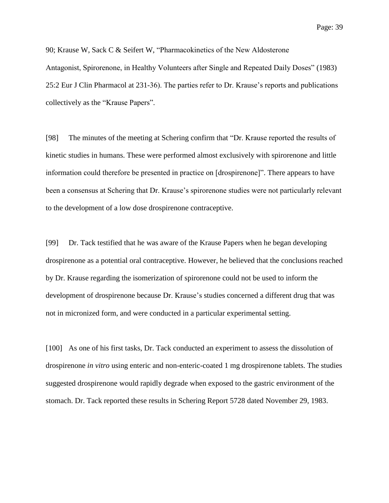90; Krause W, Sack C & Seifert W, "Pharmacokinetics of the New Aldosterone Antagonist, Spirorenone, in Healthy Volunteers after Single and Repeated Daily Doses" (1983) 25:2 Eur J Clin Pharmacol at 231-36). The parties refer to Dr. Krause's reports and publications collectively as the "Krause Papers".

[98] The minutes of the meeting at Schering confirm that "Dr. Krause reported the results of kinetic studies in humans. These were performed almost exclusively with spirorenone and little information could therefore be presented in practice on [drospirenone]". There appears to have been a consensus at Schering that Dr. Krause's spirorenone studies were not particularly relevant to the development of a low dose drospirenone contraceptive.

[99] Dr. Tack testified that he was aware of the Krause Papers when he began developing drospirenone as a potential oral contraceptive. However, he believed that the conclusions reached by Dr. Krause regarding the isomerization of spirorenone could not be used to inform the development of drospirenone because Dr. Krause's studies concerned a different drug that was not in micronized form, and were conducted in a particular experimental setting.

[100] As one of his first tasks, Dr. Tack conducted an experiment to assess the dissolution of drospirenone *in vitro* using enteric and non-enteric-coated 1 mg drospirenone tablets. The studies suggested drospirenone would rapidly degrade when exposed to the gastric environment of the stomach. Dr. Tack reported these results in Schering Report 5728 dated November 29, 1983.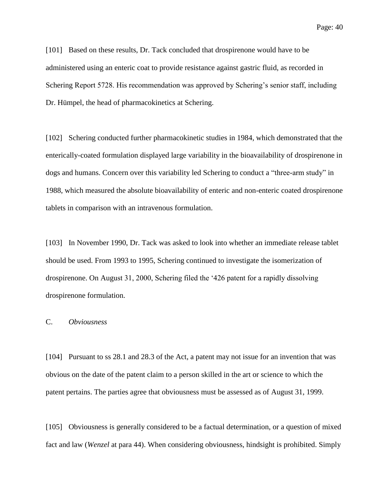[101] Based on these results, Dr. Tack concluded that drospirenone would have to be administered using an enteric coat to provide resistance against gastric fluid, as recorded in Schering Report 5728. His recommendation was approved by Schering's senior staff, including Dr. Hümpel, the head of pharmacokinetics at Schering.

[102] Schering conducted further pharmacokinetic studies in 1984, which demonstrated that the enterically-coated formulation displayed large variability in the bioavailability of drospirenone in dogs and humans. Concern over this variability led Schering to conduct a "three-arm study" in 1988, which measured the absolute bioavailability of enteric and non-enteric coated drospirenone tablets in comparison with an intravenous formulation.

[103] In November 1990, Dr. Tack was asked to look into whether an immediate release tablet should be used. From 1993 to 1995, Schering continued to investigate the isomerization of drospirenone. On August 31, 2000, Schering filed the '426 patent for a rapidly dissolving drospirenone formulation.

### C. *Obviousness*

[104] Pursuant to ss 28.1 and 28.3 of the Act, a patent may not issue for an invention that was obvious on the date of the patent claim to a person skilled in the art or science to which the patent pertains. The parties agree that obviousness must be assessed as of August 31, 1999.

[105] Obviousness is generally considered to be a factual determination, or a question of mixed fact and law (*Wenzel* at para 44). When considering obviousness, hindsight is prohibited. Simply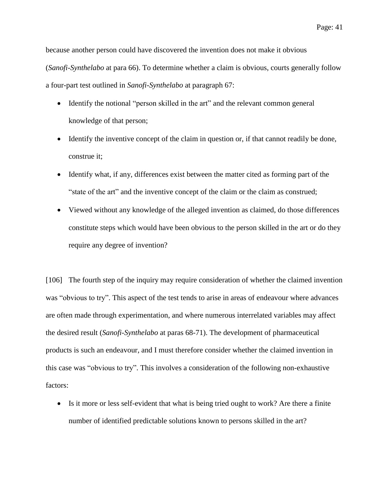because another person could have discovered the invention does not make it obvious (*Sanofi-Synthelabo* at para 66). To determine whether a claim is obvious, courts generally follow a four-part test outlined in *Sanofi-Synthelabo* at paragraph 67:

- Identify the notional "person skilled in the art" and the relevant common general knowledge of that person;
- Identify the inventive concept of the claim in question or, if that cannot readily be done, construe it;
- Identify what, if any, differences exist between the matter cited as forming part of the "state of the art" and the inventive concept of the claim or the claim as construed;
- Viewed without any knowledge of the alleged invention as claimed, do those differences constitute steps which would have been obvious to the person skilled in the art or do they require any degree of invention?

[106] The fourth step of the inquiry may require consideration of whether the claimed invention was "obvious to try". This aspect of the test tends to arise in areas of endeavour where advances are often made through experimentation, and where numerous interrelated variables may affect the desired result (*Sanofi-Synthelabo* at paras 68-71). The development of pharmaceutical products is such an endeavour, and I must therefore consider whether the claimed invention in this case was "obvious to try". This involves a consideration of the following non-exhaustive factors:

 Is it more or less self-evident that what is being tried ought to work? Are there a finite number of identified predictable solutions known to persons skilled in the art?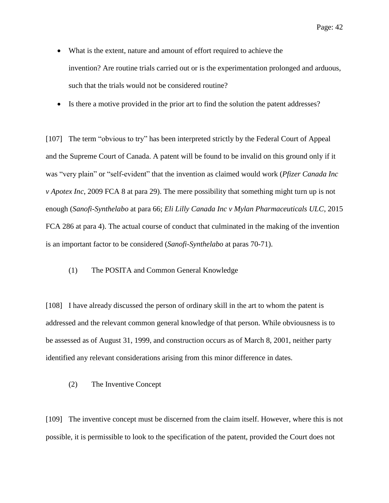- What is the extent, nature and amount of effort required to achieve the invention? Are routine trials carried out or is the experimentation prolonged and arduous, such that the trials would not be considered routine?
- Is there a motive provided in the prior art to find the solution the patent addresses?

[107] The term "obvious to try" has been interpreted strictly by the Federal Court of Appeal and the Supreme Court of Canada. A patent will be found to be invalid on this ground only if it was "very plain" or "self-evident" that the invention as claimed would work (*Pfizer Canada Inc v Apotex Inc*, 2009 FCA 8 at para 29). The mere possibility that something might turn up is not enough (*Sanofi-Synthelabo* at para 66; *Eli Lilly Canada Inc v Mylan Pharmaceuticals ULC*, 2015 FCA 286 at para 4). The actual course of conduct that culminated in the making of the invention is an important factor to be considered (*Sanofi-Synthelabo* at paras 70-71).

(1) The POSITA and Common General Knowledge

[108] I have already discussed the person of ordinary skill in the art to whom the patent is addressed and the relevant common general knowledge of that person. While obviousness is to be assessed as of August 31, 1999, and construction occurs as of March 8, 2001, neither party identified any relevant considerations arising from this minor difference in dates.

(2) The Inventive Concept

[109] The inventive concept must be discerned from the claim itself. However, where this is not possible, it is permissible to look to the specification of the patent, provided the Court does not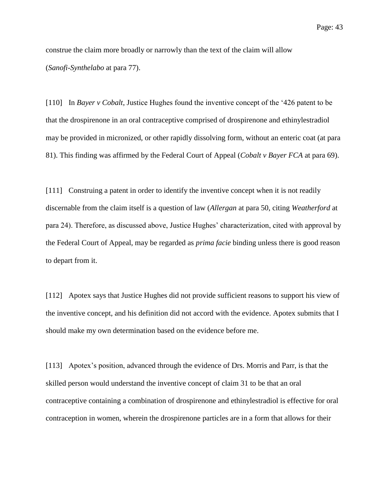construe the claim more broadly or narrowly than the text of the claim will allow (*Sanofi-Synthelabo* at para 77).

[110] In *Bayer v Cobalt*, Justice Hughes found the inventive concept of the '426 patent to be that the drospirenone in an oral contraceptive comprised of drospirenone and ethinylestradiol may be provided in micronized, or other rapidly dissolving form, without an enteric coat (at para 81). This finding was affirmed by the Federal Court of Appeal (*Cobalt v Bayer FCA* at para 69).

[111] Construing a patent in order to identify the inventive concept when it is not readily discernable from the claim itself is a question of law (*Allergan* at para 50, citing *Weatherford* at para 24). Therefore, as discussed above, Justice Hughes' characterization, cited with approval by the Federal Court of Appeal, may be regarded as *prima facie* binding unless there is good reason to depart from it.

[112] Apotex says that Justice Hughes did not provide sufficient reasons to support his view of the inventive concept, and his definition did not accord with the evidence. Apotex submits that I should make my own determination based on the evidence before me.

[113] Apotex's position, advanced through the evidence of Drs. Morris and Parr, is that the skilled person would understand the inventive concept of claim 31 to be that an oral contraceptive containing a combination of drospirenone and ethinylestradiol is effective for oral contraception in women, wherein the drospirenone particles are in a form that allows for their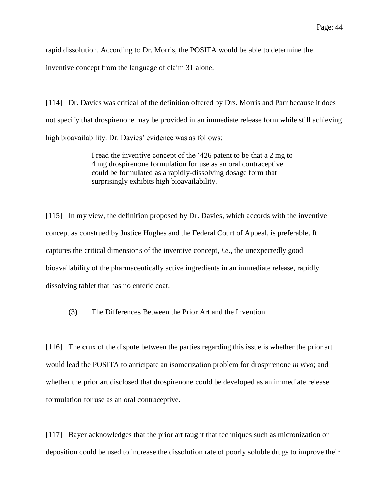rapid dissolution. According to Dr. Morris, the POSITA would be able to determine the inventive concept from the language of claim 31 alone.

[114] Dr. Davies was critical of the definition offered by Drs. Morris and Parr because it does not specify that drospirenone may be provided in an immediate release form while still achieving high bioavailability. Dr. Davies' evidence was as follows:

> I read the inventive concept of the '426 patent to be that a 2 mg to 4 mg drospirenone formulation for use as an oral contraceptive could be formulated as a rapidly-dissolving dosage form that surprisingly exhibits high bioavailability.

[115] In my view, the definition proposed by Dr. Davies, which accords with the inventive concept as construed by Justice Hughes and the Federal Court of Appeal, is preferable. It captures the critical dimensions of the inventive concept, *i.e.*, the unexpectedly good bioavailability of the pharmaceutically active ingredients in an immediate release, rapidly dissolving tablet that has no enteric coat.

(3) The Differences Between the Prior Art and the Invention

[116] The crux of the dispute between the parties regarding this issue is whether the prior art would lead the POSITA to anticipate an isomerization problem for drospirenone *in vivo*; and whether the prior art disclosed that drospirenone could be developed as an immediate release formulation for use as an oral contraceptive.

[117] Bayer acknowledges that the prior art taught that techniques such as micronization or deposition could be used to increase the dissolution rate of poorly soluble drugs to improve their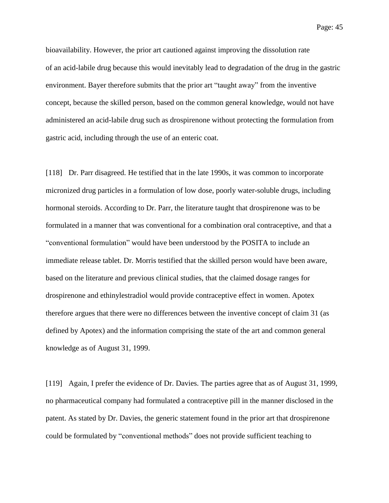bioavailability. However, the prior art cautioned against improving the dissolution rate of an acid-labile drug because this would inevitably lead to degradation of the drug in the gastric environment. Bayer therefore submits that the prior art "taught away" from the inventive concept, because the skilled person, based on the common general knowledge, would not have administered an acid-labile drug such as drospirenone without protecting the formulation from gastric acid, including through the use of an enteric coat.

[118] Dr. Parr disagreed. He testified that in the late 1990s, it was common to incorporate micronized drug particles in a formulation of low dose, poorly water-soluble drugs, including hormonal steroids. According to Dr. Parr, the literature taught that drospirenone was to be formulated in a manner that was conventional for a combination oral contraceptive, and that a "conventional formulation" would have been understood by the POSITA to include an immediate release tablet. Dr. Morris testified that the skilled person would have been aware, based on the literature and previous clinical studies, that the claimed dosage ranges for drospirenone and ethinylestradiol would provide contraceptive effect in women. Apotex therefore argues that there were no differences between the inventive concept of claim 31 (as defined by Apotex) and the information comprising the state of the art and common general knowledge as of August 31, 1999.

[119] Again, I prefer the evidence of Dr. Davies. The parties agree that as of August 31, 1999, no pharmaceutical company had formulated a contraceptive pill in the manner disclosed in the patent. As stated by Dr. Davies, the generic statement found in the prior art that drospirenone could be formulated by "conventional methods" does not provide sufficient teaching to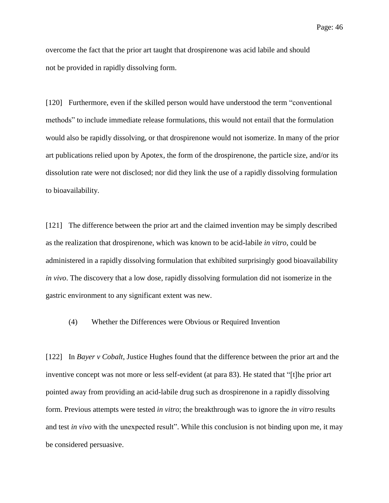overcome the fact that the prior art taught that drospirenone was acid labile and should not be provided in rapidly dissolving form.

[120] Furthermore, even if the skilled person would have understood the term "conventional methods" to include immediate release formulations, this would not entail that the formulation would also be rapidly dissolving, or that drospirenone would not isomerize. In many of the prior art publications relied upon by Apotex, the form of the drospirenone, the particle size, and/or its dissolution rate were not disclosed; nor did they link the use of a rapidly dissolving formulation to bioavailability.

[121] The difference between the prior art and the claimed invention may be simply described as the realization that drospirenone, which was known to be acid-labile *in vitro*, could be administered in a rapidly dissolving formulation that exhibited surprisingly good bioavailability *in vivo*. The discovery that a low dose, rapidly dissolving formulation did not isomerize in the gastric environment to any significant extent was new.

(4) Whether the Differences were Obvious or Required Invention

[122] In *Bayer v Cobalt*, Justice Hughes found that the difference between the prior art and the inventive concept was not more or less self-evident (at para 83). He stated that "[t]he prior art pointed away from providing an acid-labile drug such as drospirenone in a rapidly dissolving form. Previous attempts were tested *in vitro*; the breakthrough was to ignore the *in vitro* results and test *in vivo* with the unexpected result". While this conclusion is not binding upon me, it may be considered persuasive.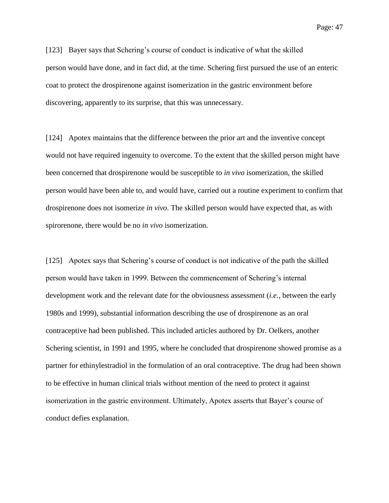[123] Bayer says that Schering's course of conduct is indicative of what the skilled person would have done, and in fact did, at the time. Schering first pursued the use of an enteric coat to protect the drospirenone against isomerization in the gastric environment before discovering, apparently to its surprise, that this was unnecessary.

[124] Apotex maintains that the difference between the prior art and the inventive concept would not have required ingenuity to overcome. To the extent that the skilled person might have been concerned that drospirenone would be susceptible to *in vivo* isomerization, the skilled person would have been able to, and would have, carried out a routine experiment to confirm that drospirenone does not isomerize *in vivo*. The skilled person would have expected that, as with spirorenone, there would be no *in vivo* isomerization.

[125] Apotex says that Schering's course of conduct is not indicative of the path the skilled person would have taken in 1999. Between the commencement of Schering's internal development work and the relevant date for the obviousness assessment (*i.e.*, between the early 1980s and 1999), substantial information describing the use of drospirenone as an oral contraceptive had been published. This included articles authored by Dr. Oelkers, another Schering scientist, in 1991 and 1995, where he concluded that drospirenone showed promise as a partner for ethinylestradiol in the formulation of an oral contraceptive. The drug had been shown to be effective in human clinical trials without mention of the need to protect it against isomerization in the gastric environment. Ultimately, Apotex asserts that Bayer's course of conduct defies explanation.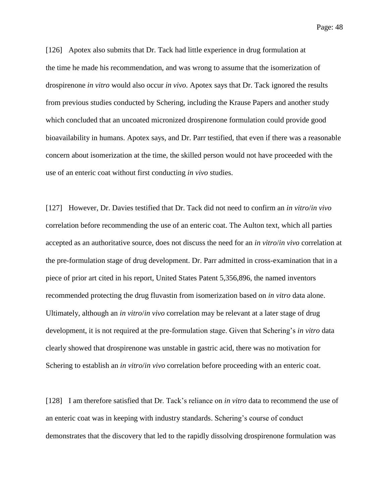[126] Apotex also submits that Dr. Tack had little experience in drug formulation at the time he made his recommendation, and was wrong to assume that the isomerization of drospirenone *in vitro* would also occur *in vivo*. Apotex says that Dr. Tack ignored the results from previous studies conducted by Schering, including the Krause Papers and another study which concluded that an uncoated micronized drospirenone formulation could provide good bioavailability in humans. Apotex says, and Dr. Parr testified, that even if there was a reasonable concern about isomerization at the time, the skilled person would not have proceeded with the use of an enteric coat without first conducting *in vivo* studies.

[127] However, Dr. Davies testified that Dr. Tack did not need to confirm an *in vitro*/*in vivo* correlation before recommending the use of an enteric coat. The Aulton text, which all parties accepted as an authoritative source, does not discuss the need for an *in vitro*/*in vivo* correlation at the pre-formulation stage of drug development. Dr. Parr admitted in cross-examination that in a piece of prior art cited in his report, United States Patent 5,356,896, the named inventors recommended protecting the drug fluvastin from isomerization based on *in vitro* data alone. Ultimately, although an *in vitro*/*in vivo* correlation may be relevant at a later stage of drug development, it is not required at the pre-formulation stage. Given that Schering's *in vitro* data clearly showed that drospirenone was unstable in gastric acid, there was no motivation for Schering to establish an *in vitro*/*in vivo* correlation before proceeding with an enteric coat.

[128] I am therefore satisfied that Dr. Tack's reliance on *in vitro* data to recommend the use of an enteric coat was in keeping with industry standards. Schering's course of conduct demonstrates that the discovery that led to the rapidly dissolving drospirenone formulation was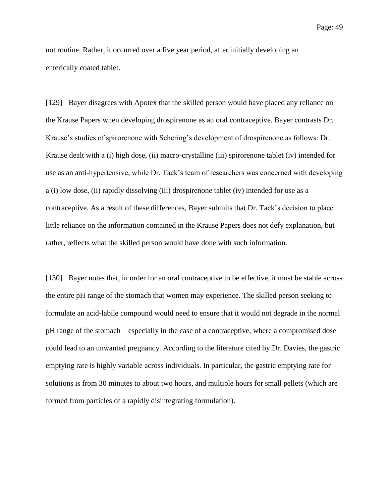not routine. Rather, it occurred over a five year period, after initially developing an enterically coated tablet.

[129] Bayer disagrees with Apotex that the skilled person would have placed any reliance on the Krause Papers when developing drospirenone as an oral contraceptive. Bayer contrasts Dr. Krause's studies of spirorenone with Schering's development of drospirenone as follows: Dr. Krause dealt with a (i) high dose, (ii) macro-crystalline (iii) spirorenone tablet (iv) intended for use as an anti-hypertensive, while Dr. Tack's team of researchers was concerned with developing a (i) low dose, (ii) rapidly dissolving (iii) drospirenone tablet (iv) intended for use as a contraceptive. As a result of these differences, Bayer submits that Dr. Tack's decision to place little reliance on the information contained in the Krause Papers does not defy explanation, but rather, reflects what the skilled person would have done with such information.

[130] Bayer notes that, in order for an oral contraceptive to be effective, it must be stable across the entire pH range of the stomach that women may experience. The skilled person seeking to formulate an acid-labile compound would need to ensure that it would not degrade in the normal pH range of the stomach – especially in the case of a contraceptive, where a compromised dose could lead to an unwanted pregnancy. According to the literature cited by Dr. Davies, the gastric emptying rate is highly variable across individuals. In particular, the gastric emptying rate for solutions is from 30 minutes to about two hours, and multiple hours for small pellets (which are formed from particles of a rapidly disintegrating formulation).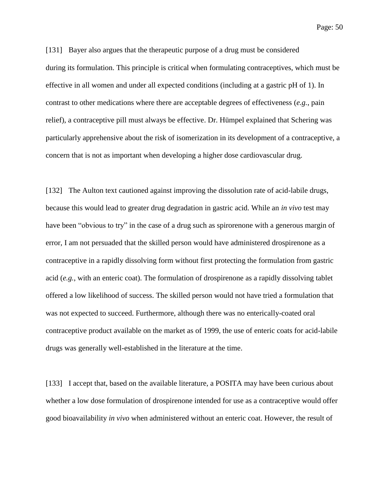[131] Bayer also argues that the therapeutic purpose of a drug must be considered during its formulation. This principle is critical when formulating contraceptives, which must be effective in all women and under all expected conditions (including at a gastric pH of 1). In contrast to other medications where there are acceptable degrees of effectiveness (*e.g.*, pain relief), a contraceptive pill must always be effective. Dr. Hümpel explained that Schering was particularly apprehensive about the risk of isomerization in its development of a contraceptive, a concern that is not as important when developing a higher dose cardiovascular drug.

[132] The Aulton text cautioned against improving the dissolution rate of acid-labile drugs, because this would lead to greater drug degradation in gastric acid. While an *in vivo* test may have been "obvious to try" in the case of a drug such as spirorenone with a generous margin of error, I am not persuaded that the skilled person would have administered drospirenone as a contraceptive in a rapidly dissolving form without first protecting the formulation from gastric acid (*e.g.*, with an enteric coat). The formulation of drospirenone as a rapidly dissolving tablet offered a low likelihood of success. The skilled person would not have tried a formulation that was not expected to succeed. Furthermore, although there was no enterically-coated oral contraceptive product available on the market as of 1999, the use of enteric coats for acid-labile drugs was generally well-established in the literature at the time.

[133] I accept that, based on the available literature, a POSITA may have been curious about whether a low dose formulation of drospirenone intended for use as a contraceptive would offer good bioavailability *in vivo* when administered without an enteric coat. However, the result of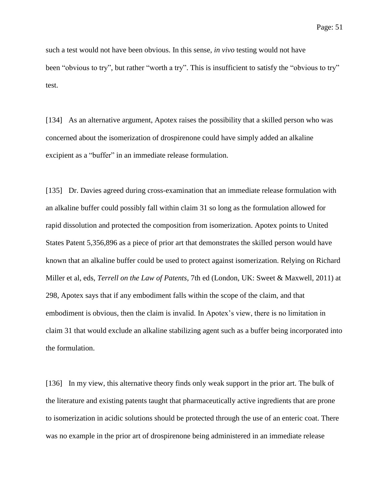such a test would not have been obvious. In this sense, *in vivo* testing would not have been "obvious to try", but rather "worth a try". This is insufficient to satisfy the "obvious to try" test.

[134] As an alternative argument, Apotex raises the possibility that a skilled person who was concerned about the isomerization of drospirenone could have simply added an alkaline excipient as a "buffer" in an immediate release formulation.

[135] Dr. Davies agreed during cross-examination that an immediate release formulation with an alkaline buffer could possibly fall within claim 31 so long as the formulation allowed for rapid dissolution and protected the composition from isomerization. Apotex points to United States Patent 5,356,896 as a piece of prior art that demonstrates the skilled person would have known that an alkaline buffer could be used to protect against isomerization. Relying on Richard Miller et al, eds, *Terrell on the Law of Patents*, 7th ed (London, UK: Sweet & Maxwell, 2011) at 298, Apotex says that if any embodiment falls within the scope of the claim, and that embodiment is obvious, then the claim is invalid. In Apotex's view, there is no limitation in claim 31 that would exclude an alkaline stabilizing agent such as a buffer being incorporated into the formulation.

[136] In my view, this alternative theory finds only weak support in the prior art. The bulk of the literature and existing patents taught that pharmaceutically active ingredients that are prone to isomerization in acidic solutions should be protected through the use of an enteric coat. There was no example in the prior art of drospirenone being administered in an immediate release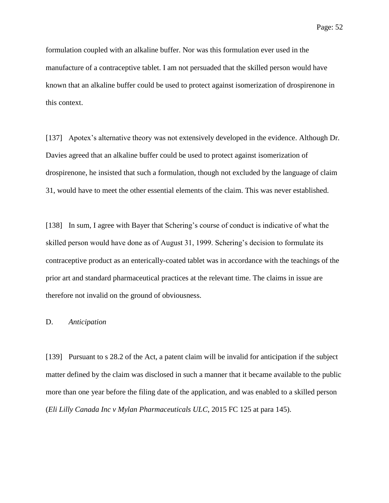formulation coupled with an alkaline buffer. Nor was this formulation ever used in the manufacture of a contraceptive tablet. I am not persuaded that the skilled person would have known that an alkaline buffer could be used to protect against isomerization of drospirenone in this context.

[137] Apotex's alternative theory was not extensively developed in the evidence. Although Dr. Davies agreed that an alkaline buffer could be used to protect against isomerization of drospirenone, he insisted that such a formulation, though not excluded by the language of claim 31, would have to meet the other essential elements of the claim. This was never established.

[138] In sum, I agree with Bayer that Schering's course of conduct is indicative of what the skilled person would have done as of August 31, 1999. Schering's decision to formulate its contraceptive product as an enterically-coated tablet was in accordance with the teachings of the prior art and standard pharmaceutical practices at the relevant time. The claims in issue are therefore not invalid on the ground of obviousness.

#### D. *Anticipation*

[139] Pursuant to s 28.2 of the Act, a patent claim will be invalid for anticipation if the subject matter defined by the claim was disclosed in such a manner that it became available to the public more than one year before the filing date of the application, and was enabled to a skilled person (*Eli Lilly Canada Inc v Mylan Pharmaceuticals ULC*, 2015 FC 125 at para 145).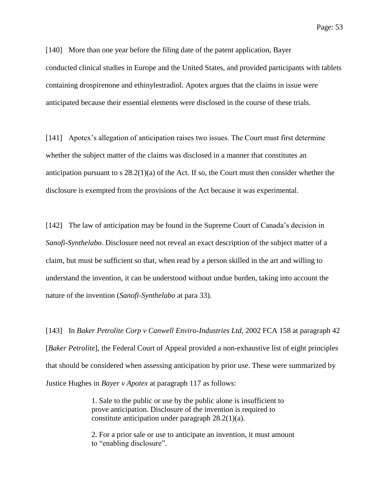[140] More than one year before the filing date of the patent application, Bayer conducted clinical studies in Europe and the United States, and provided participants with tablets containing drospirenone and ethinylestradiol. Apotex argues that the claims in issue were anticipated because their essential elements were disclosed in the course of these trials.

[141] Apotex's allegation of anticipation raises two issues. The Court must first determine whether the subject matter of the claims was disclosed in a manner that constitutes an anticipation pursuant to s  $28.2(1)(a)$  of the Act. If so, the Court must then consider whether the disclosure is exempted from the provisions of the Act because it was experimental.

[142] The law of anticipation may be found in the Supreme Court of Canada's decision in *Sanofi-Synthelabo*. Disclosure need not reveal an exact description of the subject matter of a claim, but must be sufficient so that, when read by a person skilled in the art and willing to understand the invention, it can be understood without undue burden, taking into account the nature of the invention (*Sanofi-Synthelabo* at para 33).

[143] In *Baker Petrolite Corp v Canwell Enviro-Industries Ltd*, 2002 FCA 158 at paragraph 42 [*Baker Petrolite*], the Federal Court of Appeal provided a non-exhaustive list of eight principles that should be considered when assessing anticipation by prior use. These were summarized by Justice Hughes in *Bayer v Apotex* at paragraph 117 as follows:

> 1. Sale to the public or use by the public alone is insufficient to prove anticipation. Disclosure of the invention is required to constitute anticipation under paragraph 28.2(1)(a).

2. For a prior sale or use to anticipate an invention, it must amount to "enabling disclosure".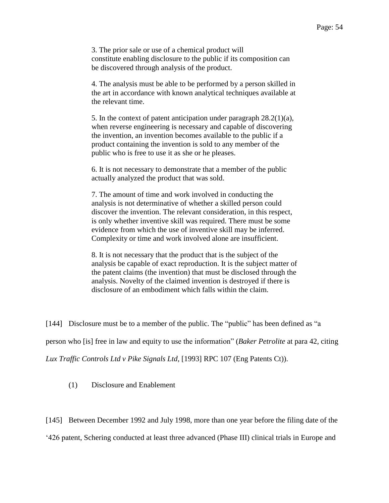3. The prior sale or use of a chemical product will constitute enabling disclosure to the public if its composition can be discovered through analysis of the product.

4. The analysis must be able to be performed by a person skilled in the art in accordance with known analytical techniques available at the relevant time.

5. In the context of patent anticipation under paragraph 28.2(1)(a), when reverse engineering is necessary and capable of discovering the invention, an invention becomes available to the public if a product containing the invention is sold to any member of the public who is free to use it as she or he pleases.

6. It is not necessary to demonstrate that a member of the public actually analyzed the product that was sold.

7. The amount of time and work involved in conducting the analysis is not determinative of whether a skilled person could discover the invention. The relevant consideration, in this respect, is only whether inventive skill was required. There must be some evidence from which the use of inventive skill may be inferred. Complexity or time and work involved alone are insufficient.

8. It is not necessary that the product that is the subject of the analysis be capable of exact reproduction. It is the subject matter of the patent claims (the invention) that must be disclosed through the analysis. Novelty of the claimed invention is destroyed if there is disclosure of an embodiment which falls within the claim.

[144] Disclosure must be to a member of the public. The "public" has been defined as "a person who [is] free in law and equity to use the information" (*Baker Petrolite* at para 42, citing *Lux Traffic Controls Ltd v Pike Signals Ltd*, [1993] RPC 107 (Eng Patents Ct)).

(1) Disclosure and Enablement

[145] Between December 1992 and July 1998, more than one year before the filing date of the '426 patent, Schering conducted at least three advanced (Phase III) clinical trials in Europe and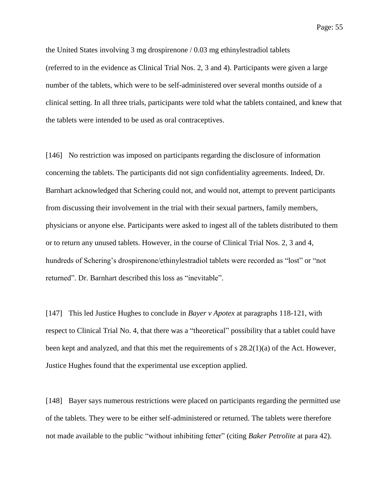the United States involving 3 mg drospirenone / 0.03 mg ethinylestradiol tablets (referred to in the evidence as Clinical Trial Nos. 2, 3 and 4). Participants were given a large number of the tablets, which were to be self-administered over several months outside of a clinical setting. In all three trials, participants were told what the tablets contained, and knew that the tablets were intended to be used as oral contraceptives.

[146] No restriction was imposed on participants regarding the disclosure of information concerning the tablets. The participants did not sign confidentiality agreements. Indeed, Dr. Barnhart acknowledged that Schering could not, and would not, attempt to prevent participants from discussing their involvement in the trial with their sexual partners, family members, physicians or anyone else. Participants were asked to ingest all of the tablets distributed to them or to return any unused tablets. However, in the course of Clinical Trial Nos. 2, 3 and 4, hundreds of Schering's drospirenone/ethinylestradiol tablets were recorded as "lost" or "not returned". Dr. Barnhart described this loss as "inevitable".

[147] This led Justice Hughes to conclude in *Bayer v Apotex* at paragraphs 118-121, with respect to Clinical Trial No. 4, that there was a "theoretical" possibility that a tablet could have been kept and analyzed, and that this met the requirements of s 28.2(1)(a) of the Act. However, Justice Hughes found that the experimental use exception applied.

[148] Bayer says numerous restrictions were placed on participants regarding the permitted use of the tablets. They were to be either self-administered or returned. The tablets were therefore not made available to the public "without inhibiting fetter" (citing *Baker Petrolite* at para 42).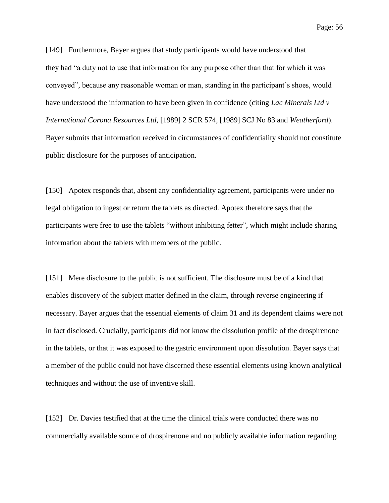[149] Furthermore, Bayer argues that study participants would have understood that they had "a duty not to use that information for any purpose other than that for which it was conveyed", because any reasonable woman or man, standing in the participant's shoes, would have understood the information to have been given in confidence (citing *Lac Minerals Ltd v International Corona Resources Ltd*, [1989] 2 SCR 574, [1989] SCJ No 83 and *Weatherford*). Bayer submits that information received in circumstances of confidentiality should not constitute public disclosure for the purposes of anticipation.

[150] Apotex responds that, absent any confidentiality agreement, participants were under no legal obligation to ingest or return the tablets as directed. Apotex therefore says that the participants were free to use the tablets "without inhibiting fetter", which might include sharing information about the tablets with members of the public.

[151] Mere disclosure to the public is not sufficient. The disclosure must be of a kind that enables discovery of the subject matter defined in the claim, through reverse engineering if necessary. Bayer argues that the essential elements of claim 31 and its dependent claims were not in fact disclosed. Crucially, participants did not know the dissolution profile of the drospirenone in the tablets, or that it was exposed to the gastric environment upon dissolution. Bayer says that a member of the public could not have discerned these essential elements using known analytical techniques and without the use of inventive skill.

[152] Dr. Davies testified that at the time the clinical trials were conducted there was no commercially available source of drospirenone and no publicly available information regarding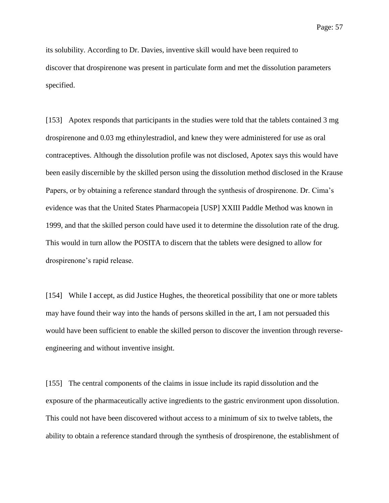its solubility. According to Dr. Davies, inventive skill would have been required to discover that drospirenone was present in particulate form and met the dissolution parameters specified.

[153] Apotex responds that participants in the studies were told that the tablets contained 3 mg drospirenone and 0.03 mg ethinylestradiol, and knew they were administered for use as oral contraceptives. Although the dissolution profile was not disclosed, Apotex says this would have been easily discernible by the skilled person using the dissolution method disclosed in the Krause Papers, or by obtaining a reference standard through the synthesis of drospirenone. Dr. Cima's evidence was that the United States Pharmacopeia [USP] XXIII Paddle Method was known in 1999, and that the skilled person could have used it to determine the dissolution rate of the drug. This would in turn allow the POSITA to discern that the tablets were designed to allow for drospirenone's rapid release.

[154] While I accept, as did Justice Hughes, the theoretical possibility that one or more tablets may have found their way into the hands of persons skilled in the art, I am not persuaded this would have been sufficient to enable the skilled person to discover the invention through reverseengineering and without inventive insight.

[155] The central components of the claims in issue include its rapid dissolution and the exposure of the pharmaceutically active ingredients to the gastric environment upon dissolution. This could not have been discovered without access to a minimum of six to twelve tablets, the ability to obtain a reference standard through the synthesis of drospirenone, the establishment of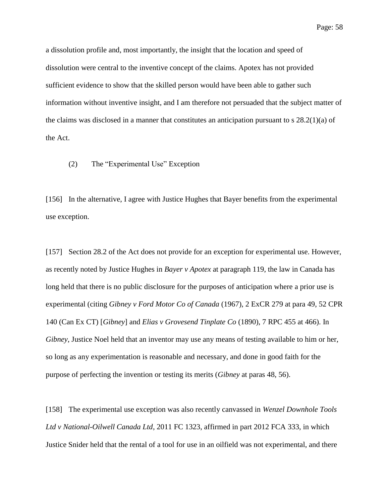a dissolution profile and, most importantly, the insight that the location and speed of dissolution were central to the inventive concept of the claims. Apotex has not provided sufficient evidence to show that the skilled person would have been able to gather such information without inventive insight, and I am therefore not persuaded that the subject matter of the claims was disclosed in a manner that constitutes an anticipation pursuant to s  $28.2(1)(a)$  of the Act.

### (2) The "Experimental Use" Exception

[156] In the alternative, I agree with Justice Hughes that Bayer benefits from the experimental use exception.

[157] Section 28.2 of the Act does not provide for an exception for experimental use. However, as recently noted by Justice Hughes in *Bayer v Apotex* at paragraph 119, the law in Canada has long held that there is no public disclosure for the purposes of anticipation where a prior use is experimental (citing *Gibney v Ford Motor Co of Canada* (1967), 2 ExCR 279 at para 49, 52 CPR 140 (Can Ex CT) [*Gibney*] and *Elias v Grovesend Tinplate Co* (1890), 7 RPC 455 at 466). In *Gibney*, Justice Noel held that an inventor may use any means of testing available to him or her, so long as any experimentation is reasonable and necessary, and done in good faith for the purpose of perfecting the invention or testing its merits (*Gibney* at paras 48, 56).

[158] The experimental use exception was also recently canvassed in *Wenzel Downhole Tools Ltd v National-Oilwell Canada Ltd*, 2011 FC 1323, affirmed in part 2012 FCA 333, in which Justice Snider held that the rental of a tool for use in an oilfield was not experimental, and there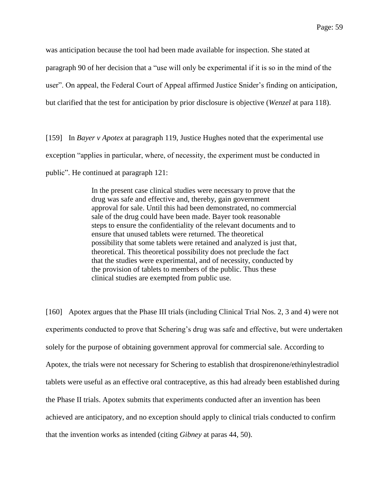was anticipation because the tool had been made available for inspection. She stated at paragraph 90 of her decision that a "use will only be experimental if it is so in the mind of the user". On appeal, the Federal Court of Appeal affirmed Justice Snider's finding on anticipation, but clarified that the test for anticipation by prior disclosure is objective (*Wenzel* at para 118).

[159] In *Bayer v Apotex* at paragraph 119, Justice Hughes noted that the experimental use exception "applies in particular, where, of necessity, the experiment must be conducted in public". He continued at paragraph 121:

> In the present case clinical studies were necessary to prove that the drug was safe and effective and, thereby, gain government approval for sale. Until this had been demonstrated, no commercial sale of the drug could have been made. Bayer took reasonable steps to ensure the confidentiality of the relevant documents and to ensure that unused tablets were returned. The theoretical possibility that some tablets were retained and analyzed is just that, theoretical. This theoretical possibility does not preclude the fact that the studies were experimental, and of necessity, conducted by the provision of tablets to members of the public. Thus these clinical studies are exempted from public use.

[160] Apotex argues that the Phase III trials (including Clinical Trial Nos. 2, 3 and 4) were not experiments conducted to prove that Schering's drug was safe and effective, but were undertaken solely for the purpose of obtaining government approval for commercial sale. According to Apotex, the trials were not necessary for Schering to establish that drospirenone/ethinylestradiol tablets were useful as an effective oral contraceptive, as this had already been established during the Phase II trials. Apotex submits that experiments conducted after an invention has been achieved are anticipatory, and no exception should apply to clinical trials conducted to confirm that the invention works as intended (citing *Gibney* at paras 44, 50).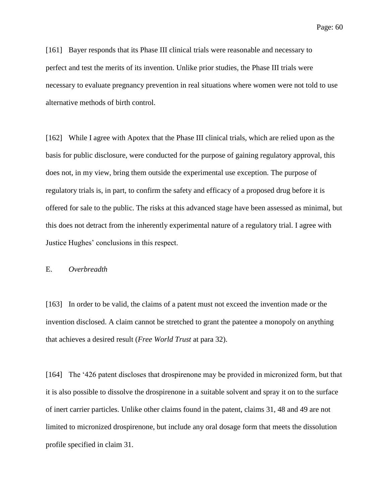[161] Bayer responds that its Phase III clinical trials were reasonable and necessary to perfect and test the merits of its invention. Unlike prior studies, the Phase III trials were necessary to evaluate pregnancy prevention in real situations where women were not told to use alternative methods of birth control.

[162] While I agree with Apotex that the Phase III clinical trials, which are relied upon as the basis for public disclosure, were conducted for the purpose of gaining regulatory approval, this does not, in my view, bring them outside the experimental use exception. The purpose of regulatory trials is, in part, to confirm the safety and efficacy of a proposed drug before it is offered for sale to the public. The risks at this advanced stage have been assessed as minimal, but this does not detract from the inherently experimental nature of a regulatory trial. I agree with Justice Hughes' conclusions in this respect.

### E. *Overbreadth*

[163] In order to be valid, the claims of a patent must not exceed the invention made or the invention disclosed. A claim cannot be stretched to grant the patentee a monopoly on anything that achieves a desired result (*Free World Trust* at para 32).

[164] The '426 patent discloses that drospirenone may be provided in micronized form, but that it is also possible to dissolve the drospirenone in a suitable solvent and spray it on to the surface of inert carrier particles. Unlike other claims found in the patent, claims 31, 48 and 49 are not limited to micronized drospirenone, but include any oral dosage form that meets the dissolution profile specified in claim 31.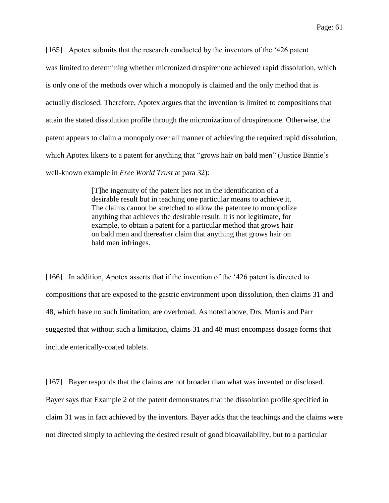[165] Apotex submits that the research conducted by the inventors of the '426 patent was limited to determining whether micronized drospirenone achieved rapid dissolution, which is only one of the methods over which a monopoly is claimed and the only method that is actually disclosed. Therefore, Apotex argues that the invention is limited to compositions that attain the stated dissolution profile through the micronization of drospirenone. Otherwise, the patent appears to claim a monopoly over all manner of achieving the required rapid dissolution, which Apotex likens to a patent for anything that "grows hair on bald men" (Justice Binnie's well-known example in *Free World Trust* at para 32):

> [T]he ingenuity of the patent lies not in the identification of a desirable result but in teaching one particular means to achieve it. The claims cannot be stretched to allow the patentee to monopolize anything that achieves the desirable result. It is not legitimate, for example, to obtain a patent for a particular method that grows hair on bald men and thereafter claim that anything that grows hair on bald men infringes.

[166] In addition, Apotex asserts that if the invention of the '426 patent is directed to compositions that are exposed to the gastric environment upon dissolution, then claims 31 and 48, which have no such limitation, are overbroad. As noted above, Drs. Morris and Parr suggested that without such a limitation, claims 31 and 48 must encompass dosage forms that include enterically-coated tablets.

[167] Bayer responds that the claims are not broader than what was invented or disclosed. Bayer says that Example 2 of the patent demonstrates that the dissolution profile specified in claim 31 was in fact achieved by the inventors. Bayer adds that the teachings and the claims were not directed simply to achieving the desired result of good bioavailability, but to a particular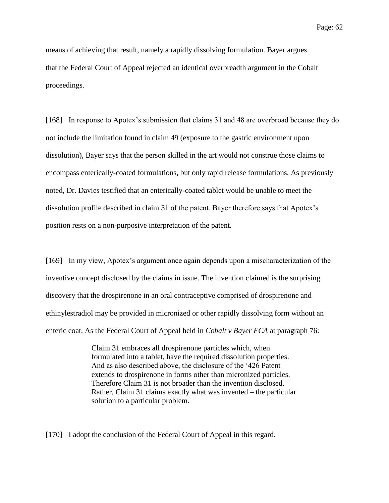means of achieving that result, namely a rapidly dissolving formulation. Bayer argues that the Federal Court of Appeal rejected an identical overbreadth argument in the Cobalt proceedings.

[168] In response to Apotex's submission that claims 31 and 48 are overbroad because they do not include the limitation found in claim 49 (exposure to the gastric environment upon dissolution), Bayer says that the person skilled in the art would not construe those claims to encompass enterically-coated formulations, but only rapid release formulations. As previously noted, Dr. Davies testified that an enterically-coated tablet would be unable to meet the dissolution profile described in claim 31 of the patent. Bayer therefore says that Apotex's position rests on a non-purposive interpretation of the patent.

[169] In my view, Apotex's argument once again depends upon a mischaracterization of the inventive concept disclosed by the claims in issue. The invention claimed is the surprising discovery that the drospirenone in an oral contraceptive comprised of drospirenone and ethinylestradiol may be provided in micronized or other rapidly dissolving form without an enteric coat. As the Federal Court of Appeal held in *Cobalt v Bayer FCA* at paragraph 76:

> Claim 31 embraces all drospirenone particles which, when formulated into a tablet, have the required dissolution properties. And as also described above, the disclosure of the '426 Patent extends to drospirenone in forms other than micronized particles. Therefore Claim 31 is not broader than the invention disclosed. Rather, Claim 31 claims exactly what was invented – the particular solution to a particular problem.

[170] I adopt the conclusion of the Federal Court of Appeal in this regard.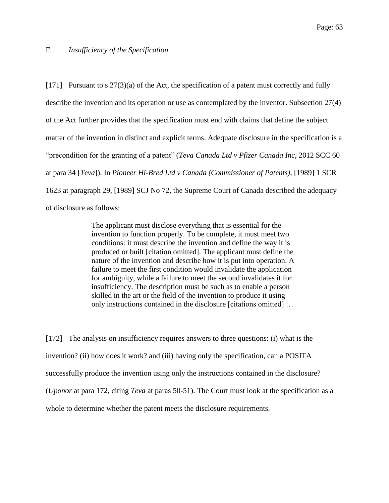### F. *Insufficiency of the Specification*

[171] Pursuant to s 27(3)(a) of the Act, the specification of a patent must correctly and fully describe the invention and its operation or use as contemplated by the inventor. Subsection 27(4) of the Act further provides that the specification must end with claims that define the subject matter of the invention in distinct and explicit terms. Adequate disclosure in the specification is a "precondition for the granting of a patent" (*Teva Canada Ltd v Pfizer Canada Inc*, 2012 SCC 60 at para 34 [*Teva*]). In *Pioneer Hi-Bred Ltd v Canada (Commissioner of Patents)*, [1989] 1 SCR 1623 at paragraph 29, [1989] SCJ No 72, the Supreme Court of Canada described the adequacy of disclosure as follows:

> The applicant must disclose everything that is essential for the invention to function properly. To be complete, it must meet two conditions: it must describe the invention and define the way it is produced or built [citation omitted]. The applicant must define the nature of the invention and describe how it is put into operation. A failure to meet the first condition would invalidate the application for ambiguity, while a failure to meet the second invalidates it for insufficiency. The description must be such as to enable a person skilled in the art or the field of the invention to produce it using only instructions contained in the disclosure [citations omitted] …

[172] The analysis on insufficiency requires answers to three questions: (i) what is the invention? (ii) how does it work? and (iii) having only the specification, can a POSITA successfully produce the invention using only the instructions contained in the disclosure? (*Uponor* at para 172, citing *Teva* at paras 50-51). The Court must look at the specification as a whole to determine whether the patent meets the disclosure requirements.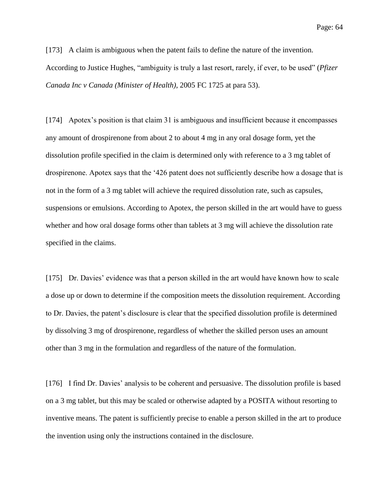[173] A claim is ambiguous when the patent fails to define the nature of the invention. According to Justice Hughes, "ambiguity is truly a last resort, rarely, if ever, to be used" (*Pfizer Canada Inc v Canada (Minister of Health)*, 2005 FC 1725 at para 53).

[174] Apotex's position is that claim 31 is ambiguous and insufficient because it encompasses any amount of drospirenone from about 2 to about 4 mg in any oral dosage form, yet the dissolution profile specified in the claim is determined only with reference to a 3 mg tablet of drospirenone. Apotex says that the '426 patent does not sufficiently describe how a dosage that is not in the form of a 3 mg tablet will achieve the required dissolution rate, such as capsules, suspensions or emulsions. According to Apotex, the person skilled in the art would have to guess whether and how oral dosage forms other than tablets at 3 mg will achieve the dissolution rate specified in the claims.

[175] Dr. Davies' evidence was that a person skilled in the art would have known how to scale a dose up or down to determine if the composition meets the dissolution requirement. According to Dr. Davies, the patent's disclosure is clear that the specified dissolution profile is determined by dissolving 3 mg of drospirenone, regardless of whether the skilled person uses an amount other than 3 mg in the formulation and regardless of the nature of the formulation.

[176] I find Dr. Davies' analysis to be coherent and persuasive. The dissolution profile is based on a 3 mg tablet, but this may be scaled or otherwise adapted by a POSITA without resorting to inventive means. The patent is sufficiently precise to enable a person skilled in the art to produce the invention using only the instructions contained in the disclosure.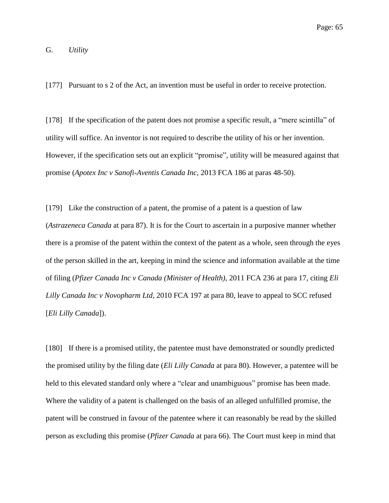## G. *Utility*

[177] Pursuant to s 2 of the Act, an invention must be useful in order to receive protection.

[178] If the specification of the patent does not promise a specific result, a "mere scintilla" of utility will suffice. An inventor is not required to describe the utility of his or her invention. However, if the specification sets out an explicit "promise", utility will be measured against that promise (*Apotex Inc v Sanofi-Aventis Canada Inc*, 2013 FCA 186 at paras 48-50).

[179] Like the construction of a patent, the promise of a patent is a question of law (*Astrazeneca Canada* at para 87). It is for the Court to ascertain in a purposive manner whether there is a promise of the patent within the context of the patent as a whole, seen through the eyes of the person skilled in the art, keeping in mind the science and information available at the time of filing (*Pfizer Canada Inc v Canada (Minister of Health)*, 2011 FCA 236 at para 17, citing *Eli Lilly Canada Inc v Novopharm Ltd*, 2010 FCA 197 at para 80, leave to appeal to SCC refused [*Eli Lilly Canada*]).

[180] If there is a promised utility, the patentee must have demonstrated or soundly predicted the promised utility by the filing date (*Eli Lilly Canada* at para 80). However, a patentee will be held to this elevated standard only where a "clear and unambiguous" promise has been made. Where the validity of a patent is challenged on the basis of an alleged unfulfilled promise, the patent will be construed in favour of the patentee where it can reasonably be read by the skilled person as excluding this promise (*Pfizer Canada* at para 66). The Court must keep in mind that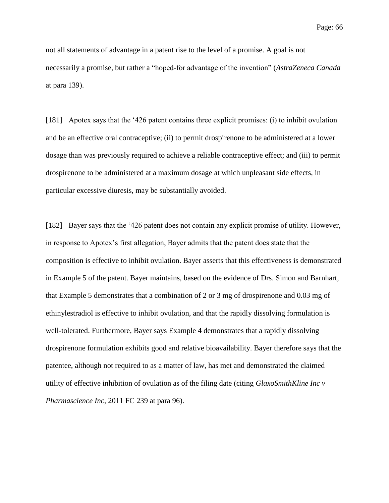not all statements of advantage in a patent rise to the level of a promise. A goal is not necessarily a promise, but rather a "hoped-for advantage of the invention" (*AstraZeneca Canada* at para 139).

[181] Apotex says that the '426 patent contains three explicit promises: (i) to inhibit ovulation and be an effective oral contraceptive; (ii) to permit drospirenone to be administered at a lower dosage than was previously required to achieve a reliable contraceptive effect; and (iii) to permit drospirenone to be administered at a maximum dosage at which unpleasant side effects, in particular excessive diuresis, may be substantially avoided.

[182] Bayer says that the '426 patent does not contain any explicit promise of utility. However, in response to Apotex's first allegation, Bayer admits that the patent does state that the composition is effective to inhibit ovulation. Bayer asserts that this effectiveness is demonstrated in Example 5 of the patent. Bayer maintains, based on the evidence of Drs. Simon and Barnhart, that Example 5 demonstrates that a combination of 2 or 3 mg of drospirenone and 0.03 mg of ethinylestradiol is effective to inhibit ovulation, and that the rapidly dissolving formulation is well-tolerated. Furthermore, Bayer says Example 4 demonstrates that a rapidly dissolving drospirenone formulation exhibits good and relative bioavailability. Bayer therefore says that the patentee, although not required to as a matter of law, has met and demonstrated the claimed utility of effective inhibition of ovulation as of the filing date (citing *GlaxoSmithKline Inc v Pharmascience Inc*, 2011 FC 239 at para 96).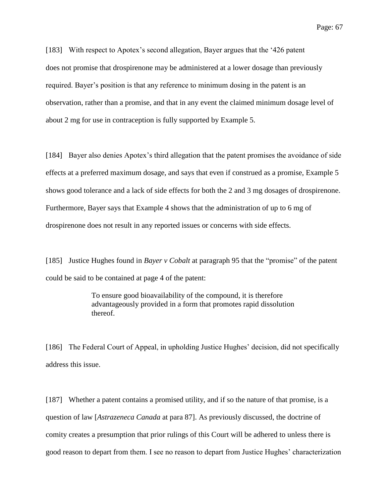[183] With respect to Apotex's second allegation, Bayer argues that the '426 patent does not promise that drospirenone may be administered at a lower dosage than previously required. Bayer's position is that any reference to minimum dosing in the patent is an observation, rather than a promise, and that in any event the claimed minimum dosage level of about 2 mg for use in contraception is fully supported by Example 5.

[184] Bayer also denies Apotex's third allegation that the patent promises the avoidance of side effects at a preferred maximum dosage, and says that even if construed as a promise, Example 5 shows good tolerance and a lack of side effects for both the 2 and 3 mg dosages of drospirenone. Furthermore, Bayer says that Example 4 shows that the administration of up to 6 mg of drospirenone does not result in any reported issues or concerns with side effects.

[185] Justice Hughes found in *Bayer v Cobalt* at paragraph 95 that the "promise" of the patent could be said to be contained at page 4 of the patent:

> To ensure good bioavailability of the compound, it is therefore advantageously provided in a form that promotes rapid dissolution thereof.

[186] The Federal Court of Appeal, in upholding Justice Hughes' decision, did not specifically address this issue.

[187] Whether a patent contains a promised utility, and if so the nature of that promise, is a question of law [*Astrazeneca Canada* at para 87]. As previously discussed, the doctrine of comity creates a presumption that prior rulings of this Court will be adhered to unless there is good reason to depart from them. I see no reason to depart from Justice Hughes' characterization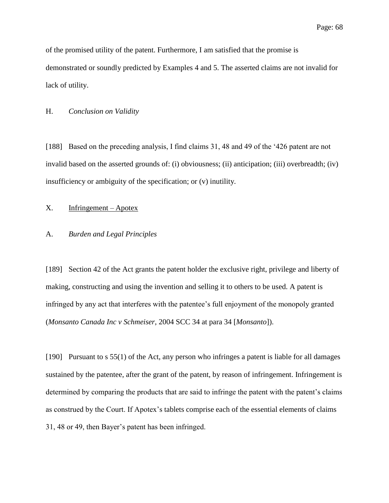of the promised utility of the patent. Furthermore, I am satisfied that the promise is demonstrated or soundly predicted by Examples 4 and 5. The asserted claims are not invalid for lack of utility.

#### H. *Conclusion on Validity*

[188] Based on the preceding analysis, I find claims 31, 48 and 49 of the '426 patent are not invalid based on the asserted grounds of: (i) obviousness; (ii) anticipation; (iii) overbreadth; (iv) insufficiency or ambiguity of the specification; or (v) inutility.

# X. Infringement – Apotex

## A. *Burden and Legal Principles*

[189] Section 42 of the Act grants the patent holder the exclusive right, privilege and liberty of making, constructing and using the invention and selling it to others to be used. A patent is infringed by any act that interferes with the patentee's full enjoyment of the monopoly granted (*Monsanto Canada Inc v Schmeiser*, 2004 SCC 34 at para 34 [*Monsanto*]).

[190] Pursuant to s 55(1) of the Act, any person who infringes a patent is liable for all damages sustained by the patentee, after the grant of the patent, by reason of infringement. Infringement is determined by comparing the products that are said to infringe the patent with the patent's claims as construed by the Court. If Apotex's tablets comprise each of the essential elements of claims 31, 48 or 49, then Bayer's patent has been infringed.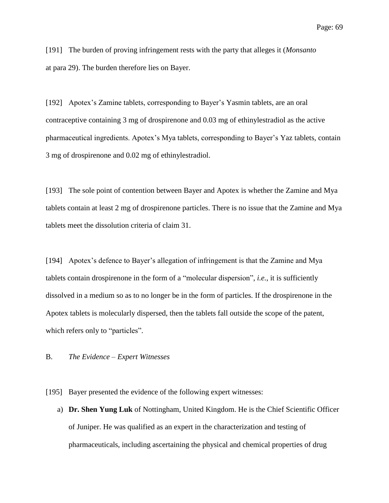[191] The burden of proving infringement rests with the party that alleges it (*Monsanto* at para 29). The burden therefore lies on Bayer.

[192] Apotex's Zamine tablets, corresponding to Bayer's Yasmin tablets, are an oral contraceptive containing 3 mg of drospirenone and 0.03 mg of ethinylestradiol as the active pharmaceutical ingredients. Apotex's Mya tablets, corresponding to Bayer's Yaz tablets, contain 3 mg of drospirenone and 0.02 mg of ethinylestradiol.

[193] The sole point of contention between Bayer and Apotex is whether the Zamine and Mya tablets contain at least 2 mg of drospirenone particles. There is no issue that the Zamine and Mya tablets meet the dissolution criteria of claim 31.

[194] Apotex's defence to Bayer's allegation of infringement is that the Zamine and Mya tablets contain drospirenone in the form of a "molecular dispersion", *i.e.*, it is sufficiently dissolved in a medium so as to no longer be in the form of particles. If the drospirenone in the Apotex tablets is molecularly dispersed, then the tablets fall outside the scope of the patent, which refers only to "particles".

## B. *The Evidence – Expert Witnesses*

[195] Bayer presented the evidence of the following expert witnesses:

a) **Dr. Shen Yung Luk** of Nottingham, United Kingdom. He is the Chief Scientific Officer of Juniper. He was qualified as an expert in the characterization and testing of pharmaceuticals, including ascertaining the physical and chemical properties of drug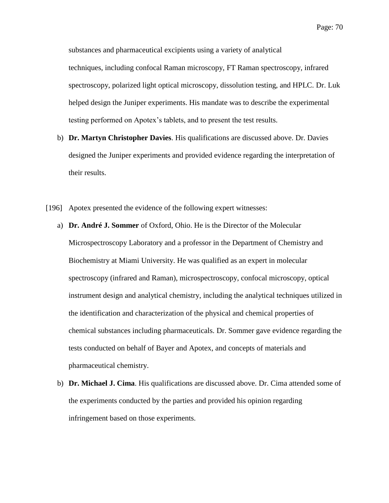substances and pharmaceutical excipients using a variety of analytical techniques, including confocal Raman microscopy, FT Raman spectroscopy, infrared spectroscopy, polarized light optical microscopy, dissolution testing, and HPLC. Dr. Luk helped design the Juniper experiments. His mandate was to describe the experimental testing performed on Apotex's tablets, and to present the test results.

- b) **Dr. Martyn Christopher Davies**. His qualifications are discussed above. Dr. Davies designed the Juniper experiments and provided evidence regarding the interpretation of their results.
- [196] Apotex presented the evidence of the following expert witnesses:
	- a) **Dr. André J. Sommer** of Oxford, Ohio. He is the Director of the Molecular Microspectroscopy Laboratory and a professor in the Department of Chemistry and Biochemistry at Miami University. He was qualified as an expert in molecular spectroscopy (infrared and Raman), microspectroscopy, confocal microscopy, optical instrument design and analytical chemistry, including the analytical techniques utilized in the identification and characterization of the physical and chemical properties of chemical substances including pharmaceuticals. Dr. Sommer gave evidence regarding the tests conducted on behalf of Bayer and Apotex, and concepts of materials and pharmaceutical chemistry.
	- b) **Dr. Michael J. Cima**. His qualifications are discussed above. Dr. Cima attended some of the experiments conducted by the parties and provided his opinion regarding infringement based on those experiments.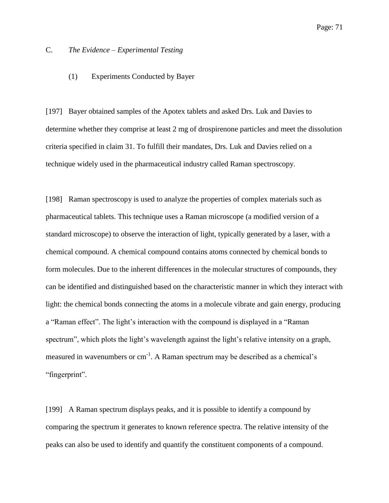## C. *The Evidence – Experimental Testing*

## (1) Experiments Conducted by Bayer

[197] Bayer obtained samples of the Apotex tablets and asked Drs. Luk and Davies to determine whether they comprise at least 2 mg of drospirenone particles and meet the dissolution criteria specified in claim 31. To fulfill their mandates, Drs. Luk and Davies relied on a technique widely used in the pharmaceutical industry called Raman spectroscopy.

[198] Raman spectroscopy is used to analyze the properties of complex materials such as pharmaceutical tablets. This technique uses a Raman microscope (a modified version of a standard microscope) to observe the interaction of light, typically generated by a laser, with a chemical compound. A chemical compound contains atoms connected by chemical bonds to form molecules. Due to the inherent differences in the molecular structures of compounds, they can be identified and distinguished based on the characteristic manner in which they interact with light: the chemical bonds connecting the atoms in a molecule vibrate and gain energy, producing a "Raman effect". The light's interaction with the compound is displayed in a "Raman spectrum", which plots the light's wavelength against the light's relative intensity on a graph, measured in wavenumbers or  $cm^{-1}$ . A Raman spectrum may be described as a chemical's "fingerprint".

[199] A Raman spectrum displays peaks, and it is possible to identify a compound by comparing the spectrum it generates to known reference spectra. The relative intensity of the peaks can also be used to identify and quantify the constituent components of a compound.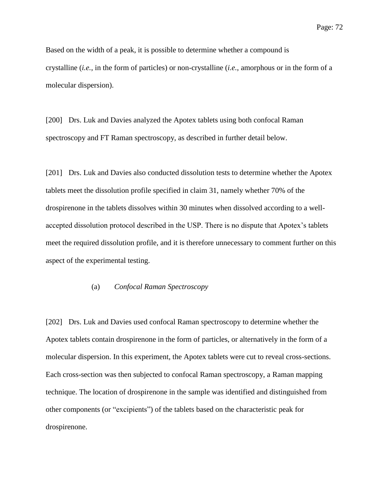Based on the width of a peak, it is possible to determine whether a compound is crystalline (*i.e.*, in the form of particles) or non-crystalline (*i.e.*, amorphous or in the form of a molecular dispersion).

[200] Drs. Luk and Davies analyzed the Apotex tablets using both confocal Raman spectroscopy and FT Raman spectroscopy, as described in further detail below.

[201] Drs. Luk and Davies also conducted dissolution tests to determine whether the Apotex tablets meet the dissolution profile specified in claim 31, namely whether 70% of the drospirenone in the tablets dissolves within 30 minutes when dissolved according to a wellaccepted dissolution protocol described in the USP. There is no dispute that Apotex's tablets meet the required dissolution profile, and it is therefore unnecessary to comment further on this aspect of the experimental testing.

### (a) *Confocal Raman Spectroscopy*

[202] Drs. Luk and Davies used confocal Raman spectroscopy to determine whether the Apotex tablets contain drospirenone in the form of particles, or alternatively in the form of a molecular dispersion. In this experiment, the Apotex tablets were cut to reveal cross-sections. Each cross-section was then subjected to confocal Raman spectroscopy, a Raman mapping technique. The location of drospirenone in the sample was identified and distinguished from other components (or "excipients") of the tablets based on the characteristic peak for drospirenone.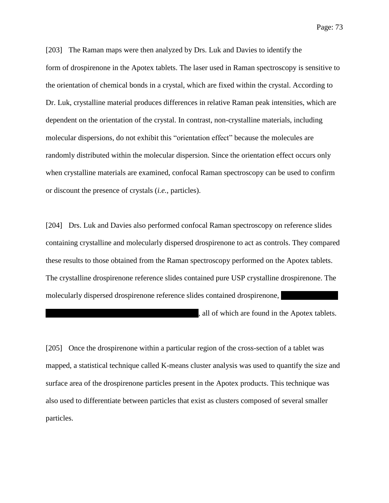[203] The Raman maps were then analyzed by Drs. Luk and Davies to identify the form of drospirenone in the Apotex tablets. The laser used in Raman spectroscopy is sensitive to the orientation of chemical bonds in a crystal, which are fixed within the crystal. According to Dr. Luk, crystalline material produces differences in relative Raman peak intensities, which are dependent on the orientation of the crystal. In contrast, non-crystalline materials, including molecular dispersions, do not exhibit this "orientation effect" because the molecules are randomly distributed within the molecular dispersion. Since the orientation effect occurs only when crystalline materials are examined, confocal Raman spectroscopy can be used to confirm or discount the presence of crystals (*i.e.*, particles).

[204] Drs. Luk and Davies also performed confocal Raman spectroscopy on reference slides containing crystalline and molecularly dispersed drospirenone to act as controls. They compared these results to those obtained from the Raman spectroscopy performed on the Apotex tablets. The crystalline drospirenone reference slides contained pure USP crystalline drospirenone. The molecularly dispersed drospirenone reference slides contained drospirenone,

, all of which are found in the Apotex tablets.

[205] Once the drospirenone within a particular region of the cross-section of a tablet was mapped, a statistical technique called K-means cluster analysis was used to quantify the size and surface area of the drospirenone particles present in the Apotex products. This technique was also used to differentiate between particles that exist as clusters composed of several smaller particles.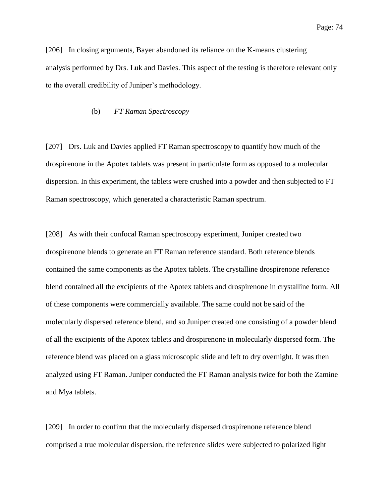[206] In closing arguments, Bayer abandoned its reliance on the K-means clustering analysis performed by Drs. Luk and Davies. This aspect of the testing is therefore relevant only to the overall credibility of Juniper's methodology.

## (b) *FT Raman Spectroscopy*

[207] Drs. Luk and Davies applied FT Raman spectroscopy to quantify how much of the drospirenone in the Apotex tablets was present in particulate form as opposed to a molecular dispersion. In this experiment, the tablets were crushed into a powder and then subjected to FT Raman spectroscopy, which generated a characteristic Raman spectrum.

[208] As with their confocal Raman spectroscopy experiment, Juniper created two drospirenone blends to generate an FT Raman reference standard. Both reference blends contained the same components as the Apotex tablets. The crystalline drospirenone reference blend contained all the excipients of the Apotex tablets and drospirenone in crystalline form. All of these components were commercially available. The same could not be said of the molecularly dispersed reference blend, and so Juniper created one consisting of a powder blend of all the excipients of the Apotex tablets and drospirenone in molecularly dispersed form. The reference blend was placed on a glass microscopic slide and left to dry overnight. It was then analyzed using FT Raman. Juniper conducted the FT Raman analysis twice for both the Zamine and Mya tablets.

[209] In order to confirm that the molecularly dispersed drospirenone reference blend comprised a true molecular dispersion, the reference slides were subjected to polarized light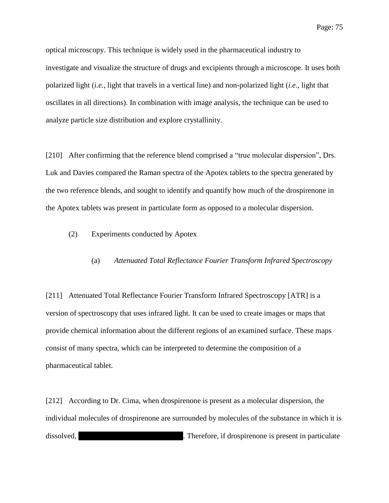optical microscopy. This technique is widely used in the pharmaceutical industry to investigate and visualize the structure of drugs and excipients through a microscope. It uses both polarized light (*i.e.*, light that travels in a vertical line) and non-polarized light (*i.e.*, light that oscillates in all directions). In combination with image analysis, the technique can be used to analyze particle size distribution and explore crystallinity.

[210] After confirming that the reference blend comprised a "true molecular dispersion", Drs. Luk and Davies compared the Raman spectra of the Apotex tablets to the spectra generated by the two reference blends, and sought to identify and quantify how much of the drospirenone in the Apotex tablets was present in particulate form as opposed to a molecular dispersion.

- (2) Experiments conducted by Apotex
	- (a) *Attenuated Total Reflectance Fourier Transform Infrared Spectroscopy*

[211] Attenuated Total Reflectance Fourier Transform Infrared Spectroscopy [ATR] is a version of spectroscopy that uses infrared light. It can be used to create images or maps that provide chemical information about the different regions of an examined surface. These maps consist of many spectra, which can be interpreted to determine the composition of a pharmaceutical tablet.

[212] According to Dr. Cima, when drospirenone is present as a molecular dispersion, the individual molecules of drospirenone are surrounded by molecules of the substance in which it is dissolved, Therefore, if drospirenone is present in particulate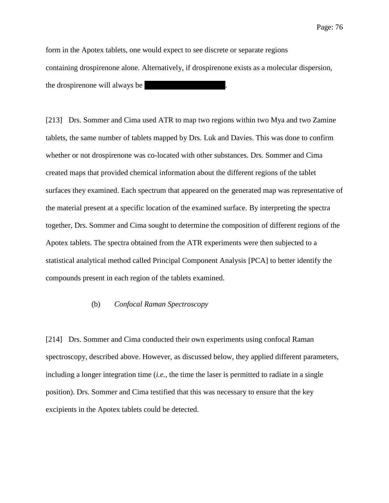form in the Apotex tablets, one would expect to see discrete or separate regions containing drospirenone alone. Alternatively, if drospirenone exists as a molecular dispersion, the drospirenone will always be

[213] Drs. Sommer and Cima used ATR to map two regions within two Mya and two Zamine tablets, the same number of tablets mapped by Drs. Luk and Davies. This was done to confirm whether or not drospirenone was co-located with other substances. Drs. Sommer and Cima created maps that provided chemical information about the different regions of the tablet surfaces they examined. Each spectrum that appeared on the generated map was representative of the material present at a specific location of the examined surface. By interpreting the spectra together, Drs. Sommer and Cima sought to determine the composition of different regions of the Apotex tablets. The spectra obtained from the ATR experiments were then subjected to a statistical analytical method called Principal Component Analysis [PCA] to better identify the compounds present in each region of the tablets examined.

# (b) *Confocal Raman Spectroscopy*

[214] Drs. Sommer and Cima conducted their own experiments using confocal Raman spectroscopy, described above. However, as discussed below, they applied different parameters, including a longer integration time (*i.e.*, the time the laser is permitted to radiate in a single position). Drs. Sommer and Cima testified that this was necessary to ensure that the key excipients in the Apotex tablets could be detected.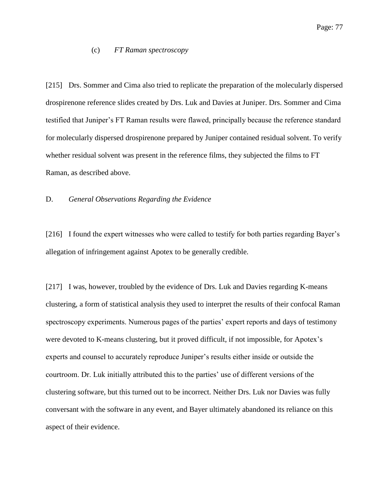## (c) *FT Raman spectroscopy*

[215] Drs. Sommer and Cima also tried to replicate the preparation of the molecularly dispersed drospirenone reference slides created by Drs. Luk and Davies at Juniper. Drs. Sommer and Cima testified that Juniper's FT Raman results were flawed, principally because the reference standard for molecularly dispersed drospirenone prepared by Juniper contained residual solvent. To verify whether residual solvent was present in the reference films, they subjected the films to FT Raman, as described above.

D. *General Observations Regarding the Evidence*

[216] I found the expert witnesses who were called to testify for both parties regarding Bayer's allegation of infringement against Apotex to be generally credible.

[217] I was, however, troubled by the evidence of Drs. Luk and Davies regarding K-means clustering, a form of statistical analysis they used to interpret the results of their confocal Raman spectroscopy experiments. Numerous pages of the parties' expert reports and days of testimony were devoted to K-means clustering, but it proved difficult, if not impossible, for Apotex's experts and counsel to accurately reproduce Juniper's results either inside or outside the courtroom. Dr. Luk initially attributed this to the parties' use of different versions of the clustering software, but this turned out to be incorrect. Neither Drs. Luk nor Davies was fully conversant with the software in any event, and Bayer ultimately abandoned its reliance on this aspect of their evidence.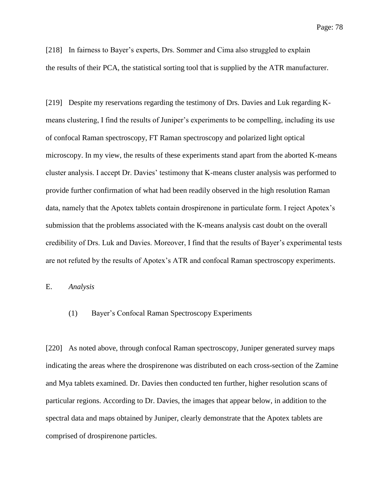[218] In fairness to Bayer's experts, Drs. Sommer and Cima also struggled to explain the results of their PCA, the statistical sorting tool that is supplied by the ATR manufacturer.

[219] Despite my reservations regarding the testimony of Drs. Davies and Luk regarding Kmeans clustering, I find the results of Juniper's experiments to be compelling, including its use of confocal Raman spectroscopy, FT Raman spectroscopy and polarized light optical microscopy. In my view, the results of these experiments stand apart from the aborted K-means cluster analysis. I accept Dr. Davies' testimony that K-means cluster analysis was performed to provide further confirmation of what had been readily observed in the high resolution Raman data, namely that the Apotex tablets contain drospirenone in particulate form. I reject Apotex's submission that the problems associated with the K-means analysis cast doubt on the overall credibility of Drs. Luk and Davies. Moreover, I find that the results of Bayer's experimental tests are not refuted by the results of Apotex's ATR and confocal Raman spectroscopy experiments.

E. *Analysis*

#### (1) Bayer's Confocal Raman Spectroscopy Experiments

[220] As noted above, through confocal Raman spectroscopy, Juniper generated survey maps indicating the areas where the drospirenone was distributed on each cross-section of the Zamine and Mya tablets examined. Dr. Davies then conducted ten further, higher resolution scans of particular regions. According to Dr. Davies, the images that appear below, in addition to the spectral data and maps obtained by Juniper, clearly demonstrate that the Apotex tablets are comprised of drospirenone particles.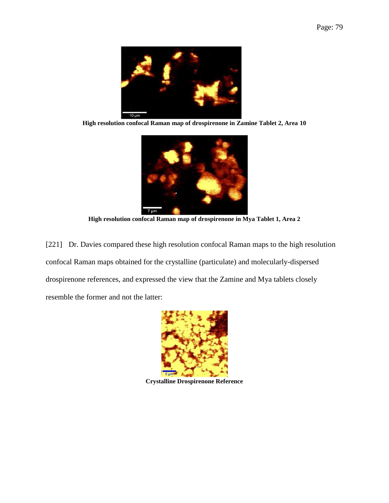

**High resolution confocal Raman map of drospirenone in Zamine Tablet 2, Area 10**



**High resolution confocal Raman map of drospirenone in Mya Tablet 1, Area 2**

[221] Dr. Davies compared these high resolution confocal Raman maps to the high resolution confocal Raman maps obtained for the crystalline (particulate) and molecularly-dispersed drospirenone references, and expressed the view that the Zamine and Mya tablets closely resemble the former and not the latter:



**Crystalline Drospirenone Reference**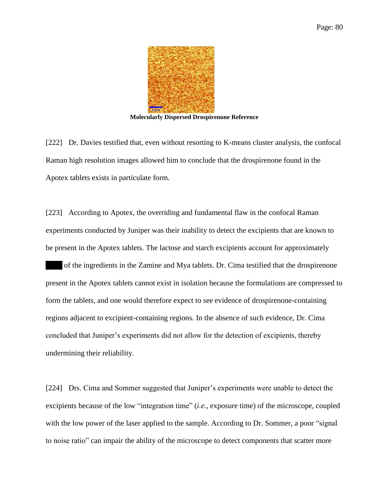

**Molecularly Dispersed Drospirenone Reference**

[222] Dr. Davies testified that, even without resorting to K-means cluster analysis, the confocal Raman high resolution images allowed him to conclude that the drospirenone found in the Apotex tablets exists in particulate form.

[223] According to Apotex, the overriding and fundamental flaw in the confocal Raman experiments conducted by Juniper was their inability to detect the excipients that are known to be present in the Apotex tablets. The lactose and starch excipients account for approximately of the ingredients in the Zamine and Mya tablets. Dr. Cima testified that the drospirenone present in the Apotex tablets cannot exist in isolation because the formulations are compressed to form the tablets, and one would therefore expect to see evidence of drospirenone-containing regions adjacent to excipient-containing regions. In the absence of such evidence, Dr. Cima concluded that Juniper's experiments did not allow for the detection of excipients, thereby undermining their reliability.

[224] Drs. Cima and Sommer suggested that Juniper's experiments were unable to detect the excipients because of the low "integration time" (*i.e.*, exposure time) of the microscope, coupled with the low power of the laser applied to the sample. According to Dr. Sommer, a poor "signal to noise ratio" can impair the ability of the microscope to detect components that scatter more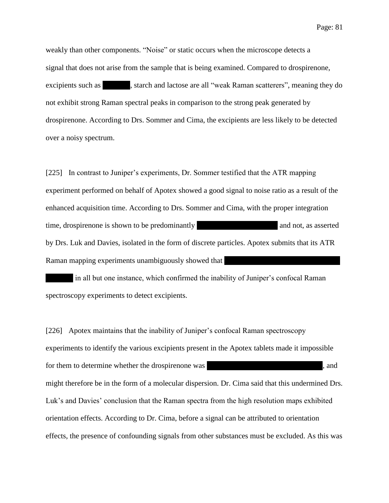weakly than other components. "Noise" or static occurs when the microscope detects a signal that does not arise from the sample that is being examined. Compared to drospirenone, excipients such as  $\blacksquare$ , starch and lactose are all "weak Raman scatterers", meaning they do not exhibit strong Raman spectral peaks in comparison to the strong peak generated by drospirenone. According to Drs. Sommer and Cima, the excipients are less likely to be detected over a noisy spectrum.

[225] In contrast to Juniper's experiments, Dr. Sommer testified that the ATR mapping experiment performed on behalf of Apotex showed a good signal to noise ratio as a result of the enhanced acquisition time. According to Drs. Sommer and Cima, with the proper integration time, drospirenone is shown to be predominantly and not, as asserted by Drs. Luk and Davies, isolated in the form of discrete particles. Apotex submits that its ATR Raman mapping experiments unambiguously showed that

in all but one instance, which confirmed the inability of Juniper's confocal Raman spectroscopy experiments to detect excipients.

[226] Apotex maintains that the inability of Juniper's confocal Raman spectroscopy experiments to identify the various excipients present in the Apotex tablets made it impossible for them to determine whether the drospirenone was  $\lambda$ , and might therefore be in the form of a molecular dispersion. Dr. Cima said that this undermined Drs. Luk's and Davies' conclusion that the Raman spectra from the high resolution maps exhibited orientation effects. According to Dr. Cima, before a signal can be attributed to orientation effects, the presence of confounding signals from other substances must be excluded. As this was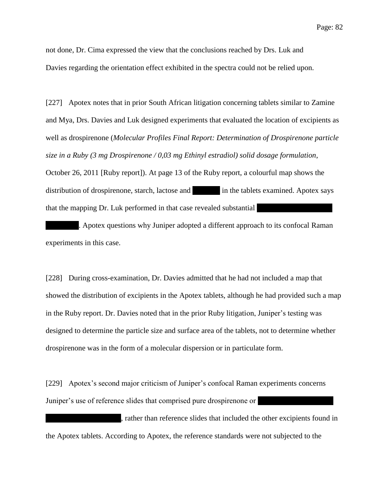not done, Dr. Cima expressed the view that the conclusions reached by Drs. Luk and Davies regarding the orientation effect exhibited in the spectra could not be relied upon.

[227] Apotex notes that in prior South African litigation concerning tablets similar to Zamine and Mya, Drs. Davies and Luk designed experiments that evaluated the location of excipients as well as drospirenone (*Molecular Profiles Final Report: Determination of Drospirenone particle size in a Ruby (3 mg Drospirenone / 0,03 mg Ethinyl estradiol) solid dosage formulation*, October 26, 2011 [Ruby report]). At page 13 of the Ruby report, a colourful map shows the distribution of drospirenone, starch, lactose and  $\overline{\phantom{a}}$  in the tablets examined. Apotex says that the mapping Dr. Luk performed in that case revealed substantial

. Apotex questions why Juniper adopted a different approach to its confocal Raman experiments in this case.

[228] During cross-examination, Dr. Davies admitted that he had not included a map that showed the distribution of excipients in the Apotex tablets, although he had provided such a map in the Ruby report. Dr. Davies noted that in the prior Ruby litigation, Juniper's testing was designed to determine the particle size and surface area of the tablets, not to determine whether drospirenone was in the form of a molecular dispersion or in particulate form.

[229] Apotex's second major criticism of Juniper's confocal Raman experiments concerns Juniper's use of reference slides that comprised pure drospirenone or

 $x,$  rather than reference slides that included the other excipients found in the Apotex tablets. According to Apotex, the reference standards were not subjected to the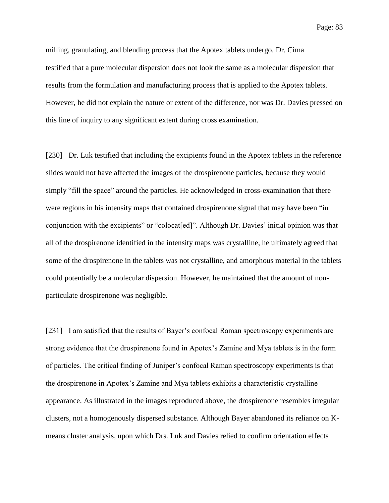milling, granulating, and blending process that the Apotex tablets undergo. Dr. Cima testified that a pure molecular dispersion does not look the same as a molecular dispersion that results from the formulation and manufacturing process that is applied to the Apotex tablets. However, he did not explain the nature or extent of the difference, nor was Dr. Davies pressed on this line of inquiry to any significant extent during cross examination.

[230] Dr. Luk testified that including the excipients found in the Apotex tablets in the reference slides would not have affected the images of the drospirenone particles, because they would simply "fill the space" around the particles. He acknowledged in cross-examination that there were regions in his intensity maps that contained drospirenone signal that may have been "in conjunction with the excipients" or "colocat[ed]". Although Dr. Davies' initial opinion was that all of the drospirenone identified in the intensity maps was crystalline, he ultimately agreed that some of the drospirenone in the tablets was not crystalline, and amorphous material in the tablets could potentially be a molecular dispersion. However, he maintained that the amount of nonparticulate drospirenone was negligible.

[231] I am satisfied that the results of Bayer's confocal Raman spectroscopy experiments are strong evidence that the drospirenone found in Apotex's Zamine and Mya tablets is in the form of particles. The critical finding of Juniper's confocal Raman spectroscopy experiments is that the drospirenone in Apotex's Zamine and Mya tablets exhibits a characteristic crystalline appearance. As illustrated in the images reproduced above, the drospirenone resembles irregular clusters, not a homogenously dispersed substance. Although Bayer abandoned its reliance on Kmeans cluster analysis, upon which Drs. Luk and Davies relied to confirm orientation effects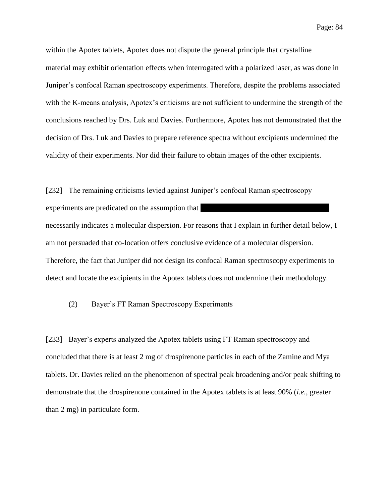within the Apotex tablets, Apotex does not dispute the general principle that crystalline material may exhibit orientation effects when interrogated with a polarized laser, as was done in Juniper's confocal Raman spectroscopy experiments. Therefore, despite the problems associated with the K-means analysis, Apotex's criticisms are not sufficient to undermine the strength of the conclusions reached by Drs. Luk and Davies. Furthermore, Apotex has not demonstrated that the decision of Drs. Luk and Davies to prepare reference spectra without excipients undermined the validity of their experiments. Nor did their failure to obtain images of the other excipients.

[232] The remaining criticisms levied against Juniper's confocal Raman spectroscopy experiments are predicated on the assumption that necessarily indicates a molecular dispersion. For reasons that I explain in further detail below, I am not persuaded that co-location offers conclusive evidence of a molecular dispersion. Therefore, the fact that Juniper did not design its confocal Raman spectroscopy experiments to detect and locate the excipients in the Apotex tablets does not undermine their methodology.

(2) Bayer's FT Raman Spectroscopy Experiments

[233] Bayer's experts analyzed the Apotex tablets using FT Raman spectroscopy and concluded that there is at least 2 mg of drospirenone particles in each of the Zamine and Mya tablets. Dr. Davies relied on the phenomenon of spectral peak broadening and/or peak shifting to demonstrate that the drospirenone contained in the Apotex tablets is at least 90% (*i.e.*, greater than 2 mg) in particulate form.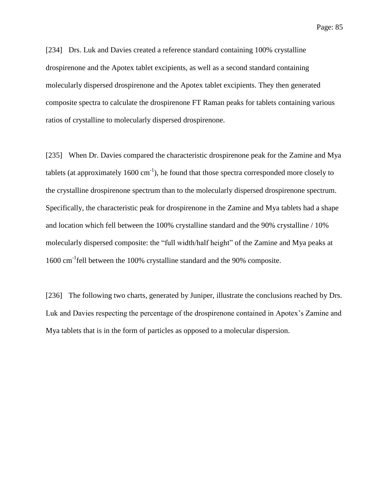[234] Drs. Luk and Davies created a reference standard containing 100% crystalline drospirenone and the Apotex tablet excipients, as well as a second standard containing molecularly dispersed drospirenone and the Apotex tablet excipients. They then generated composite spectra to calculate the drospirenone FT Raman peaks for tablets containing various ratios of crystalline to molecularly dispersed drospirenone.

[235] When Dr. Davies compared the characteristic drospirenone peak for the Zamine and Mya tablets (at approximately 1600  $\text{cm}^{-1}$ ), he found that those spectra corresponded more closely to the crystalline drospirenone spectrum than to the molecularly dispersed drospirenone spectrum. Specifically, the characteristic peak for drospirenone in the Zamine and Mya tablets had a shape and location which fell between the 100% crystalline standard and the 90% crystalline / 10% molecularly dispersed composite: the "full width/half height" of the Zamine and Mya peaks at 1600 cm-1 fell between the 100% crystalline standard and the 90% composite.

[236] The following two charts, generated by Juniper, illustrate the conclusions reached by Drs. Luk and Davies respecting the percentage of the drospirenone contained in Apotex's Zamine and Mya tablets that is in the form of particles as opposed to a molecular dispersion.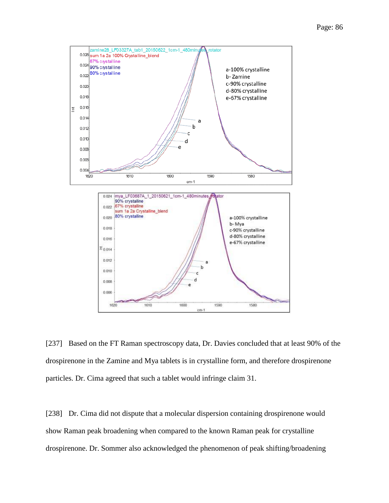

[237] Based on the FT Raman spectroscopy data, Dr. Davies concluded that at least 90% of the drospirenone in the Zamine and Mya tablets is in crystalline form, and therefore drospirenone particles. Dr. Cima agreed that such a tablet would infringe claim 31.

[238] Dr. Cima did not dispute that a molecular dispersion containing drospirenone would show Raman peak broadening when compared to the known Raman peak for crystalline drospirenone. Dr. Sommer also acknowledged the phenomenon of peak shifting/broadening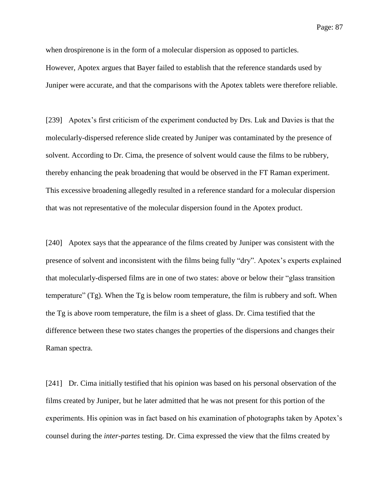when drospirenone is in the form of a molecular dispersion as opposed to particles. However, Apotex argues that Bayer failed to establish that the reference standards used by Juniper were accurate, and that the comparisons with the Apotex tablets were therefore reliable.

[239] Apotex's first criticism of the experiment conducted by Drs. Luk and Davies is that the molecularly-dispersed reference slide created by Juniper was contaminated by the presence of solvent. According to Dr. Cima, the presence of solvent would cause the films to be rubbery, thereby enhancing the peak broadening that would be observed in the FT Raman experiment. This excessive broadening allegedly resulted in a reference standard for a molecular dispersion that was not representative of the molecular dispersion found in the Apotex product.

[240] Apotex says that the appearance of the films created by Juniper was consistent with the presence of solvent and inconsistent with the films being fully "dry". Apotex's experts explained that molecularly-dispersed films are in one of two states: above or below their "glass transition temperature"  $(Tg)$ . When the Tg is below room temperature, the film is rubbery and soft. When the Tg is above room temperature, the film is a sheet of glass. Dr. Cima testified that the difference between these two states changes the properties of the dispersions and changes their Raman spectra.

[241] Dr. Cima initially testified that his opinion was based on his personal observation of the films created by Juniper, but he later admitted that he was not present for this portion of the experiments. His opinion was in fact based on his examination of photographs taken by Apotex's counsel during the *inter-partes* testing. Dr. Cima expressed the view that the films created by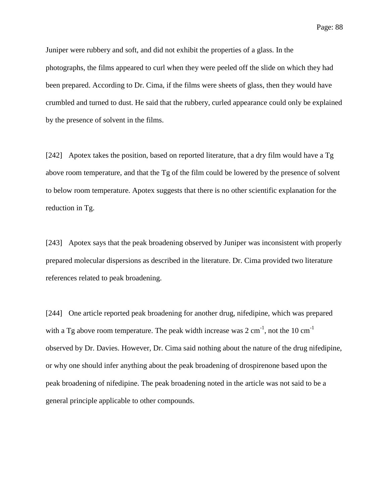Juniper were rubbery and soft, and did not exhibit the properties of a glass. In the photographs, the films appeared to curl when they were peeled off the slide on which they had been prepared. According to Dr. Cima, if the films were sheets of glass, then they would have crumbled and turned to dust. He said that the rubbery, curled appearance could only be explained by the presence of solvent in the films.

[242] Apotex takes the position, based on reported literature, that a dry film would have a Tg above room temperature, and that the Tg of the film could be lowered by the presence of solvent to below room temperature. Apotex suggests that there is no other scientific explanation for the reduction in Tg.

[243] Apotex says that the peak broadening observed by Juniper was inconsistent with properly prepared molecular dispersions as described in the literature. Dr. Cima provided two literature references related to peak broadening.

[244] One article reported peak broadening for another drug, nifedipine, which was prepared with a Tg above room temperature. The peak width increase was 2 cm<sup>-1</sup>, not the 10 cm<sup>-1</sup> observed by Dr. Davies. However, Dr. Cima said nothing about the nature of the drug nifedipine, or why one should infer anything about the peak broadening of drospirenone based upon the peak broadening of nifedipine. The peak broadening noted in the article was not said to be a general principle applicable to other compounds.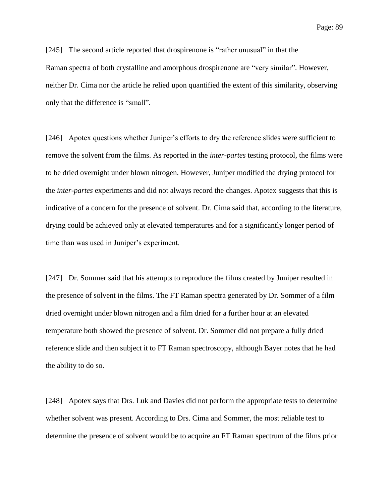[245] The second article reported that drospirenone is "rather unusual" in that the Raman spectra of both crystalline and amorphous drospirenone are "very similar". However, neither Dr. Cima nor the article he relied upon quantified the extent of this similarity, observing only that the difference is "small".

[246] Apotex questions whether Juniper's efforts to dry the reference slides were sufficient to remove the solvent from the films. As reported in the *inter-partes* testing protocol, the films were to be dried overnight under blown nitrogen. However, Juniper modified the drying protocol for the *inter-partes* experiments and did not always record the changes. Apotex suggests that this is indicative of a concern for the presence of solvent. Dr. Cima said that, according to the literature, drying could be achieved only at elevated temperatures and for a significantly longer period of time than was used in Juniper's experiment.

[247] Dr. Sommer said that his attempts to reproduce the films created by Juniper resulted in the presence of solvent in the films. The FT Raman spectra generated by Dr. Sommer of a film dried overnight under blown nitrogen and a film dried for a further hour at an elevated temperature both showed the presence of solvent. Dr. Sommer did not prepare a fully dried reference slide and then subject it to FT Raman spectroscopy, although Bayer notes that he had the ability to do so.

[248] Apotex says that Drs. Luk and Davies did not perform the appropriate tests to determine whether solvent was present. According to Drs. Cima and Sommer, the most reliable test to determine the presence of solvent would be to acquire an FT Raman spectrum of the films prior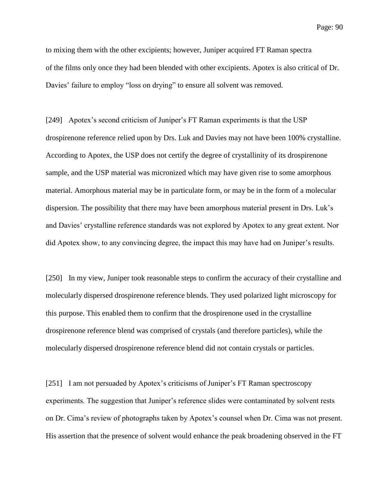to mixing them with the other excipients; however, Juniper acquired FT Raman spectra of the films only once they had been blended with other excipients. Apotex is also critical of Dr. Davies' failure to employ "loss on drying" to ensure all solvent was removed.

[249] Apotex's second criticism of Juniper's FT Raman experiments is that the USP drospirenone reference relied upon by Drs. Luk and Davies may not have been 100% crystalline. According to Apotex, the USP does not certify the degree of crystallinity of its drospirenone sample, and the USP material was micronized which may have given rise to some amorphous material. Amorphous material may be in particulate form, or may be in the form of a molecular dispersion. The possibility that there may have been amorphous material present in Drs. Luk's and Davies' crystalline reference standards was not explored by Apotex to any great extent. Nor did Apotex show, to any convincing degree, the impact this may have had on Juniper's results.

[250] In my view, Juniper took reasonable steps to confirm the accuracy of their crystalline and molecularly dispersed drospirenone reference blends. They used polarized light microscopy for this purpose. This enabled them to confirm that the drospirenone used in the crystalline drospirenone reference blend was comprised of crystals (and therefore particles), while the molecularly dispersed drospirenone reference blend did not contain crystals or particles.

[251] I am not persuaded by Apotex's criticisms of Juniper's FT Raman spectroscopy experiments. The suggestion that Juniper's reference slides were contaminated by solvent rests on Dr. Cima's review of photographs taken by Apotex's counsel when Dr. Cima was not present. His assertion that the presence of solvent would enhance the peak broadening observed in the FT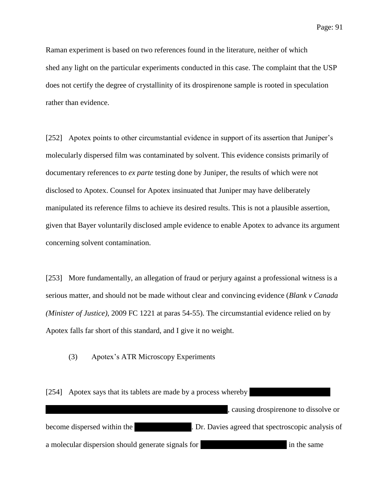Raman experiment is based on two references found in the literature, neither of which shed any light on the particular experiments conducted in this case. The complaint that the USP does not certify the degree of crystallinity of its drospirenone sample is rooted in speculation rather than evidence.

[252] Apotex points to other circumstantial evidence in support of its assertion that Juniper's molecularly dispersed film was contaminated by solvent. This evidence consists primarily of documentary references to *ex parte* testing done by Juniper, the results of which were not disclosed to Apotex. Counsel for Apotex insinuated that Juniper may have deliberately manipulated its reference films to achieve its desired results. This is not a plausible assertion, given that Bayer voluntarily disclosed ample evidence to enable Apotex to advance its argument concerning solvent contamination.

[253] More fundamentally, an allegation of fraud or perjury against a professional witness is a serious matter, and should not be made without clear and convincing evidence (*Blank v Canada (Minister of Justice)*, 2009 FC 1221 at paras 54-55). The circumstantial evidence relied on by Apotex falls far short of this standard, and I give it no weight.

(3) Apotex's ATR Microscopy Experiments

[254] Apotex says that its tablets are made by a process whereby , causing drospirenone to dissolve or become dispersed within the XXXX. Dr. Davies agreed that spectroscopic analysis of a molecular dispersion should generate signals for  $\overline{X}$  in the same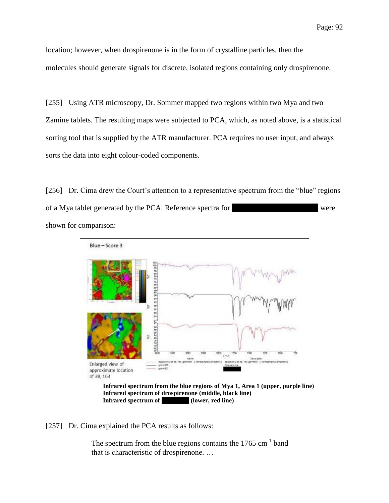location; however, when drospirenone is in the form of crystalline particles, then the molecules should generate signals for discrete, isolated regions containing only drospirenone.

[255] Using ATR microscopy, Dr. Sommer mapped two regions within two Mya and two Zamine tablets. The resulting maps were subjected to PCA, which, as noted above, is a statistical sorting tool that is supplied by the ATR manufacturer. PCA requires no user input, and always sorts the data into eight colour-coded components.

[256] Dr. Cima drew the Court's attention to a representative spectrum from the "blue" regions of a Mya tablet generated by the PCA. Reference spectra for V were shown for comparison:



**Infrared spectrum from the blue regions of Mya 1, Area 1 (upper, purple line) Infrared spectrum of drospirenone (middle, black line) Infrared spectrum of (lower, red line)** 

[257] Dr. Cima explained the PCA results as follows:

The spectrum from the blue regions contains the  $1765 \text{ cm}^{-1}$  band that is characteristic of drospirenone. …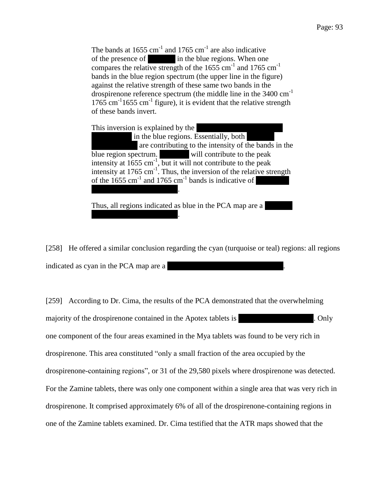The bands at  $1655 \text{ cm}^{-1}$  and  $1765 \text{ cm}^{-1}$  are also indicative of the presence of  $\qquad$  in the blue regions. When one compares the relative strength of the  $1655 \text{ cm}^{-1}$  and  $1765 \text{ cm}^{-1}$ bands in the blue region spectrum (the upper line in the figure) against the relative strength of these same two bands in the drospirenone reference spectrum (the middle line in the  $3400 \text{ cm}^{-1}$ )  $1765$  cm<sup>-1</sup> 1655 cm<sup>-1</sup> figure), it is evident that the relative strength of these bands invert.

This inversion is explained by the in the blue regions. Essentially, both  $\vert$ are contributing to the intensity of the bands in the  $\overline{blue}$  region spectrum.  $\overline{blue}$  will contribute to the peak intensity at  $1655 \text{ cm}^{-1}$ , but it will not contribute to the peak intensity at  $1765 \text{ cm}^{-1}$ . Thus, the inversion of the relative strength of the  $1655 \text{ cm}^{-1}$  and  $1765 \text{ cm}^{-1}$  bands is indicative of  $\mathbf{X}$ 

Thus, all regions indicated as blue in the PCA map are a

 $\mathbf{X}$ 

[258] He offered a similar conclusion regarding the cyan (turquoise or teal) regions: all regions indicated as cyan in the PCA map are a

[259] According to Dr. Cima, the results of the PCA demonstrated that the overwhelming majority of the drospirenone contained in the Apotex tablets is  $\Box$   $\Box$   $\Box$   $\Box$   $\Box$   $\Box$ one component of the four areas examined in the Mya tablets was found to be very rich in drospirenone. This area constituted "only a small fraction of the area occupied by the drospirenone-containing regions", or 31 of the 29,580 pixels where drospirenone was detected. For the Zamine tablets, there was only one component within a single area that was very rich in drospirenone. It comprised approximately 6% of all of the drospirenone-containing regions in one of the Zamine tablets examined. Dr. Cima testified that the ATR maps showed that the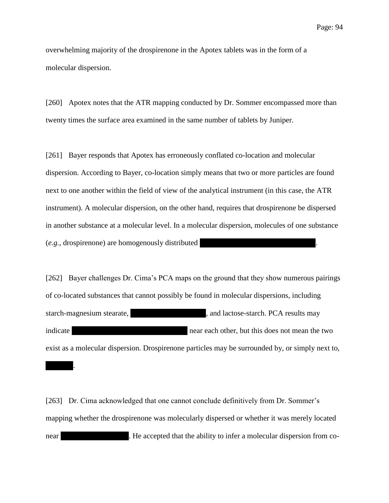overwhelming majority of the drospirenone in the Apotex tablets was in the form of a molecular dispersion.

[260] Apotex notes that the ATR mapping conducted by Dr. Sommer encompassed more than twenty times the surface area examined in the same number of tablets by Juniper.

[261] Bayer responds that Apotex has erroneously conflated co-location and molecular dispersion. According to Bayer, co-location simply means that two or more particles are found next to one another within the field of view of the analytical instrument (in this case, the ATR instrument). A molecular dispersion, on the other hand, requires that drospirenone be dispersed in another substance at a molecular level. In a molecular dispersion, molecules of one substance  $(e.g., drospi, en)$  are homogenously distributed

[262] Bayer challenges Dr. Cima's PCA maps on the ground that they show numerous pairings of co-located substances that cannot possibly be found in molecular dispersions, including starch-magnesium stearate,  $\overline{\phantom{a}}$ , and lactose-starch. PCA results may indicate indicate  $\alpha$  is the same each other, but this does not mean the two exist as a molecular dispersion. Drospirenone particles may be surrounded by, or simply next to,

[263] Dr. Cima acknowledged that one cannot conclude definitively from Dr. Sommer's mapping whether the drospirenone was molecularly dispersed or whether it was merely located near XXX. He accepted that the ability to infer a molecular dispersion from co-

 $\mathbf{X}$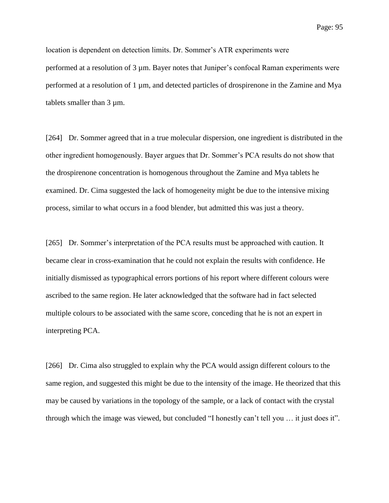location is dependent on detection limits. Dr. Sommer's ATR experiments were performed at a resolution of 3 µm. Bayer notes that Juniper's confocal Raman experiments were performed at a resolution of 1 µm, and detected particles of drospirenone in the Zamine and Mya tablets smaller than 3 µm.

[264] Dr. Sommer agreed that in a true molecular dispersion, one ingredient is distributed in the other ingredient homogenously. Bayer argues that Dr. Sommer's PCA results do not show that the drospirenone concentration is homogenous throughout the Zamine and Mya tablets he examined. Dr. Cima suggested the lack of homogeneity might be due to the intensive mixing process, similar to what occurs in a food blender, but admitted this was just a theory.

[265] Dr. Sommer's interpretation of the PCA results must be approached with caution. It became clear in cross-examination that he could not explain the results with confidence. He initially dismissed as typographical errors portions of his report where different colours were ascribed to the same region. He later acknowledged that the software had in fact selected multiple colours to be associated with the same score, conceding that he is not an expert in interpreting PCA.

[266] Dr. Cima also struggled to explain why the PCA would assign different colours to the same region, and suggested this might be due to the intensity of the image. He theorized that this may be caused by variations in the topology of the sample, or a lack of contact with the crystal through which the image was viewed, but concluded "I honestly can't tell you … it just does it".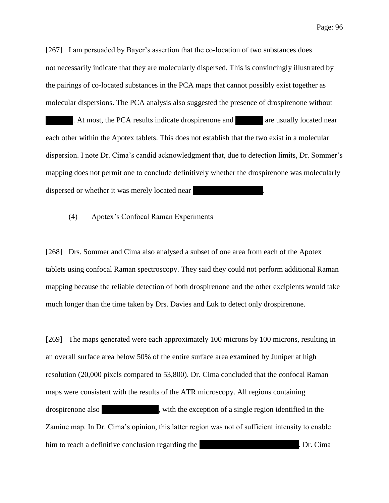[267] I am persuaded by Bayer's assertion that the co-location of two substances does not necessarily indicate that they are molecularly dispersed. This is convincingly illustrated by the pairings of co-located substances in the PCA maps that cannot possibly exist together as molecular dispersions. The PCA analysis also suggested the presence of drospirenone without

 $\lambda$  At most, the PCA results indicate drospirenone and  $\lambda$  are usually located near each other within the Apotex tablets. This does not establish that the two exist in a molecular dispersion. I note Dr. Cima's candid acknowledgment that, due to detection limits, Dr. Sommer's mapping does not permit one to conclude definitively whether the drospirenone was molecularly dispersed or whether it was merely located near

(4) Apotex's Confocal Raman Experiments

[268] Drs. Sommer and Cima also analysed a subset of one area from each of the Apotex tablets using confocal Raman spectroscopy. They said they could not perform additional Raman mapping because the reliable detection of both drospirenone and the other excipients would take much longer than the time taken by Drs. Davies and Luk to detect only drospirenone.

[269] The maps generated were each approximately 100 microns by 100 microns, resulting in an overall surface area below 50% of the entire surface area examined by Juniper at high resolution (20,000 pixels compared to 53,800). Dr. Cima concluded that the confocal Raman maps were consistent with the results of the ATR microscopy. All regions containing drospirenone also with the exception of a single region identified in the Zamine map. In Dr. Cima's opinion, this latter region was not of sufficient intensity to enable him to reach a definitive conclusion regarding the XXX XXX XXX. Dr. Cima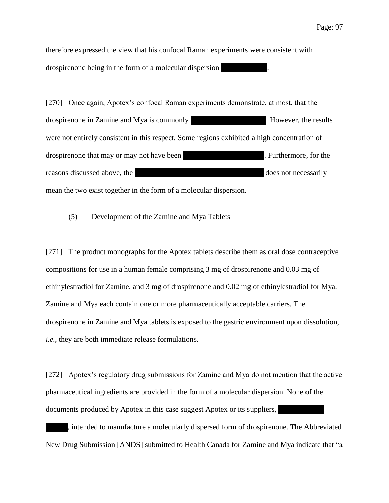therefore expressed the view that his confocal Raman experiments were consistent with drospirenone being in the form of a molecular dispersion

[270] Once again, Apotex's confocal Raman experiments demonstrate, at most, that the drospirenone in Zamine and Mya is commonly Solution and Mya is  $\mathcal{L}$ . However, the results were not entirely consistent in this respect. Some regions exhibited a high concentration of drospirenone that may or may not have been States II. Furthermore, for the reasons discussed above, the XXX XXX and the XXX does not necessarily mean the two exist together in the form of a molecular dispersion.

#### (5) Development of the Zamine and Mya Tablets

[271] The product monographs for the Apotex tablets describe them as oral dose contraceptive compositions for use in a human female comprising 3 mg of drospirenone and 0.03 mg of ethinylestradiol for Zamine, and 3 mg of drospirenone and 0.02 mg of ethinylestradiol for Mya. Zamine and Mya each contain one or more pharmaceutically acceptable carriers. The drospirenone in Zamine and Mya tablets is exposed to the gastric environment upon dissolution, *i.e.*, they are both immediate release formulations.

[272] Apotex's regulatory drug submissions for Zamine and Mya do not mention that the active pharmaceutical ingredients are provided in the form of a molecular dispersion. None of the documents produced by Apotex in this case suggest Apotex or its suppliers,

If intended to manufacture a molecularly dispersed form of drospirenone. The Abbreviated New Drug Submission [ANDS] submitted to Health Canada for Zamine and Mya indicate that "a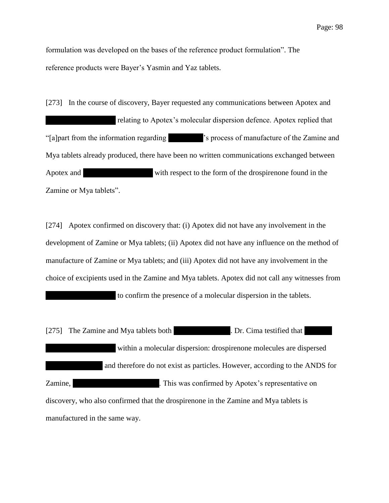formulation was developed on the bases of the reference product formulation". The reference products were Bayer's Yasmin and Yaz tablets.

[273] In the course of discovery, Bayer requested any communications between Apotex and relating to Apotex's molecular dispersion defence. Apotex replied that "[a]part from the information regarding  $\blacksquare$  is process of manufacture of the Zamine and Mya tablets already produced, there have been no written communications exchanged between Apotex and  $\overline{\phantom{a}}$  with respect to the form of the drospirenone found in the Zamine or Mya tablets".

[274] Apotex confirmed on discovery that: (i) Apotex did not have any involvement in the development of Zamine or Mya tablets; (ii) Apotex did not have any influence on the method of manufacture of Zamine or Mya tablets; and (iii) Apotex did not have any involvement in the choice of excipients used in the Zamine and Mya tablets. Apotex did not call any witnesses from to confirm the presence of a molecular dispersion in the tablets.

[275] The Zamine and Mya tablets both  $\sum_{x}$  Dr. Cima testified that within a molecular dispersion: drospirenone molecules are dispersed and therefore do not exist as particles. However, according to the ANDS for Zamine, XXXXX XXXXX XXXXX. This was confirmed by Apotex's representative on discovery, who also confirmed that the drospirenone in the Zamine and Mya tablets is manufactured in the same way.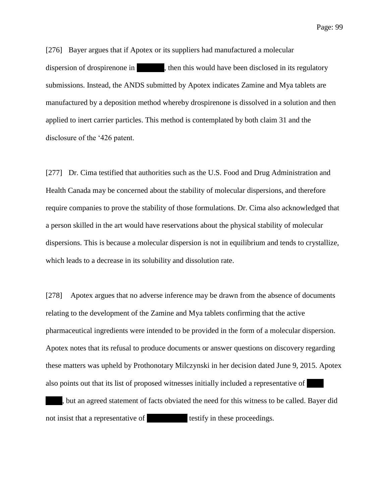[276] Bayer argues that if Apotex or its suppliers had manufactured a molecular dispersion of drospirenone in \, then this would have been disclosed in its regulatory submissions. Instead, the ANDS submitted by Apotex indicates Zamine and Mya tablets are manufactured by a deposition method whereby drospirenone is dissolved in a solution and then applied to inert carrier particles. This method is contemplated by both claim 31 and the disclosure of the '426 patent.

[277] Dr. Cima testified that authorities such as the U.S. Food and Drug Administration and Health Canada may be concerned about the stability of molecular dispersions, and therefore require companies to prove the stability of those formulations. Dr. Cima also acknowledged that a person skilled in the art would have reservations about the physical stability of molecular dispersions. This is because a molecular dispersion is not in equilibrium and tends to crystallize, which leads to a decrease in its solubility and dissolution rate.

[278] Apotex argues that no adverse inference may be drawn from the absence of documents relating to the development of the Zamine and Mya tablets confirming that the active pharmaceutical ingredients were intended to be provided in the form of a molecular dispersion. Apotex notes that its refusal to produce documents or answer questions on discovery regarding these matters was upheld by Prothonotary Milczynski in her decision dated June 9, 2015. Apotex also points out that its list of proposed witnesses initially included a representative of

, but an agreed statement of facts obviated the need for this witness to be called. Bayer did not insist that a representative of **XXXX** testify in these proceedings.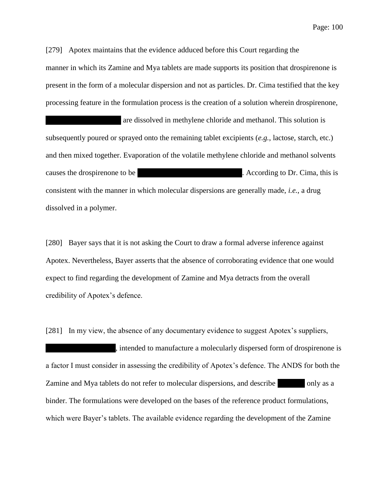[279] Apotex maintains that the evidence adduced before this Court regarding the manner in which its Zamine and Mya tablets are made supports its position that drospirenone is present in the form of a molecular dispersion and not as particles. Dr. Cima testified that the key processing feature in the formulation process is the creation of a solution wherein drospirenone,

are dissolved in methylene chloride and methanol. This solution is subsequently poured or sprayed onto the remaining tablet excipients (*e.g.*, lactose, starch, etc.) and then mixed together. Evaporation of the volatile methylene chloride and methanol solvents causes the drospirenone to be  $\sim$  XXX XXX XXX. According to Dr. Cima, this is consistent with the manner in which molecular dispersions are generally made, *i.e.*, a drug dissolved in a polymer.

[280] Bayer says that it is not asking the Court to draw a formal adverse inference against Apotex. Nevertheless, Bayer asserts that the absence of corroborating evidence that one would expect to find regarding the development of Zamine and Mya detracts from the overall credibility of Apotex's defence.

[281] In my view, the absence of any documentary evidence to suggest Apotex's suppliers,

I intended to manufacture a molecularly dispersed form of drospirenone is a factor I must consider in assessing the credibility of Apotex's defence. The ANDS for both the Zamine and Mya tablets do not refer to molecular dispersions, and describe  $\Box$  only as a binder. The formulations were developed on the bases of the reference product formulations, which were Bayer's tablets. The available evidence regarding the development of the Zamine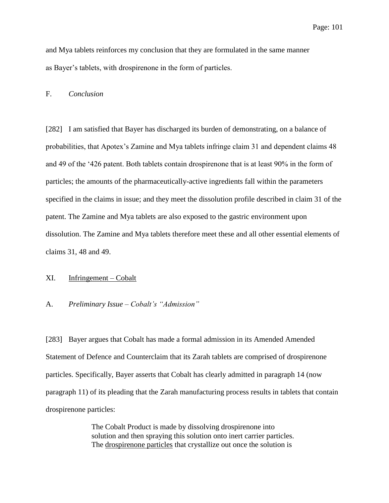and Mya tablets reinforces my conclusion that they are formulated in the same manner as Bayer's tablets, with drospirenone in the form of particles.

## F. *Conclusion*

[282] I am satisfied that Bayer has discharged its burden of demonstrating, on a balance of probabilities, that Apotex's Zamine and Mya tablets infringe claim 31 and dependent claims 48 and 49 of the '426 patent. Both tablets contain drospirenone that is at least 90% in the form of particles; the amounts of the pharmaceutically-active ingredients fall within the parameters specified in the claims in issue; and they meet the dissolution profile described in claim 31 of the patent. The Zamine and Mya tablets are also exposed to the gastric environment upon dissolution. The Zamine and Mya tablets therefore meet these and all other essential elements of claims 31, 48 and 49.

# XI. Infringement – Cobalt

#### A. *Preliminary Issue – Cobalt's "Admission"*

[283] Bayer argues that Cobalt has made a formal admission in its Amended Amended Statement of Defence and Counterclaim that its Zarah tablets are comprised of drospirenone particles. Specifically, Bayer asserts that Cobalt has clearly admitted in paragraph 14 (now paragraph 11) of its pleading that the Zarah manufacturing process results in tablets that contain drospirenone particles:

> The Cobalt Product is made by dissolving drospirenone into solution and then spraying this solution onto inert carrier particles. The drospirenone particles that crystallize out once the solution is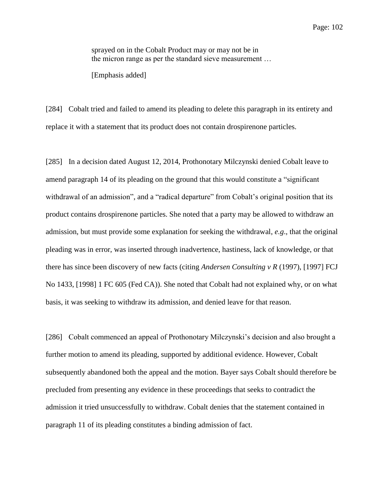sprayed on in the Cobalt Product may or may not be in the micron range as per the standard sieve measurement …

[Emphasis added]

[284] Cobalt tried and failed to amend its pleading to delete this paragraph in its entirety and replace it with a statement that its product does not contain drospirenone particles.

[285] In a decision dated August 12, 2014, Prothonotary Milczynski denied Cobalt leave to amend paragraph 14 of its pleading on the ground that this would constitute a "significant withdrawal of an admission", and a "radical departure" from Cobalt's original position that its product contains drospirenone particles. She noted that a party may be allowed to withdraw an admission, but must provide some explanation for seeking the withdrawal, *e.g*., that the original pleading was in error, was inserted through inadvertence, hastiness, lack of knowledge, or that there has since been discovery of new facts (citing *Andersen Consulting v R* (1997), [1997] FCJ No 1433, [1998] 1 FC 605 (Fed CA)). She noted that Cobalt had not explained why, or on what basis, it was seeking to withdraw its admission, and denied leave for that reason.

[286] Cobalt commenced an appeal of Prothonotary Milczynski's decision and also brought a further motion to amend its pleading, supported by additional evidence. However, Cobalt subsequently abandoned both the appeal and the motion. Bayer says Cobalt should therefore be precluded from presenting any evidence in these proceedings that seeks to contradict the admission it tried unsuccessfully to withdraw. Cobalt denies that the statement contained in paragraph 11 of its pleading constitutes a binding admission of fact.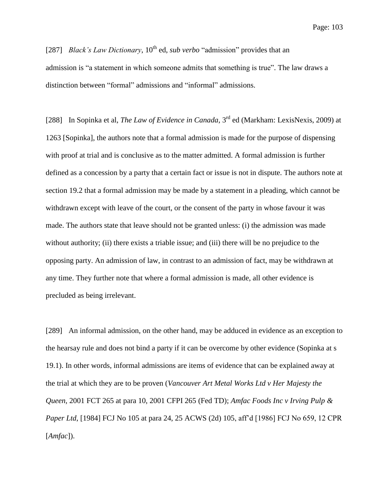[287] *Black's Law Dictionary*, 10<sup>th</sup> ed, *sub verbo* "admission" provides that an admission is "a statement in which someone admits that something is true". The law draws a distinction between "formal" admissions and "informal" admissions.

[288] In Sopinka et al, *The Law of Evidence in Canada*, 3rd ed (Markham: LexisNexis, 2009) at 1263 [Sopinka], the authors note that a formal admission is made for the purpose of dispensing with proof at trial and is conclusive as to the matter admitted. A formal admission is further defined as a concession by a party that a certain fact or issue is not in dispute. The authors note at section 19.2 that a formal admission may be made by a statement in a pleading, which cannot be withdrawn except with leave of the court, or the consent of the party in whose favour it was made. The authors state that leave should not be granted unless: (i) the admission was made without authority; (ii) there exists a triable issue; and (iii) there will be no prejudice to the opposing party. An admission of law, in contrast to an admission of fact, may be withdrawn at any time. They further note that where a formal admission is made, all other evidence is precluded as being irrelevant.

[289] An informal admission, on the other hand, may be adduced in evidence as an exception to the hearsay rule and does not bind a party if it can be overcome by other evidence (Sopinka at s 19.1). In other words, informal admissions are items of evidence that can be explained away at the trial at which they are to be proven (*Vancouver Art Metal Works Ltd v Her Majesty the Queen*, 2001 FCT 265 at para 10, 2001 CFPI 265 (Fed TD); *Amfac Foods Inc v Irving Pulp & Paper Ltd*, [1984] FCJ No 105 at para 24, 25 ACWS (2d) 105, aff'd [1986] FCJ No 659, 12 CPR [*Amfac*]).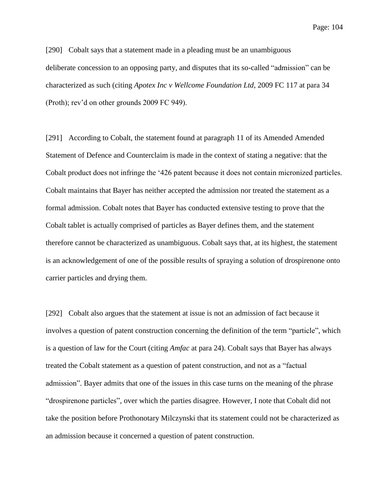[290] Cobalt says that a statement made in a pleading must be an unambiguous deliberate concession to an opposing party, and disputes that its so-called "admission" can be characterized as such (citing *Apotex Inc v Wellcome Foundation Ltd*, 2009 FC 117 at para 34 (Proth); rev'd on other grounds 2009 FC 949).

[291] According to Cobalt, the statement found at paragraph 11 of its Amended Amended Statement of Defence and Counterclaim is made in the context of stating a negative: that the Cobalt product does not infringe the '426 patent because it does not contain micronized particles. Cobalt maintains that Bayer has neither accepted the admission nor treated the statement as a formal admission. Cobalt notes that Bayer has conducted extensive testing to prove that the Cobalt tablet is actually comprised of particles as Bayer defines them, and the statement therefore cannot be characterized as unambiguous. Cobalt says that, at its highest, the statement is an acknowledgement of one of the possible results of spraying a solution of drospirenone onto carrier particles and drying them.

[292] Cobalt also argues that the statement at issue is not an admission of fact because it involves a question of patent construction concerning the definition of the term "particle", which is a question of law for the Court (citing *Amfac* at para 24). Cobalt says that Bayer has always treated the Cobalt statement as a question of patent construction, and not as a "factual admission". Bayer admits that one of the issues in this case turns on the meaning of the phrase "drospirenone particles", over which the parties disagree. However, I note that Cobalt did not take the position before Prothonotary Milczynski that its statement could not be characterized as an admission because it concerned a question of patent construction.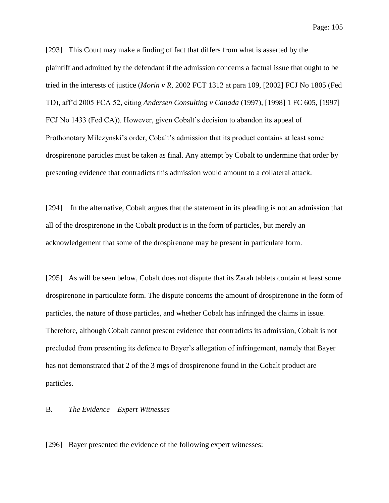[293] This Court may make a finding of fact that differs from what is asserted by the plaintiff and admitted by the defendant if the admission concerns a factual issue that ought to be tried in the interests of justice (*Morin v R*, 2002 FCT 1312 at para 109, [2002] FCJ No 1805 (Fed TD), aff'd 2005 FCA 52, citing *Andersen Consulting v Canada* (1997), [1998] 1 FC 605, [1997] FCJ No 1433 (Fed CA)). However, given Cobalt's decision to abandon its appeal of Prothonotary Milczynski's order, Cobalt's admission that its product contains at least some drospirenone particles must be taken as final. Any attempt by Cobalt to undermine that order by presenting evidence that contradicts this admission would amount to a collateral attack.

[294] In the alternative, Cobalt argues that the statement in its pleading is not an admission that all of the drospirenone in the Cobalt product is in the form of particles, but merely an acknowledgement that some of the drospirenone may be present in particulate form.

[295] As will be seen below, Cobalt does not dispute that its Zarah tablets contain at least some drospirenone in particulate form. The dispute concerns the amount of drospirenone in the form of particles, the nature of those particles, and whether Cobalt has infringed the claims in issue. Therefore, although Cobalt cannot present evidence that contradicts its admission, Cobalt is not precluded from presenting its defence to Bayer's allegation of infringement, namely that Bayer has not demonstrated that 2 of the 3 mgs of drospirenone found in the Cobalt product are particles.

#### B. *The Evidence – Expert Witnesses*

[296] Bayer presented the evidence of the following expert witnesses: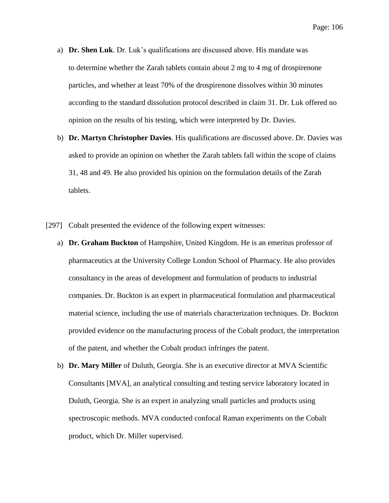- a) **Dr. Shen Luk**. Dr. Luk's qualifications are discussed above. His mandate was to determine whether the Zarah tablets contain about 2 mg to 4 mg of drospirenone particles, and whether at least 70% of the drospirenone dissolves within 30 minutes according to the standard dissolution protocol described in claim 31. Dr. Luk offered no opinion on the results of his testing, which were interpreted by Dr. Davies.
- b) **Dr. Martyn Christopher Davies**. His qualifications are discussed above. Dr. Davies was asked to provide an opinion on whether the Zarah tablets fall within the scope of claims 31, 48 and 49. He also provided his opinion on the formulation details of the Zarah tablets.
- [297] Cobalt presented the evidence of the following expert witnesses:
	- a) **Dr. Graham Buckton** of Hampshire, United Kingdom. He is an emeritus professor of pharmaceutics at the University College London School of Pharmacy. He also provides consultancy in the areas of development and formulation of products to industrial companies. Dr. Buckton is an expert in pharmaceutical formulation and pharmaceutical material science, including the use of materials characterization techniques. Dr. Buckton provided evidence on the manufacturing process of the Cobalt product, the interpretation of the patent, and whether the Cobalt product infringes the patent.
	- b) **Dr. Mary Miller** of Duluth, Georgia. She is an executive director at MVA Scientific Consultants [MVA], an analytical consulting and testing service laboratory located in Duluth, Georgia. She is an expert in analyzing small particles and products using spectroscopic methods. MVA conducted confocal Raman experiments on the Cobalt product, which Dr. Miller supervised.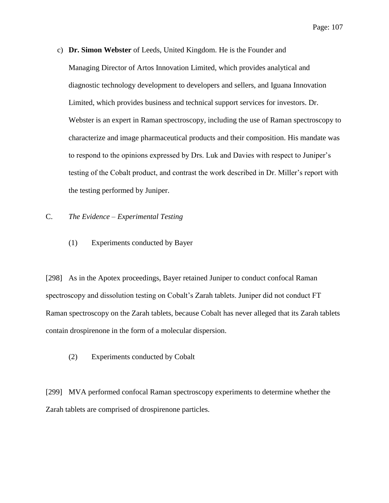c) **Dr. Simon Webster** of Leeds, United Kingdom. He is the Founder and Managing Director of Artos Innovation Limited, which provides analytical and diagnostic technology development to developers and sellers, and Iguana Innovation Limited, which provides business and technical support services for investors. Dr. Webster is an expert in Raman spectroscopy, including the use of Raman spectroscopy to characterize and image pharmaceutical products and their composition. His mandate was to respond to the opinions expressed by Drs. Luk and Davies with respect to Juniper's testing of the Cobalt product, and contrast the work described in Dr. Miller's report with the testing performed by Juniper.

# C. *The Evidence – Experimental Testing*

(1) Experiments conducted by Bayer

[298] As in the Apotex proceedings, Bayer retained Juniper to conduct confocal Raman spectroscopy and dissolution testing on Cobalt's Zarah tablets. Juniper did not conduct FT Raman spectroscopy on the Zarah tablets, because Cobalt has never alleged that its Zarah tablets contain drospirenone in the form of a molecular dispersion.

(2) Experiments conducted by Cobalt

[299] MVA performed confocal Raman spectroscopy experiments to determine whether the Zarah tablets are comprised of drospirenone particles.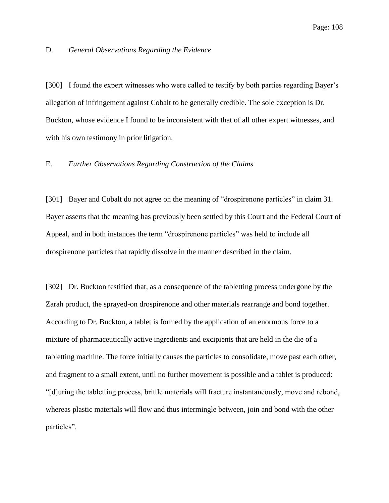## D. *General Observations Regarding the Evidence*

[300] I found the expert witnesses who were called to testify by both parties regarding Bayer's allegation of infringement against Cobalt to be generally credible. The sole exception is Dr. Buckton, whose evidence I found to be inconsistent with that of all other expert witnesses, and with his own testimony in prior litigation.

# E. *Further Observations Regarding Construction of the Claims*

[301] Bayer and Cobalt do not agree on the meaning of "drospirenone particles" in claim 31. Bayer asserts that the meaning has previously been settled by this Court and the Federal Court of Appeal, and in both instances the term "drospirenone particles" was held to include all drospirenone particles that rapidly dissolve in the manner described in the claim.

[302] Dr. Buckton testified that, as a consequence of the tabletting process undergone by the Zarah product, the sprayed-on drospirenone and other materials rearrange and bond together. According to Dr. Buckton, a tablet is formed by the application of an enormous force to a mixture of pharmaceutically active ingredients and excipients that are held in the die of a tabletting machine. The force initially causes the particles to consolidate, move past each other, and fragment to a small extent, until no further movement is possible and a tablet is produced: "[d]uring the tabletting process, brittle materials will fracture instantaneously, move and rebond, whereas plastic materials will flow and thus intermingle between, join and bond with the other particles".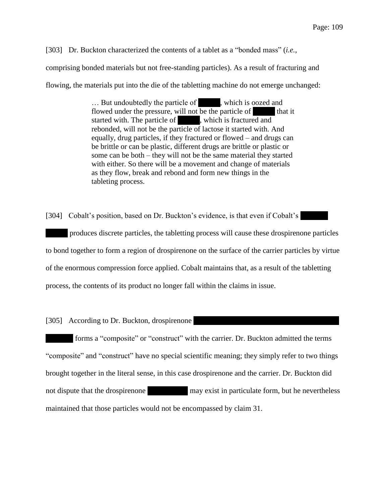[303] Dr. Buckton characterized the contents of a tablet as a "bonded mass" (*i.e.*,

comprising bonded materials but not free-standing particles). As a result of fracturing and

flowing, the materials put into the die of the tabletting machine do not emerge unchanged:

 $\ldots$  But undoubtedly the particle of  $\ldots$  which is oozed and flowed under the pressure, will not be the particle of that it started with. The particle of  $\blacksquare$ , which is fractured and rebonded, will not be the particle of lactose it started with. And equally, drug particles, if they fractured or flowed – and drugs can be brittle or can be plastic, different drugs are brittle or plastic or some can be both – they will not be the same material they started with either. So there will be a movement and change of materials as they flow, break and rebond and form new things in the tableting process.

[304] Cobalt's position, based on Dr. Buckton's evidence, is that even if Cobalt's produces discrete particles, the tabletting process will cause these drospirenone particles to bond together to form a region of drospirenone on the surface of the carrier particles by virtue of the enormous compression force applied. Cobalt maintains that, as a result of the tabletting process, the contents of its product no longer fall within the claims in issue.

 $[305]$  According to Dr. Buckton, drospirenone

forms a "composite" or "construct" with the carrier. Dr. Buckton admitted the terms "composite" and "construct" have no special scientific meaning; they simply refer to two things brought together in the literal sense, in this case drospirenone and the carrier. Dr. Buckton did not dispute that the drospirenone may exist in particulate form, but he nevertheless maintained that those particles would not be encompassed by claim 31.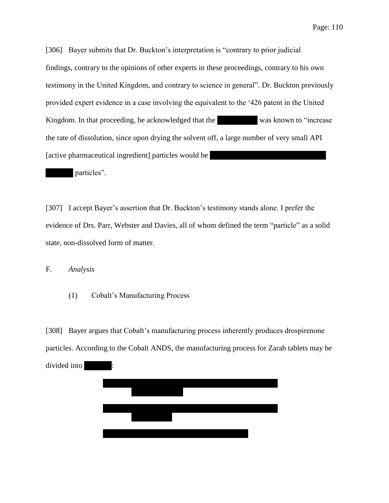[306] Bayer submits that Dr. Buckton's interpretation is "contrary to prior judicial findings, contrary to the opinions of other experts in these proceedings, contrary to his own testimony in the United Kingdom, and contrary to science in general". Dr. Buckton previously provided expert evidence in a case involving the equivalent to the '426 patent in the United Kingdom. In that proceeding, he acknowledged that the vas known to "increase the rate of dissolution, since upon drying the solvent off, a large number of very small API [active pharmaceutical ingredient] particles would be

particles".

[307] I accept Bayer's assertion that Dr. Buckton's testimony stands alone. I prefer the evidence of Drs. Parr, Webster and Davies, all of whom defined the term "particle" as a solid state, non-dissolved form of matter.

F. *Analysis*

(1) Cobalt's Manufacturing Process

[308] Bayer argues that Cobalt's manufacturing process inherently produces drospirenone particles. According to the Cobalt ANDS, the manufacturing process for Zarah tablets may be divided into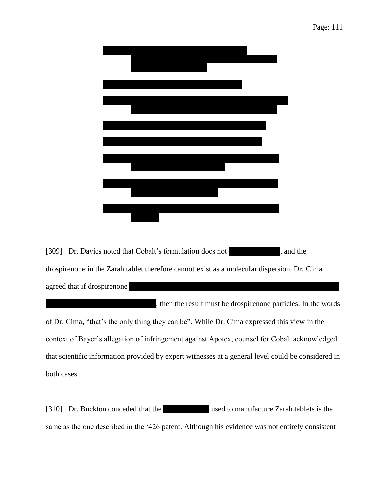

drospirenone in the Zarah tablet therefore cannot exist as a molecular dispersion. Dr. Cima agreed that if drospirenone

then the result must be drospirenone particles. In the words of Dr. Cima, "that's the only thing they can be". While Dr. Cima expressed this view in the context of Bayer's allegation of infringement against Apotex, counsel for Cobalt acknowledged that scientific information provided by expert witnesses at a general level could be considered in both cases.

[310] Dr. Buckton conceded that the Islam used to manufacture Zarah tablets is the same as the one described in the '426 patent. Although his evidence was not entirely consistent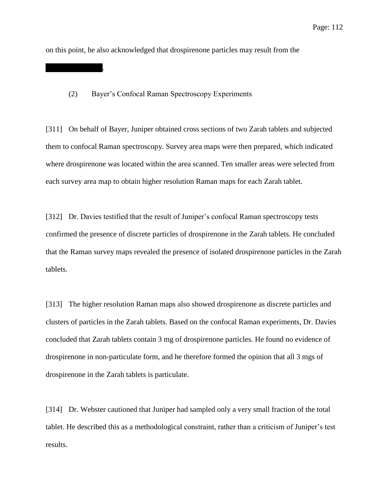on this point, he also acknowledged that drospirenone particles may result from the

(2) Bayer's Confocal Raman Spectroscopy Experiments

 $\mathbf{x}$ 

[311] On behalf of Bayer, Juniper obtained cross sections of two Zarah tablets and subjected them to confocal Raman spectroscopy. Survey area maps were then prepared, which indicated where drospirenone was located within the area scanned. Ten smaller areas were selected from each survey area map to obtain higher resolution Raman maps for each Zarah tablet.

[312] Dr. Davies testified that the result of Juniper's confocal Raman spectroscopy tests confirmed the presence of discrete particles of drospirenone in the Zarah tablets. He concluded that the Raman survey maps revealed the presence of isolated drospirenone particles in the Zarah tablets.

[313] The higher resolution Raman maps also showed drospirenone as discrete particles and clusters of particles in the Zarah tablets. Based on the confocal Raman experiments, Dr. Davies concluded that Zarah tablets contain 3 mg of drospirenone particles. He found no evidence of drospirenone in non-particulate form, and he therefore formed the opinion that all 3 mgs of drospirenone in the Zarah tablets is particulate.

[314] Dr. Webster cautioned that Juniper had sampled only a very small fraction of the total tablet. He described this as a methodological constraint, rather than a criticism of Juniper's test results.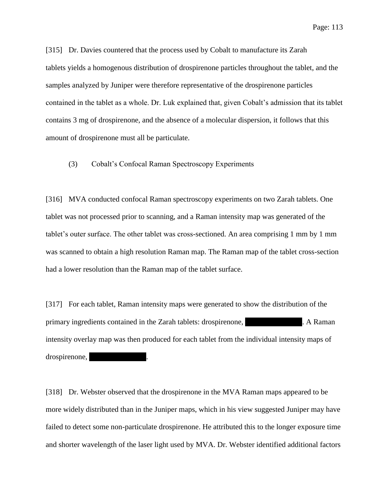[315] Dr. Davies countered that the process used by Cobalt to manufacture its Zarah tablets yields a homogenous distribution of drospirenone particles throughout the tablet, and the samples analyzed by Juniper were therefore representative of the drospirenone particles contained in the tablet as a whole. Dr. Luk explained that, given Cobalt's admission that its tablet contains 3 mg of drospirenone, and the absence of a molecular dispersion, it follows that this amount of drospirenone must all be particulate.

(3) Cobalt's Confocal Raman Spectroscopy Experiments

[316] MVA conducted confocal Raman spectroscopy experiments on two Zarah tablets. One tablet was not processed prior to scanning, and a Raman intensity map was generated of the tablet's outer surface. The other tablet was cross-sectioned. An area comprising 1 mm by 1 mm was scanned to obtain a high resolution Raman map. The Raman map of the tablet cross-section had a lower resolution than the Raman map of the tablet surface.

[317] For each tablet, Raman intensity maps were generated to show the distribution of the primary ingredients contained in the Zarah tablets: drospirenone,  $\blacksquare$  A Raman intensity overlay map was then produced for each tablet from the individual intensity maps of drospirenone,

[318] Dr. Webster observed that the drospirenone in the MVA Raman maps appeared to be more widely distributed than in the Juniper maps, which in his view suggested Juniper may have failed to detect some non-particulate drospirenone. He attributed this to the longer exposure time and shorter wavelength of the laser light used by MVA. Dr. Webster identified additional factors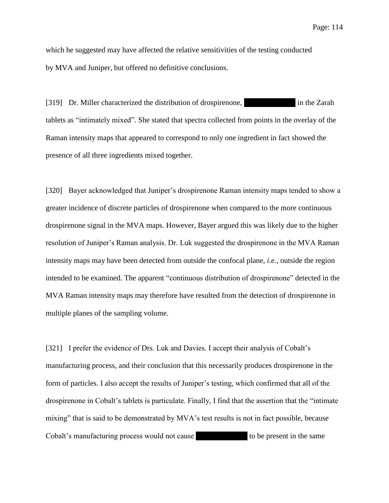which he suggested may have affected the relative sensitivities of the testing conducted by MVA and Juniper, but offered no definitive conclusions.

[319] Dr. Miller characterized the distribution of drospirenone,  $\hat{X}$  in the Zarah tablets as "intimately mixed". She stated that spectra collected from points in the overlay of the Raman intensity maps that appeared to correspond to only one ingredient in fact showed the presence of all three ingredients mixed together.

[320] Bayer acknowledged that Juniper's drospirenone Raman intensity maps tended to show a greater incidence of discrete particles of drospirenone when compared to the more continuous drospirenone signal in the MVA maps. However, Bayer argued this was likely due to the higher resolution of Juniper's Raman analysis. Dr. Luk suggested the drospirenone in the MVA Raman intensity maps may have been detected from outside the confocal plane, *i.e.*, outside the region intended to be examined. The apparent "continuous distribution of drospirenone" detected in the MVA Raman intensity maps may therefore have resulted from the detection of drospirenone in multiple planes of the sampling volume.

[321] I prefer the evidence of Drs. Luk and Davies. I accept their analysis of Cobalt's manufacturing process, and their conclusion that this necessarily produces drospirenone in the form of particles. I also accept the results of Juniper's testing, which confirmed that all of the drospirenone in Cobalt's tablets is particulate. Finally, I find that the assertion that the "intimate mixing" that is said to be demonstrated by MVA's test results is not in fact possible, because Cobalt's manufacturing process would not cause  $\blacksquare$  to be present in the same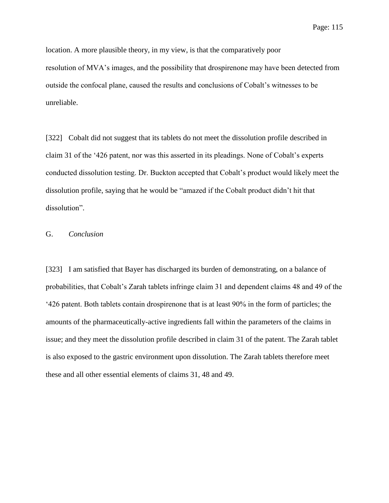location. A more plausible theory, in my view, is that the comparatively poor resolution of MVA's images, and the possibility that drospirenone may have been detected from outside the confocal plane, caused the results and conclusions of Cobalt's witnesses to be unreliable.

[322] Cobalt did not suggest that its tablets do not meet the dissolution profile described in claim 31 of the '426 patent, nor was this asserted in its pleadings. None of Cobalt's experts conducted dissolution testing. Dr. Buckton accepted that Cobalt's product would likely meet the dissolution profile, saying that he would be "amazed if the Cobalt product didn't hit that dissolution".

## G. *Conclusion*

[323] I am satisfied that Bayer has discharged its burden of demonstrating, on a balance of probabilities, that Cobalt's Zarah tablets infringe claim 31 and dependent claims 48 and 49 of the '426 patent. Both tablets contain drospirenone that is at least 90% in the form of particles; the amounts of the pharmaceutically-active ingredients fall within the parameters of the claims in issue; and they meet the dissolution profile described in claim 31 of the patent. The Zarah tablet is also exposed to the gastric environment upon dissolution. The Zarah tablets therefore meet these and all other essential elements of claims 31, 48 and 49.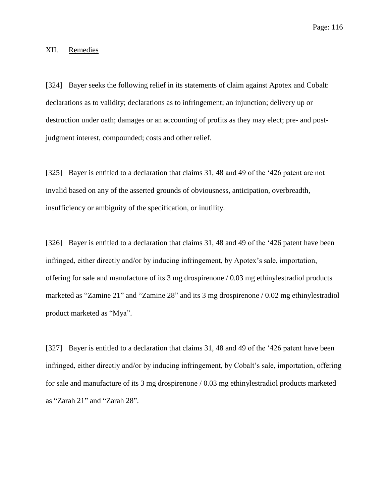#### XII. Remedies

[324] Bayer seeks the following relief in its statements of claim against Apotex and Cobalt: declarations as to validity; declarations as to infringement; an injunction; delivery up or destruction under oath; damages or an accounting of profits as they may elect; pre- and postjudgment interest, compounded; costs and other relief.

[325] Bayer is entitled to a declaration that claims 31, 48 and 49 of the '426 patent are not invalid based on any of the asserted grounds of obviousness, anticipation, overbreadth, insufficiency or ambiguity of the specification, or inutility.

[326] Bayer is entitled to a declaration that claims 31, 48 and 49 of the '426 patent have been infringed, either directly and/or by inducing infringement, by Apotex's sale, importation, offering for sale and manufacture of its 3 mg drospirenone / 0.03 mg ethinylestradiol products marketed as "Zamine 21" and "Zamine 28" and its 3 mg drospirenone / 0.02 mg ethinylestradiol product marketed as "Mya".

[327] Bayer is entitled to a declaration that claims 31, 48 and 49 of the '426 patent have been infringed, either directly and/or by inducing infringement, by Cobalt's sale, importation, offering for sale and manufacture of its 3 mg drospirenone / 0.03 mg ethinylestradiol products marketed as "Zarah 21" and "Zarah 28".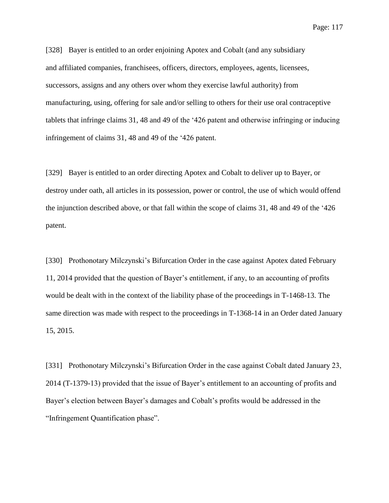[328] Bayer is entitled to an order enjoining Apotex and Cobalt (and any subsidiary and affiliated companies, franchisees, officers, directors, employees, agents, licensees, successors, assigns and any others over whom they exercise lawful authority) from manufacturing, using, offering for sale and/or selling to others for their use oral contraceptive tablets that infringe claims 31, 48 and 49 of the '426 patent and otherwise infringing or inducing infringement of claims 31, 48 and 49 of the '426 patent.

[329] Bayer is entitled to an order directing Apotex and Cobalt to deliver up to Bayer, or destroy under oath, all articles in its possession, power or control, the use of which would offend the injunction described above, or that fall within the scope of claims 31, 48 and 49 of the '426 patent.

[330] Prothonotary Milczynski's Bifurcation Order in the case against Apotex dated February 11, 2014 provided that the question of Bayer's entitlement, if any, to an accounting of profits would be dealt with in the context of the liability phase of the proceedings in  $T-1468-13$ . The same direction was made with respect to the proceedings in T-1368-14 in an Order dated January 15, 2015.

[331] Prothonotary Milczynski's Bifurcation Order in the case against Cobalt dated January 23, 2014 (T-1379-13) provided that the issue of Bayer's entitlement to an accounting of profits and Bayer's election between Bayer's damages and Cobalt's profits would be addressed in the "Infringement Quantification phase".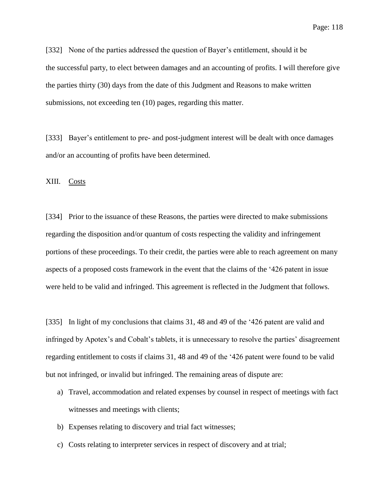[332] None of the parties addressed the question of Bayer's entitlement, should it be the successful party, to elect between damages and an accounting of profits. I will therefore give the parties thirty (30) days from the date of this Judgment and Reasons to make written submissions, not exceeding ten (10) pages, regarding this matter.

[333] Bayer's entitlement to pre- and post-judgment interest will be dealt with once damages and/or an accounting of profits have been determined.

XIII. Costs

[334] Prior to the issuance of these Reasons, the parties were directed to make submissions regarding the disposition and/or quantum of costs respecting the validity and infringement portions of these proceedings. To their credit, the parties were able to reach agreement on many aspects of a proposed costs framework in the event that the claims of the '426 patent in issue were held to be valid and infringed. This agreement is reflected in the Judgment that follows.

[335] In light of my conclusions that claims 31, 48 and 49 of the '426 patent are valid and infringed by Apotex's and Cobalt's tablets, it is unnecessary to resolve the parties' disagreement regarding entitlement to costs if claims 31, 48 and 49 of the '426 patent were found to be valid but not infringed, or invalid but infringed. The remaining areas of dispute are:

- a) Travel, accommodation and related expenses by counsel in respect of meetings with fact witnesses and meetings with clients;
- b) Expenses relating to discovery and trial fact witnesses;
- c) Costs relating to interpreter services in respect of discovery and at trial;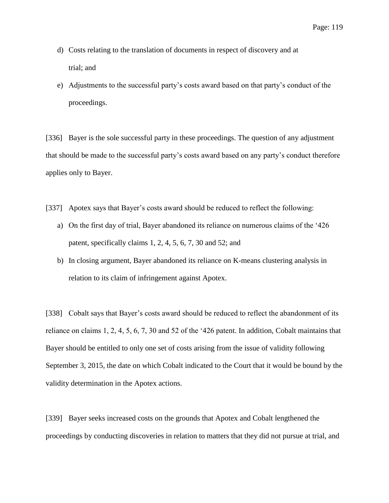- d) Costs relating to the translation of documents in respect of discovery and at trial; and
- e) Adjustments to the successful party's costs award based on that party's conduct of the proceedings.

[336] Bayer is the sole successful party in these proceedings. The question of any adjustment that should be made to the successful party's costs award based on any party's conduct therefore applies only to Bayer.

- [337] Apotex says that Bayer's costs award should be reduced to reflect the following:
	- a) On the first day of trial, Bayer abandoned its reliance on numerous claims of the '426 patent, specifically claims 1, 2, 4, 5, 6, 7, 30 and 52; and
	- b) In closing argument, Bayer abandoned its reliance on K-means clustering analysis in relation to its claim of infringement against Apotex.

[338] Cobalt says that Bayer's costs award should be reduced to reflect the abandonment of its reliance on claims 1, 2, 4, 5, 6, 7, 30 and 52 of the '426 patent. In addition, Cobalt maintains that Bayer should be entitled to only one set of costs arising from the issue of validity following September 3, 2015, the date on which Cobalt indicated to the Court that it would be bound by the validity determination in the Apotex actions.

[339] Bayer seeks increased costs on the grounds that Apotex and Cobalt lengthened the proceedings by conducting discoveries in relation to matters that they did not pursue at trial, and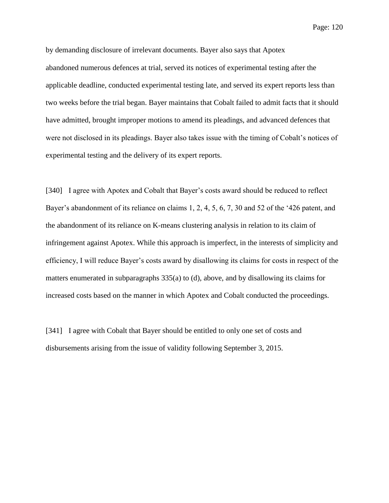by demanding disclosure of irrelevant documents. Bayer also says that Apotex abandoned numerous defences at trial, served its notices of experimental testing after the applicable deadline, conducted experimental testing late, and served its expert reports less than two weeks before the trial began. Bayer maintains that Cobalt failed to admit facts that it should have admitted, brought improper motions to amend its pleadings, and advanced defences that were not disclosed in its pleadings. Bayer also takes issue with the timing of Cobalt's notices of experimental testing and the delivery of its expert reports.

[340] I agree with Apotex and Cobalt that Bayer's costs award should be reduced to reflect Bayer's abandonment of its reliance on claims 1, 2, 4, 5, 6, 7, 30 and 52 of the '426 patent, and the abandonment of its reliance on K-means clustering analysis in relation to its claim of infringement against Apotex. While this approach is imperfect, in the interests of simplicity and efficiency, I will reduce Bayer's costs award by disallowing its claims for costs in respect of the matters enumerated in subparagraphs 335(a) to (d), above, and by disallowing its claims for increased costs based on the manner in which Apotex and Cobalt conducted the proceedings.

[341] I agree with Cobalt that Bayer should be entitled to only one set of costs and disbursements arising from the issue of validity following September 3, 2015.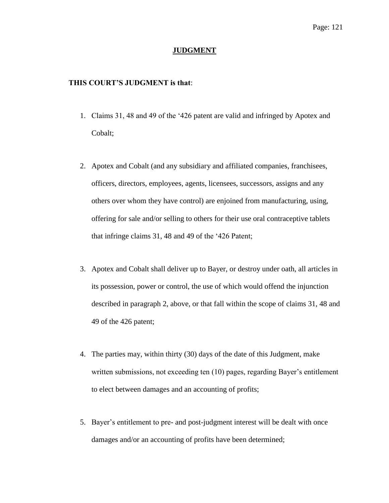### **JUDGMENT**

### **THIS COURT'S JUDGMENT is that**:

- 1. Claims 31, 48 and 49 of the '426 patent are valid and infringed by Apotex and Cobalt;
- 2. Apotex and Cobalt (and any subsidiary and affiliated companies, franchisees, officers, directors, employees, agents, licensees, successors, assigns and any others over whom they have control) are enjoined from manufacturing, using, offering for sale and/or selling to others for their use oral contraceptive tablets that infringe claims 31, 48 and 49 of the '426 Patent;
- 3. Apotex and Cobalt shall deliver up to Bayer, or destroy under oath, all articles in its possession, power or control, the use of which would offend the injunction described in paragraph 2, above, or that fall within the scope of claims 31, 48 and 49 of the 426 patent;
- 4. The parties may, within thirty (30) days of the date of this Judgment, make written submissions, not exceeding ten (10) pages, regarding Bayer's entitlement to elect between damages and an accounting of profits;
- 5. Bayer's entitlement to pre- and post-judgment interest will be dealt with once damages and/or an accounting of profits have been determined;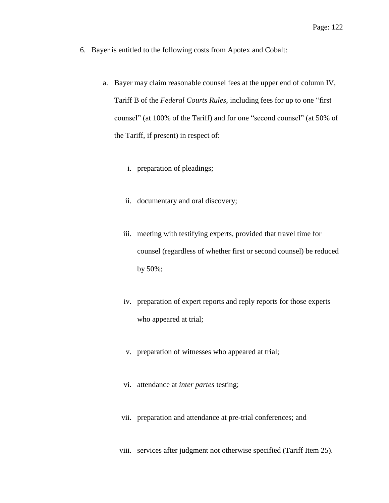- 6. Bayer is entitled to the following costs from Apotex and Cobalt:
	- a. Bayer may claim reasonable counsel fees at the upper end of column IV, Tariff B of the *Federal Courts Rules*, including fees for up to one "first counsel" (at 100% of the Tariff) and for one "second counsel" (at 50% of the Tariff, if present) in respect of:
		- i. preparation of pleadings;
		- ii. documentary and oral discovery;
		- iii. meeting with testifying experts, provided that travel time for counsel (regardless of whether first or second counsel) be reduced by 50%;
		- iv. preparation of expert reports and reply reports for those experts who appeared at trial;
		- v. preparation of witnesses who appeared at trial;
		- vi. attendance at *inter partes* testing;
		- vii. preparation and attendance at pre-trial conferences; and
		- viii. services after judgment not otherwise specified (Tariff Item 25).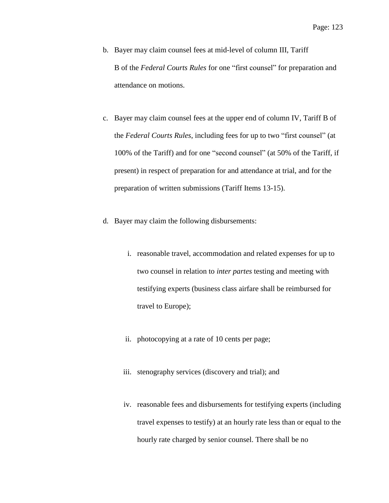- b. Bayer may claim counsel fees at mid-level of column III, Tariff B of the *Federal Courts Rules* for one "first counsel" for preparation and attendance on motions.
- c. Bayer may claim counsel fees at the upper end of column IV, Tariff B of the *Federal Courts Rules*, including fees for up to two "first counsel" (at 100% of the Tariff) and for one "second counsel" (at 50% of the Tariff, if present) in respect of preparation for and attendance at trial, and for the preparation of written submissions (Tariff Items 13-15).
- d. Bayer may claim the following disbursements:
	- i. reasonable travel, accommodation and related expenses for up to two counsel in relation to *inter partes* testing and meeting with testifying experts (business class airfare shall be reimbursed for travel to Europe);
	- ii. photocopying at a rate of 10 cents per page;
	- iii. stenography services (discovery and trial); and
	- iv. reasonable fees and disbursements for testifying experts (including travel expenses to testify) at an hourly rate less than or equal to the hourly rate charged by senior counsel. There shall be no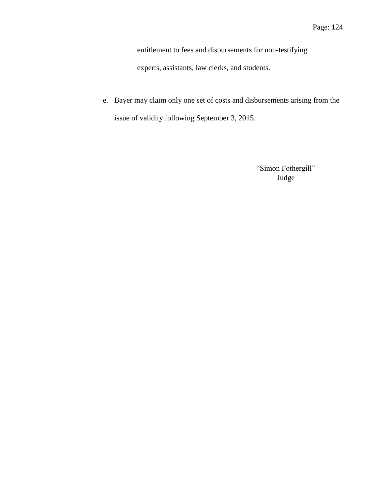entitlement to fees and disbursements for non-testifying experts, assistants, law clerks, and students.

e. Bayer may claim only one set of costs and disbursements arising from the issue of validity following September 3, 2015.

> "Simon Fothergill" Judge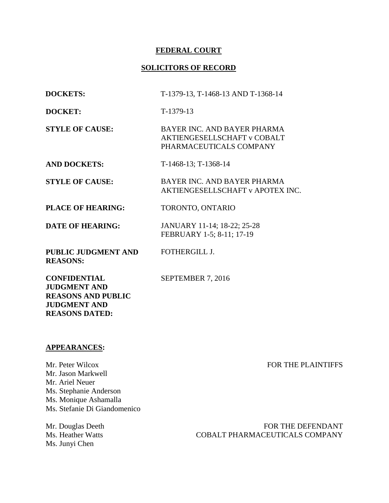## **FEDERAL COURT**

## **SOLICITORS OF RECORD**

- **DOCKETS:** T-1379-13, T-1468-13 AND T-1368-14
- **DOCKET:** T-1379-13
- **STYLE OF CAUSE:** BAYER INC. AND BAYER PHARMA AKTIENGESELLSCHAFT v COBALT PHARMACEUTICALS COMPANY

**AND DOCKETS:** T-1468-13; T-1368-14

- **STYLE OF CAUSE:** BAYER INC. AND BAYER PHARMA AKTIENGESELLSCHAFT v APOTEX INC.
- **PLACE OF HEARING:** TORONTO, ONTARIO
- **DATE OF HEARING:** JANUARY 11-14; 18-22; 25-28 FEBRUARY 1-5; 8-11; 17-19
- **PUBLIC JUDGMENT AND REASONS:**

SEPTEMBER 7, 2016

FOTHERGILL J.

**CONFIDENTIAL JUDGMENT AND REASONS AND PUBLIC JUDGMENT AND REASONS DATED:**

### **APPEARANCES:**

Mr. Peter Wilcox Mr. Jason Markwell Mr. Ariel Neuer Ms. Stephanie Anderson Ms. Monique Ashamalla Ms. Stefanie Di Giandomenico

Mr. Douglas Deeth Ms. Heather Watts Ms. Junyi Chen

# FOR THE PLAINTIFFS

FOR THE DEFENDANT COBALT PHARMACEUTICALS COMPANY